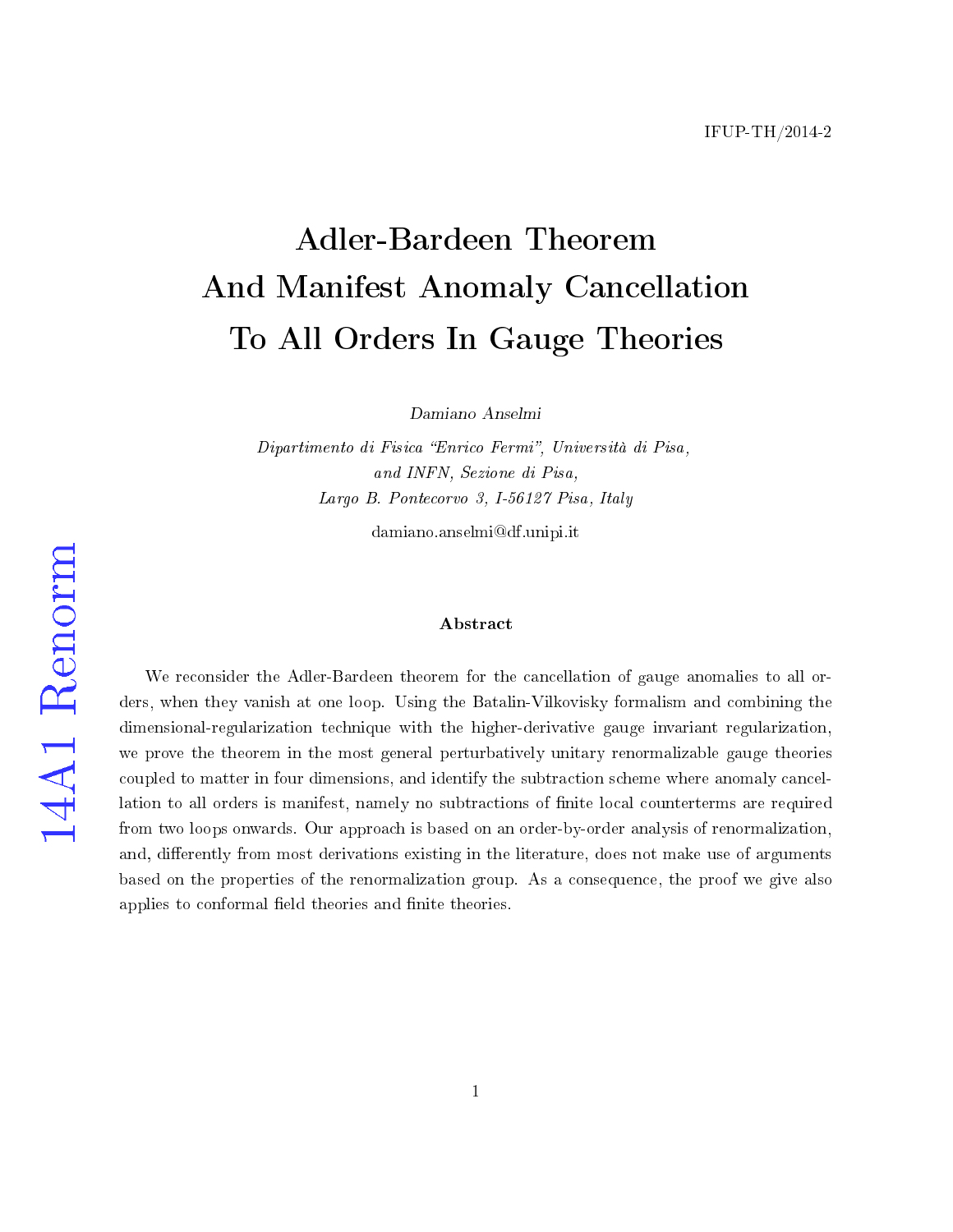# Adler-Bardeen Theorem And Manifest Anomaly Cancellation To All Orders In Gauge Theories

Damiano Anselmi

Dipartimento di Fisica Enrico Fermi, Università di Pisa, and Infinite dividence di Pisa, Infinite di Pisa, Infinite di Pisa, Infinite di Pisa, Infinite di Pisa, Infinit Largo B. Pontecorvo 3, I-56127 Pisa, Italy

damiano.anselmi@df.unipi.it

### Abstract

We reconsider the Adler-Bardeen theorem for the cancellation of gauge anomalies to all orders, when they vanish at one loop. Using the Batalin-Vilkovisky formalism and combining the dimensional-regularization technique with the higher-derivative gauge invariant regularization, we prove the theorem in the most general perturbatively unitary renormalizable gauge theories coupled to matter in four dimensions, and identify the subtraction scheme where anomaly cancellation to all orders is manifest, namely no subtractions of finite local counterterms are required from two loops onwards. Our approach is based on an order-by-order analysis of renormalization, and, differently from most derivations existing in the literature, does not make use of arguments based on the properties of the renormalization group. As a consequence, the proof we give also applies to conformal field theories and finite theories.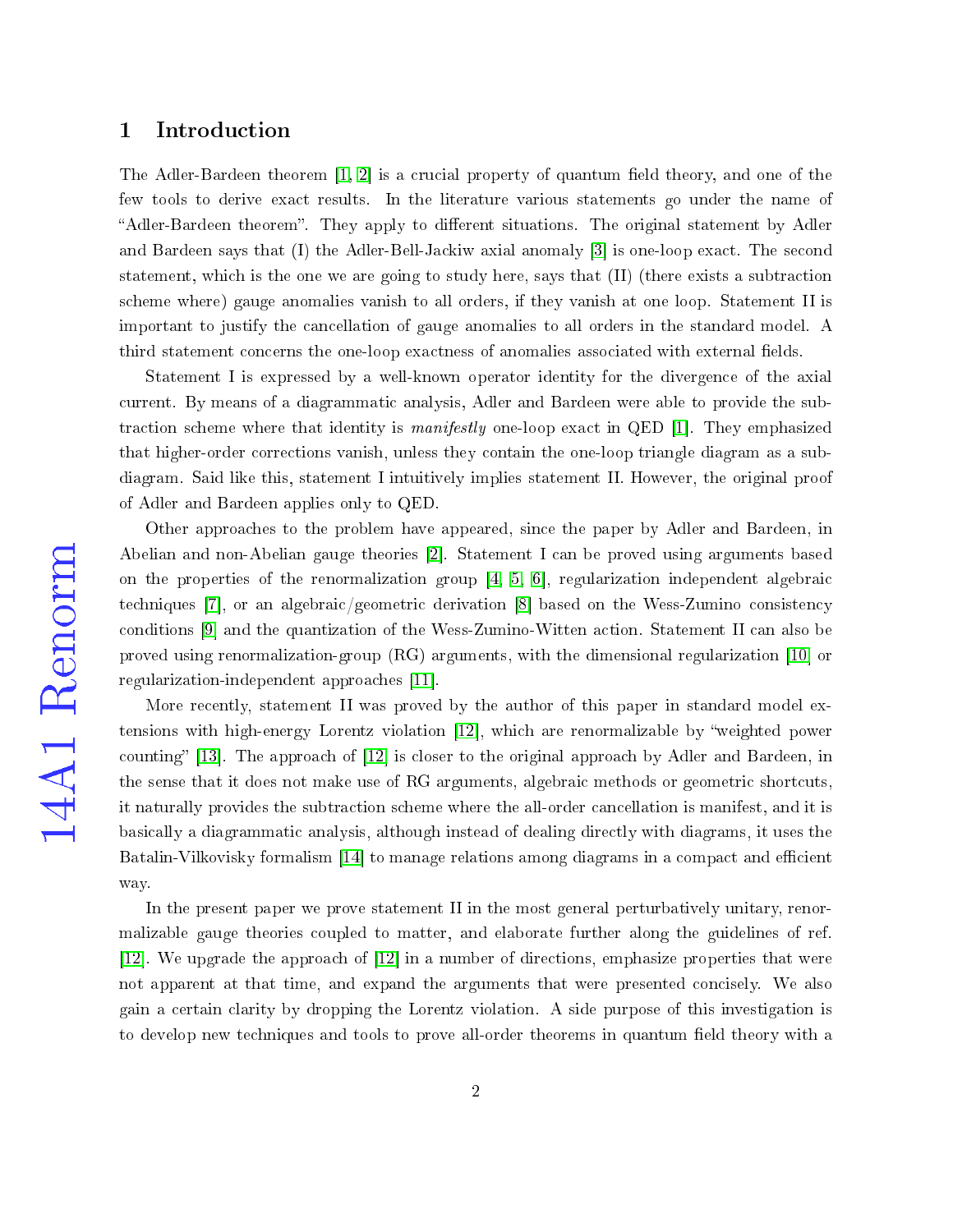### 1 Introduction

The Adler-Bardeen theorem  $\begin{bmatrix} 1, 2 \end{bmatrix}$  is a crucial property of quantum field theory, and one of the few tools to derive exact results. In the literature various statements go under the name of "Adler-Bardeen theorem". They apply to different situations. The original statement by Adler and Bardeen says that (I) the Adler-Bell-Jackiw axial anomaly [\[3\]](#page-41-2) is one-loop exact. The second statement, which is the one we are going to study here, says that (II) (there exists a subtraction scheme where) gauge anomalies vanish to all orders, if they vanish at one loop. Statement II is important to justify the cancellation of gauge anomalies to all orders in the standard model. A third statement concerns the one-loop exactness of anomalies associated with external fields.

Statement I is expressed by a well-known operator identity for the divergence of the axial current. By means of a diagrammatic analysis, Adler and Bardeen were able to provide the subtraction scheme where that identity is manifestly one-loop exact in QED [\[1\]](#page-41-0). They emphasized that higher-order corrections vanish, unless they contain the one-loop triangle diagram as a subdiagram. Said like this, statement I intuitively implies statement II. However, the original proof of Adler and Bardeen applies only to QED.

Other approaches to the problem have appeared, since the paper by Adler and Bardeen, in Abelian and non-Abelian gauge theories [\[2\]](#page-41-1). Statement I can be proved using arguments based on the properties of the renormalization group  $[4, 5, 6]$  $[4, 5, 6]$  $[4, 5, 6]$  $[4, 5, 6]$  $[4, 5, 6]$ , regularization independent algebraic techniques [\[7\]](#page-41-6), or an algebraic/geometric derivation [\[8\]](#page-41-7) based on the Wess-Zumino consistency conditions [\[9\]](#page-41-8) and the quantization of the Wess-Zumino-Witten action. Statement II can also be proved using renormalization-group (RG) arguments, with the dimensional regularization [\[10\]](#page-41-9) or regularization-independent approaches [\[11\]](#page-41-10).

More recently, statement II was proved by the author of this paper in standard model extensions with high-energy Lorentz violation  $[12]$ , which are renormalizable by "weighted power counting" [\[13\]](#page-41-12). The approach of [\[12\]](#page-41-11) is closer to the original approach by Adler and Bardeen, in the sense that it does not make use of RG arguments, algebraic methods or geometric shortcuts, it naturally provides the subtraction scheme where the all-order cancellation is manifest, and it is basically a diagrammatic analysis, although instead of dealing directly with diagrams, it uses the Batalin-Vilkovisky formalism [\[14\]](#page-42-0) to manage relations among diagrams in a compact and efficient way.

In the present paper we prove statement II in the most general perturbatively unitary, renormalizable gauge theories coupled to matter, and elaborate further along the guidelines of ref. [\[12\]](#page-41-11). We upgrade the approach of [\[12\]](#page-41-11) in a number of directions, emphasize properties that were not apparent at that time, and expand the arguments that were presented concisely. We also gain a certain clarity by dropping the Lorentz violation. A side purpose of this investigation is to develop new techniques and tools to prove all-order theorems in quantum field theory with a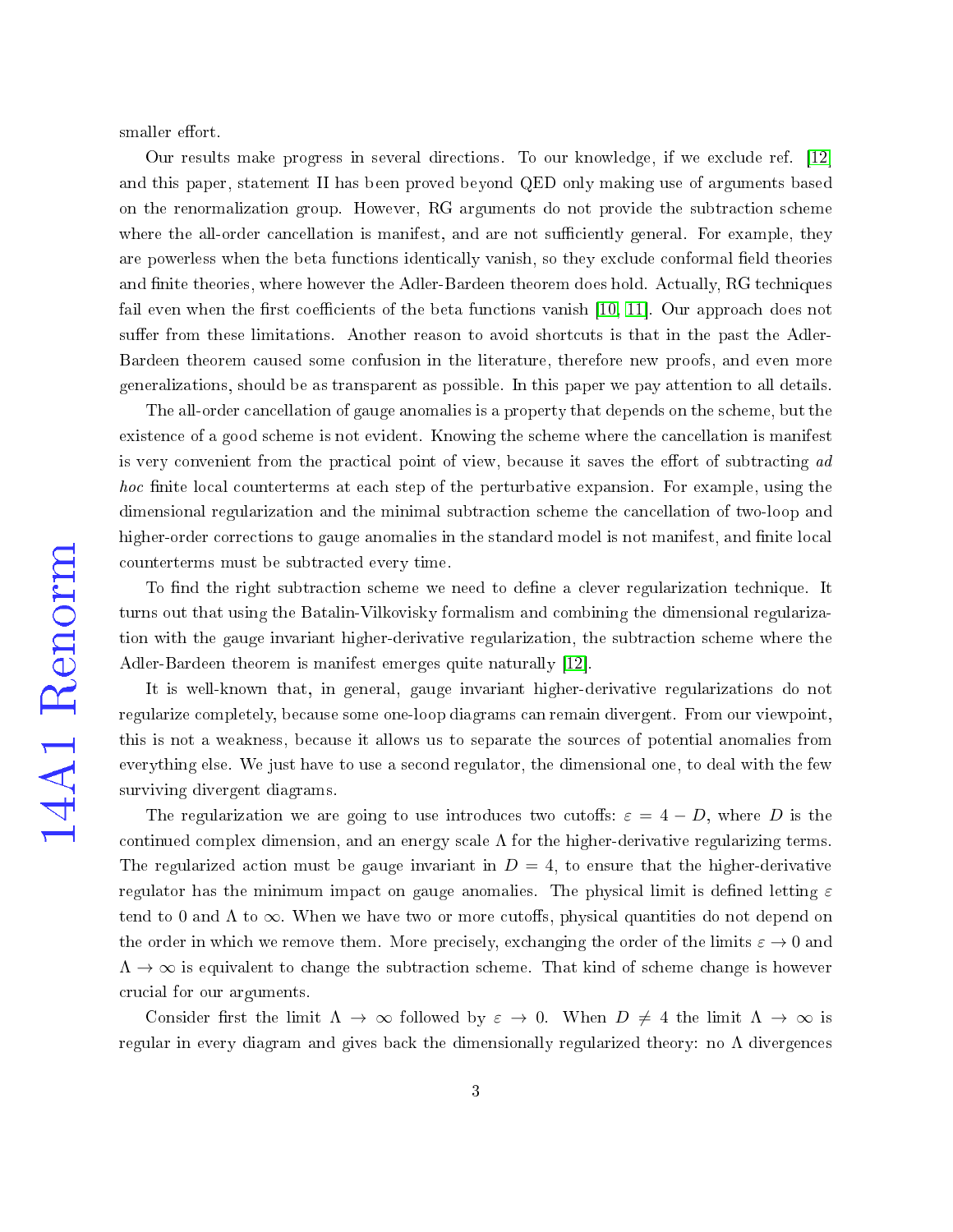smaller effort.

Our results make progress in several directions. To our knowledge, if we exclude ref. [\[12\]](#page-41-11) and this paper, statement II has been proved beyond QED only making use of arguments based on the renormalization group. However, RG arguments do not provide the subtraction scheme where the all-order cancellation is manifest, and are not sufficiently general. For example, they are powerless when the beta functions identically vanish, so they exclude conformal field theories and finite theories, where however the Adler-Bardeen theorem does hold. Actually, RG techniques fail even when the first coefficients of the beta functions vanish  $[10, 11]$  $[10, 11]$  $[10, 11]$ . Our approach does not suffer from these limitations. Another reason to avoid shortcuts is that in the past the Adler-Bardeen theorem caused some confusion in the literature, therefore new proofs, and even more generalizations, should be as transparent as possible. In this paper we pay attention to all details.

The all-order cancellation of gauge anomalies is a property that depends on the scheme, but the existence of a good scheme is not evident. Knowing the scheme where the cancellation is manifest is very convenient from the practical point of view, because it saves the effort of subtracting  $ad$ hoc nite local counterterms at each step of the perturbative expansion. For example, using the dimensional regularization and the minimal subtraction scheme the cancellation of two-loop and higher-order corrections to gauge anomalies in the standard model is not manifest, and finite local counterterms must be subtracted every time.

To find the right subtraction scheme we need to define a clever regularization technique. It turns out that using the Batalin-Vilkovisky formalism and combining the dimensional regularization with the gauge invariant higher-derivative regularization, the subtraction scheme where the Adler-Bardeen theorem is manifest emerges quite naturally [\[12\]](#page-41-11).

It is well-known that, in general, gauge invariant higher-derivative regularizations do not regularize completely, because some one-loop diagrams can remain divergent. From our viewpoint, this is not a weakness, because it allows us to separate the sources of potential anomalies from everything else. We just have to use a second regulator, the dimensional one, to deal with the few surviving divergent diagrams.

The regularization we are going to use introduces two cutoffs:  $\varepsilon = 4 - D$ , where D is the continued complex dimension, and an energy scale  $\Lambda$  for the higher-derivative regularizing terms. The regularized action must be gauge invariant in  $D = 4$ , to ensure that the higher-derivative regulator has the minimum impact on gauge anomalies. The physical limit is defined letting  $\varepsilon$ tend to 0 and  $\Lambda$  to  $\infty$ . When we have two or more cutoffs, physical quantities do not depend on the order in which we remove them. More precisely, exchanging the order of the limits  $\varepsilon \to 0$  and  $\Lambda \to \infty$  is equivalent to change the subtraction scheme. That kind of scheme change is however crucial for our arguments.

Consider first the limit  $\Lambda \to \infty$  followed by  $\varepsilon \to 0$ . When  $D \neq 4$  the limit  $\Lambda \to \infty$  is regular in every diagram and gives back the dimensionally regularized theory: no  $\Lambda$  divergences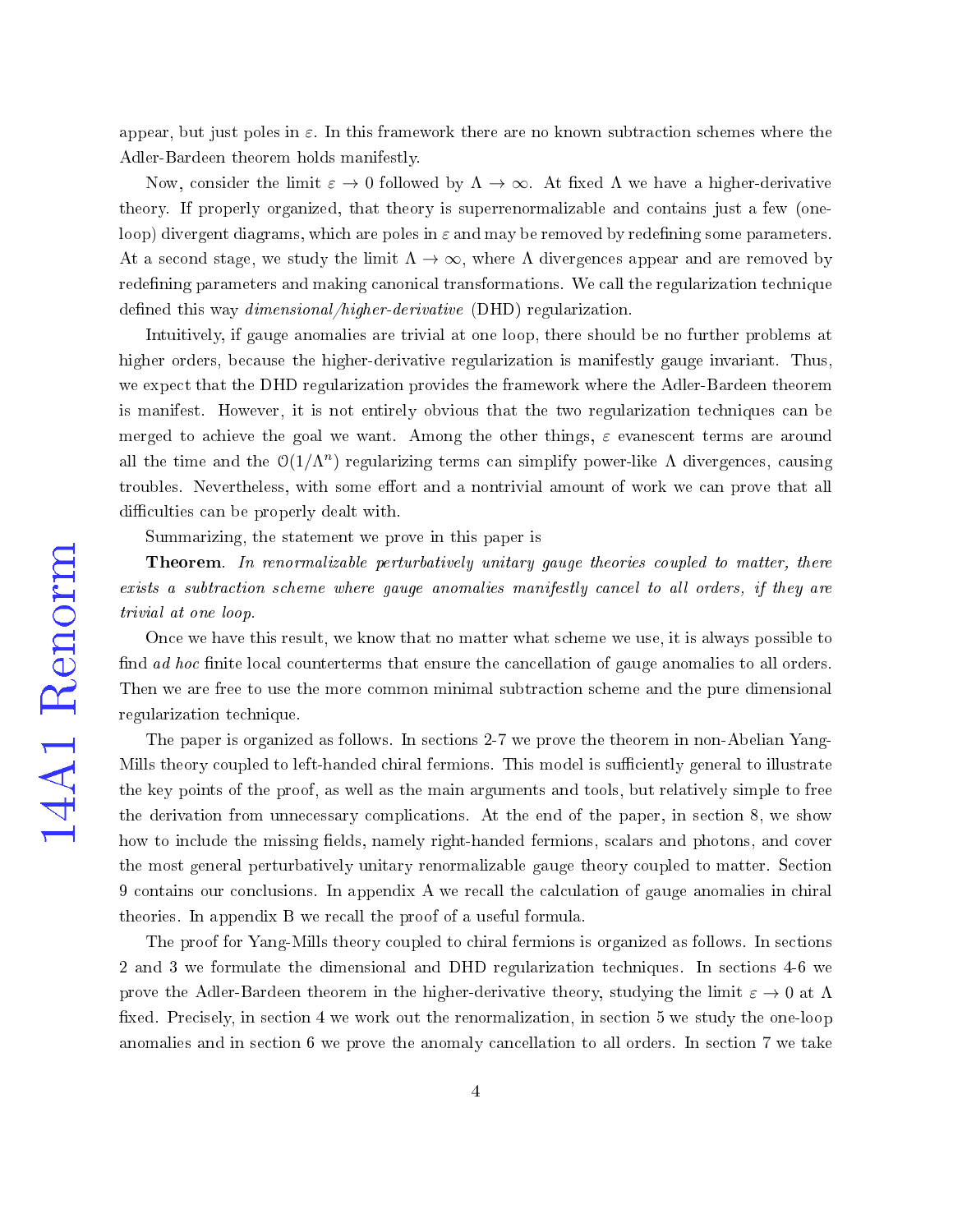appear, but just poles in  $\varepsilon$ . In this framework there are no known subtraction schemes where the Adler-Bardeen theorem holds manifestly.

Now, consider the limit  $\varepsilon \to 0$  followed by  $\Lambda \to \infty$ . At fixed  $\Lambda$  we have a higher-derivative theory. If properly organized, that theory is superrenormalizable and contains just a few (oneloop) divergent diagrams, which are poles in  $\varepsilon$  and may be removed by redefining some parameters. At a second stage, we study the limit  $\Lambda \to \infty$ , where  $\Lambda$  divergences appear and are removed by redefining parameters and making canonical transformations. We call the regularization technique defined this way  $dimensional/higher-derivative$  (DHD) regularization.

Intuitively, if gauge anomalies are trivial at one loop, there should be no further problems at higher orders, because the higher-derivative regularization is manifestly gauge invariant. Thus, we expect that the DHD regularization provides the framework where the Adler-Bardeen theorem is manifest. However, it is not entirely obvious that the two regularization techniques can be merged to achieve the goal we want. Among the other things,  $\varepsilon$  evanescent terms are around all the time and the  $O(1/\Lambda^n)$  regularizing terms can simplify power-like  $\Lambda$  divergences, causing troubles. Nevertheless, with some effort and a nontrivial amount of work we can prove that all difficulties can be properly dealt with.

Summarizing, the statement we prove in this paper is

Theorem. In renormalizable perturbatively unitary gauge theories coupled to matter, there exists <sup>a</sup> subtraction scheme where gauge anomalies manifestly cancel to al l orders, if they are trivial at one loop.

Once we have this result, we know that no matter what scheme we use, it is always possible to find *ad hoc* finite local counterterms that ensure the cancellation of gauge anomalies to all orders. Then we are free to use the more common minimal subtraction scheme and the pure dimensional regularization technique.

The paper is organized as follows. In sections 2-7 we prove the theorem in non-Abelian Yang-Mills theory coupled to left-handed chiral fermions. This model is sufficiently general to illustrate the key points of the proof, as well as the main arguments and tools, but relatively simple to free the derivation from unnecessary complications. At the end of the paper, in section 8, we show how to include the missing fields, namely right-handed fermions, scalars and photons, and cover the most general perturbatively unitary renormalizable gauge theory coupled to matter. Section 9 contains our conclusions. In appendix A we recall the calculation of gauge anomalies in chiral theories. In appendix B we recall the proof of a useful formula.

The proof for Yang-Mills theory coupled to chiral fermions is organized as follows. In sections 2 and 3 we formulate the dimensional and DHD regularization techniques. In sections 4-6 we prove the Adler-Bardeen theorem in the higher-derivative theory, studying the limit  $\varepsilon \to 0$  at  $\Lambda$ fixed. Precisely, in section 4 we work out the renormalization, in section 5 we study the one-loop anomalies and in section 6 we prove the anomaly cancellation to all orders. In section 7 we take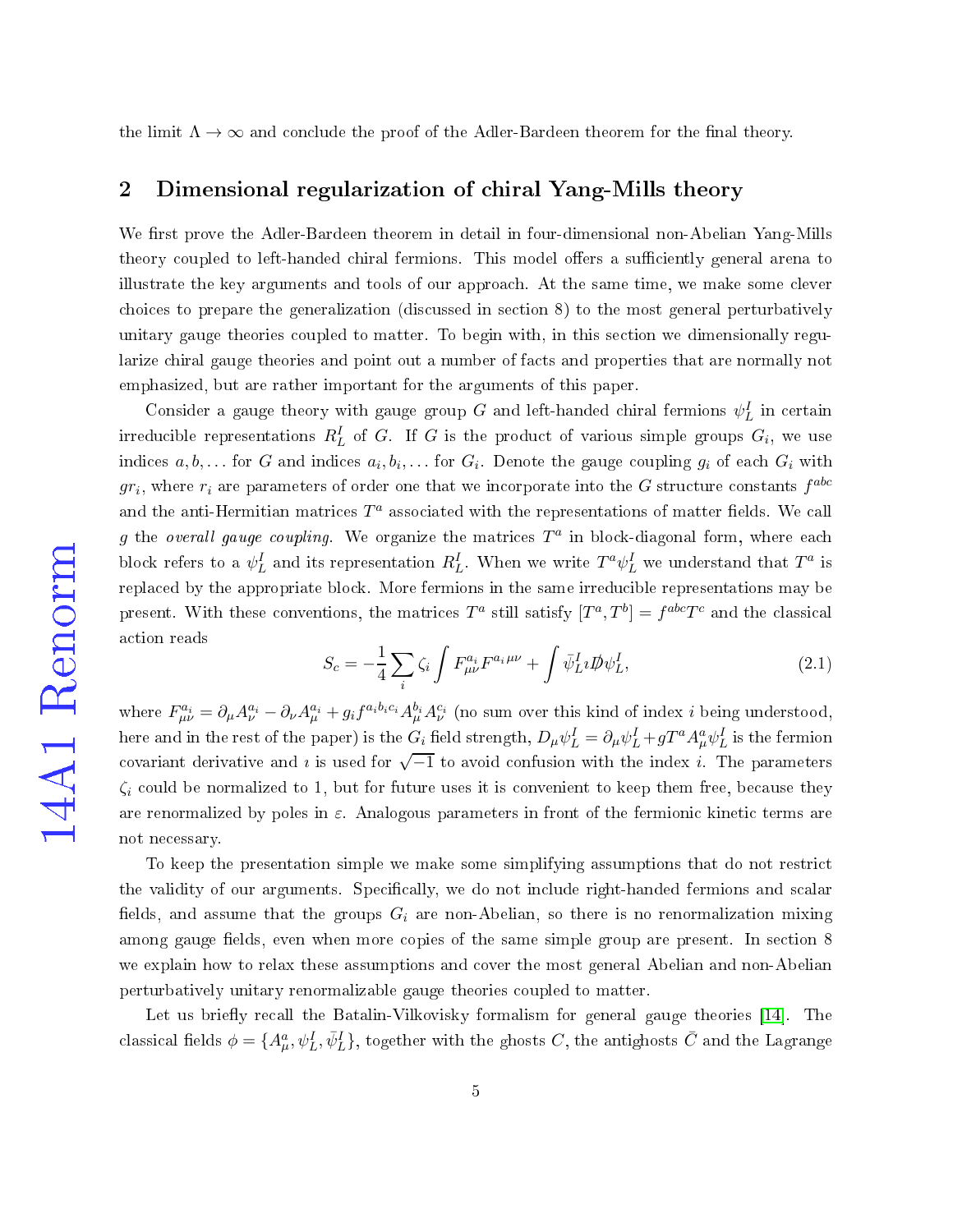the limit  $\Lambda \to \infty$  and conclude the proof of the Adler-Bardeen theorem for the final theory.

### 2 Dimensional regularization of chiral Yang-Mills theory

We first prove the Adler-Bardeen theorem in detail in four-dimensional non-Abelian Yang-Mills theory coupled to left-handed chiral fermions. This model offers a sufficiently general arena to illustrate the key arguments and tools of our approach. At the same time, we make some clever choices to prepare the generalization (discussed in section 8) to the most general perturbatively unitary gauge theories coupled to matter. To begin with, in this section we dimensionally regularize chiral gauge theories and point out a number of facts and properties that are normally not emphasized, but are rather important for the arguments of this paper.

Consider a gauge theory with gauge group  $G$  and left-handed chiral fermions  $\psi_L^I$  in certain irreducible representations  $R_L^I$  of G. If G is the product of various simple groups  $G_i$ , we use indices  $a, b, \ldots$  for  $G$  and indices  $a_i, b_i, \ldots$  for  $G_i$ . Denote the gauge coupling  $g_i$  of each  $G_i$  with  $gr_i,$  where  $r_i$  are parameters of order one that we incorporate into the  $G$  structure constants  $f^{abc}$ and the anti-Hermitian matrices  $T^a$  associated with the representations of matter fields. We call g the overall gauge coupling. We organize the matrices  $T^a$  in block-diagonal form, where each block refers to a  $\psi^I_L$  and its representation  $R^I_L$ . When we write  $T^a \psi^I_L$  we understand that  $T^a$  is replaced by the appropriate block. More fermions in the same irreducible representations may be present. With these conventions, the matrices  $T^a$  still satisfy  $[T^a, T^b] = f^{abc}T^c$  and the classical action reads

<span id="page-4-0"></span>
$$
S_c = -\frac{1}{4} \sum_i \zeta_i \int F_{\mu\nu}^{a_i} F^{a_i \mu\nu} + \int \bar{\psi}_L^I \psi \psi_L^I, \tag{2.1}
$$

where  $F_{\mu\nu}^{a_i} = \partial_\mu A_\nu^{a_i} - \partial_\nu A_\mu^{a_i} + g_i f^{a_i b_i c_i} A_\mu^{b_i} A_\nu^{c_i}$  (no sum over this kind of index *i* being understood, here and in the rest of the paper) is the  $G_i$  field strength,  $D_\mu \psi_L^I=\partial_\mu \psi_L^I+gT^aA_\mu^a\psi_L^I$  is the fermion covariant derivative and *i* is used for  $\sqrt{-1}$  to avoid confusion with the index *i*. The parameters  $\zeta_i$  could be normalized to 1, but for future uses it is convenient to keep them free, because they are renormalized by poles in  $\varepsilon$ . Analogous parameters in front of the fermionic kinetic terms are not necessary.

To keep the presentation simple we make some simplifying assumptions that do not restrict the validity of our arguments. Specifically, we do not include right-handed fermions and scalar fields, and assume that the groups  $G_i$  are non-Abelian, so there is no renormalization mixing among gauge fields, even when more copies of the same simple group are present. In section 8 we explain how to relax these assumptions and cover the most general Abelian and non-Abelian perturbatively unitary renormalizable gauge theories coupled to matter.

Let us briefly recall the Batalin-Vilkovisky formalism for general gauge theories [\[14\]](#page-42-0). The classical fields  $\phi = \{A_\mu^a, \psi_L^I, \bar{\psi}_L^I\},$  together with the ghosts  $C$ , the antighosts  $\bar{C}$  and the Lagrange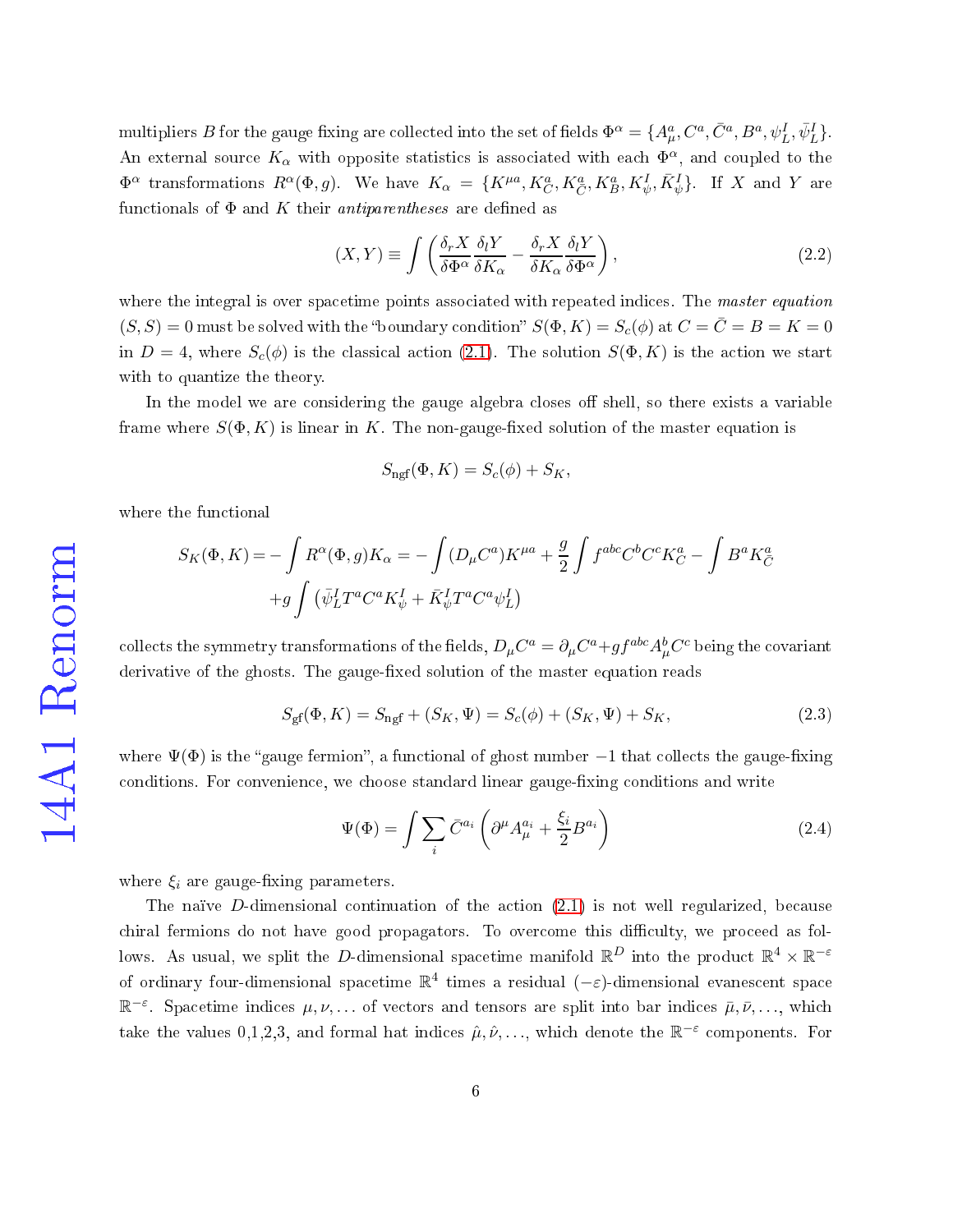multipliers B for the gauge fixing are collected into the set of fields  $\Phi^{\alpha} = \{A_{\mu}^{a}, C^{a}, \bar{C}^{a}, B^{a}, \psi_{L}^{I}, \bar{\psi}_{L}^{I}\}$ . An external source  $K_{\alpha}$  with opposite statistics is associated with each  $\Phi^{\alpha}$ , and coupled to the  $\Phi^{\alpha}$  transformations  $R^{\alpha}(\Phi, g)$ . We have  $K_{\alpha} = \{K^{\mu a}, K_{C}^{a}, K_{\bar{C}}^{a}, K_{\bar{B}}^{a}, K_{\psi}^{I}, \bar{K}_{\psi}^{I}\}$ . If X and Y are functionals of  $\Phi$  and K their antiparentheses are defined as

<span id="page-5-2"></span>
$$
(X,Y) \equiv \int \left( \frac{\delta_r X}{\delta \Phi^\alpha} \frac{\delta_l Y}{\delta K_\alpha} - \frac{\delta_r X}{\delta K_\alpha} \frac{\delta_l Y}{\delta \Phi^\alpha} \right),\tag{2.2}
$$

where the integral is over spacetime points associated with repeated indices. The master equation  $(S, S) = 0$  must be solved with the "boundary condition"  $S(\Phi, K) = S_c(\phi)$  at  $C = \overline{C} = B = K = 0$ in  $D = 4$ , where  $S_c(\phi)$  is the classical action [\(2.1\)](#page-4-0). The solution  $S(\Phi, K)$  is the action we start with to quantize the theory.

In the model we are considering the gauge algebra closes off shell, so there exists a variable frame where  $S(\Phi, K)$  is linear in K. The non-gauge-fixed solution of the master equation is

$$
S_{\text{ngf}}(\Phi, K) = S_c(\phi) + S_K,
$$

where the functional

$$
S_K(\Phi, K) = -\int R^{\alpha}(\Phi, g) K_{\alpha} = -\int (D_{\mu}C^{a}) K^{\mu a} + \frac{g}{2} \int f^{abc} C^b C^c K_C^a - \int B^a K_{\overline{C}}^a
$$

$$
+ g \int (\bar{\psi}_L^I T^a C^a K_{\psi}^I + \bar{K}_{\psi}^I T^a C^a \psi_L^I)
$$

collects the symmetry transformations of the fields,  $D_\mu C^a=\partial_\mu C^a +gf^{abc}A_\mu^b C^c$  being the covariant derivative of the ghosts. The gauge-fixed solution of the master equation reads

<span id="page-5-0"></span>
$$
S_{\rm gf}(\Phi, K) = S_{\rm ngf} + (S_K, \Psi) = S_c(\phi) + (S_K, \Psi) + S_K, \tag{2.3}
$$

where  $\Psi(\Phi)$  is the "gauge fermion", a functional of ghost number  $-1$  that collects the gauge-fixing conditions. For convenience, we choose standard linear gauge-fixing conditions and write

<span id="page-5-1"></span>
$$
\Psi(\Phi) = \int \sum_{i} \bar{C}^{a_i} \left( \partial^{\mu} A_{\mu}^{a_i} + \frac{\xi_i}{2} B^{a_i} \right) \tag{2.4}
$$

where  $\xi_i$  are gauge-fixing parameters.

The naïve D-dimensional continuation of the action  $(2.1)$  is not well regularized, because chiral fermions do not have good propagators. To overcome this difficulty, we proceed as follows. As usual, we split the D-dimensional spacetime manifold  $\mathbb{R}^D$  into the product  $\mathbb{R}^4 \times \mathbb{R}^{-\varepsilon}$ of ordinary four-dimensional spacetime  $\mathbb{R}^4$  times a residual  $(-\varepsilon)$ -dimensional evanescent space  $\mathbb{R}^{-\varepsilon}$ . Spacetime indices  $\mu, \nu, \ldots$  of vectors and tensors are split into bar indices  $\bar{\mu}, \bar{\nu}, \ldots$ , which take the values 0,1,2,3, and formal hat indices  $\hat{\mu}, \hat{\nu}, \ldots$ , which denote the  $\mathbb{R}^{-\varepsilon}$  components. For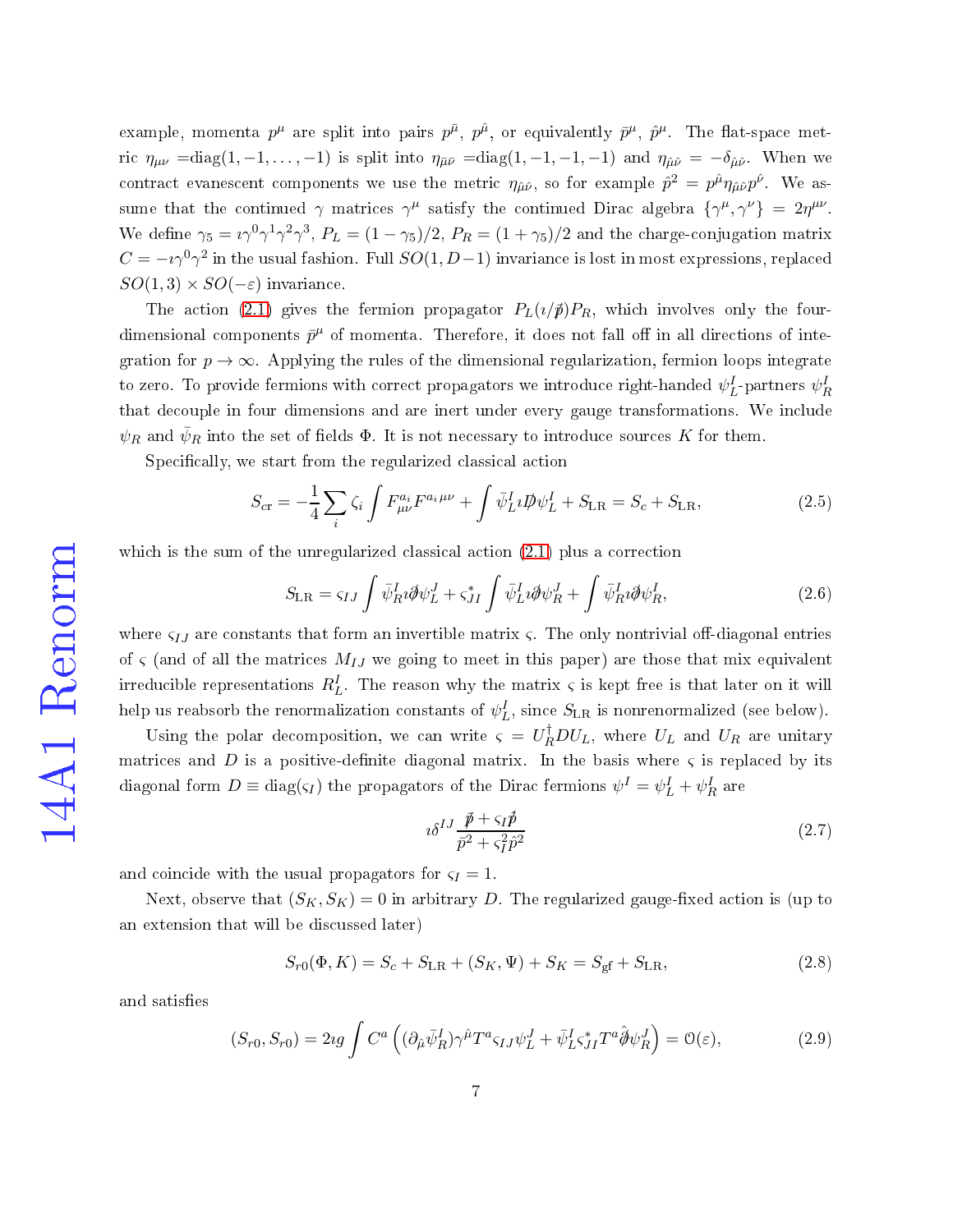example, momenta  $p^{\mu}$  are split into pairs  $p^{\bar{\mu}}, p^{\hat{\mu}},$  or equivalently  $\bar{p}^{\mu}, \hat{p}^{\mu}$ . The flat-space metric  $\eta_{\mu\nu} = \text{diag}(1, -1, \ldots, -1)$  is split into  $\eta_{\bar{\mu}\bar{\nu}} = \text{diag}(1, -1, -1, -1)$  and  $\eta_{\hat{\mu}\hat{\nu}} = -\delta_{\hat{\mu}\hat{\nu}}$ . When we contract evanescent components we use the metric  $\eta_{\hat\mu\hat\nu}$ , so for example  $\hat p^2 = p^{\hat\mu}\eta_{\hat\mu\hat\nu}p^{\hat\nu}$ . We assume that the continued  $\gamma$  matrices  $\gamma^{\mu}$  satisfy the continued Dirac algebra  $\{\gamma^{\mu}, \gamma^{\nu}\} = 2\eta^{\mu\nu}$ . We define  $\gamma_5 = i \gamma^0 \gamma^1 \gamma^2 \gamma^3$ ,  $P_L = (1 - \gamma_5)/2$ ,  $P_R = (1 + \gamma_5)/2$  and the charge-conjugation matrix  $C = -i\gamma^0\gamma^2$  in the usual fashion. Full  $SO(1, D-1)$  invariance is lost in most expressions, replaced  $SO(1,3) \times SO(-\varepsilon)$  invariance.

The action [\(2.1\)](#page-4-0) gives the fermion propagator  $P_L(\nu/\vec{p})P_R$ , which involves only the fourdimensional components  $\bar{p}^{\mu}$  of momenta. Therefore, it does not fall off in all directions of integration for  $p \to \infty$ . Applying the rules of the dimensional regularization, fermion loops integrate to zero. To provide fermions with correct propagators we introduce right-handed  $\psi^I_L$ -partners  $\psi^I_R$ that decouple in four dimensions and are inert under every gauge transformations. We include  $\psi_R$  and  $\psi_R$  into the set of fields  $\Phi$ . It is not necessary to introduce sources K for them.

Specifically, we start from the regularized classical action

$$
S_{\rm cr} = -\frac{1}{4} \sum_{i} \zeta_i \int F_{\mu\nu}^{a_i} F^{a_i \mu\nu} + \int \bar{\psi}_L^I \psi_\nu^I + S_{\rm LR} = S_c + S_{\rm LR},\tag{2.5}
$$

which is the sum of the unregularized classical action  $(2.1)$  plus a correction

<span id="page-6-3"></span>
$$
S_{\text{LR}} = \varsigma_{IJ} \int \bar{\psi}_R^I \iota \partial \psi_L^J + \varsigma_{JI}^* \int \bar{\psi}_L^I \iota \partial \psi_R^J + \int \bar{\psi}_R^I \iota \partial \psi_R^I, \tag{2.6}
$$

where  $\varsigma_{IJ}$  are constants that form an invertible matrix  $\varsigma$ . The only nontrivial off-diagonal entries of  $\varsigma$  (and of all the matrices  $M_{IJ}$  we going to meet in this paper) are those that mix equivalent irreducible representations  $R_L^I$ . The reason why the matrix  $\varsigma$  is kept free is that later on it will help us reabsorb the renormalization constants of  $\psi_L^I$ , since  $S_{\rm LR}$  is nonrenormalized (see below).

Using the polar decomposition, we can write  $\varsigma = U_R^{\dagger} D U_L$ , where  $U_L$  and  $U_R$  are unitary matrices and D is a positive-definite diagonal matrix. In the basis where  $\varsigma$  is replaced by its diagonal form  $D \equiv \text{diag}(\varsigma_I)$  the propagators of the Dirac fermions  $\psi^I = \psi^I_L + \psi^I_R$  are

<span id="page-6-1"></span>
$$
i\delta^{IJ}\frac{\vec{p}+\varsigma_I\vec{p}}{\bar{p}^2+\varsigma_I^2\hat{p}^2} \tag{2.7}
$$

and coincide with the usual propagators for  $\varsigma_I = 1$ .

Next, observe that  $(S_K, S_K) = 0$  in arbitrary D. The regularized gauge-fixed action is (up to an extension that will be discussed later)

<span id="page-6-0"></span>
$$
S_{r0}(\Phi, K) = S_c + S_{LR} + (S_K, \Psi) + S_K = S_{gf} + S_{LR},
$$
\n(2.8)

and satisfies

<span id="page-6-2"></span>
$$
(S_{r0}, S_{r0}) = 2ig \int C^a \left( (\partial_{\hat{\mu}} \bar{\psi}_R^I) \gamma^{\hat{\mu}} T^a \varsigma_{IJ} \psi_L^J + \bar{\psi}_L^I \varsigma_{JI}^* T^a \hat{\partial} \psi_R^J \right) = \mathcal{O}(\varepsilon), \tag{2.9}
$$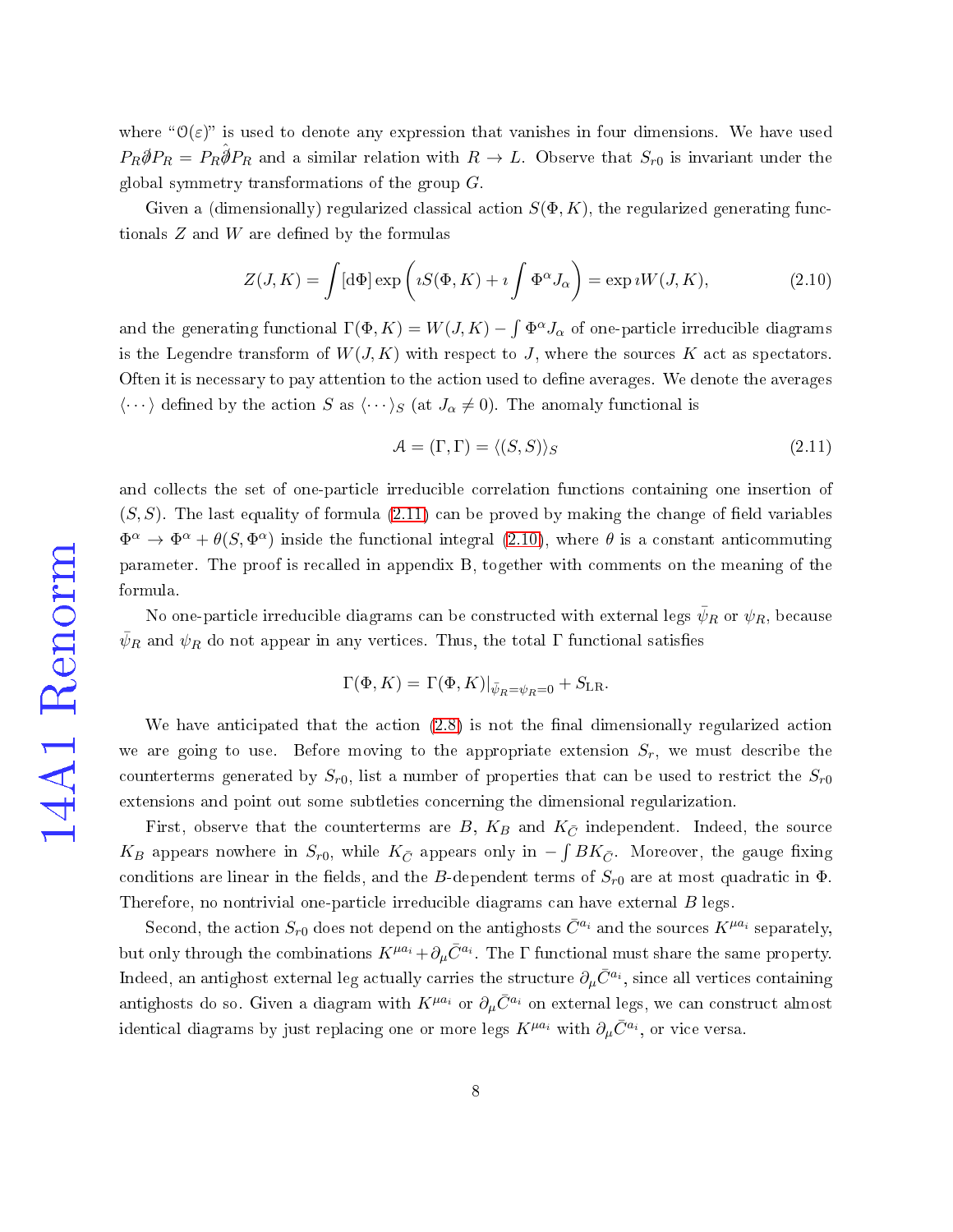where " $\mathcal{O}(\varepsilon)$ " is used to denote any expression that vanishes in four dimensions. We have used  $P_R$  $\partial P_R = P_R \hat{\partial} P_R$  and a similar relation with  $R \to L$ . Observe that  $S_{r0}$  is invariant under the global symmetry transformations of the group  $G$ .

Given a (dimensionally) regularized classical action  $S(\Phi, K)$ , the regularized generating functionals  $Z$  and  $W$  are defined by the formulas

<span id="page-7-1"></span>
$$
Z(J,K) = \int [\mathrm{d}\Phi] \exp\left(iS(\Phi,K) + i\int \Phi^{\alpha} J_{\alpha}\right) = \exp iW(J,K),\tag{2.10}
$$

and the generating functional  $\Gamma(\Phi, K) = W(J, K) - \int \Phi^{\alpha} J_{\alpha}$  of one-particle irreducible diagrams is the Legendre transform of  $W(J, K)$  with respect to J, where the sources K act as spectators. Often it is necessary to pay attention to the action used to define averages. We denote the averages  $\langle \cdots \rangle$  defined by the action S as  $\langle \cdots \rangle_S$  (at  $J_\alpha \neq 0$ ). The anomaly functional is

<span id="page-7-0"></span>
$$
\mathcal{A} = (\Gamma, \Gamma) = \langle (S, S) \rangle_S \tag{2.11}
$$

and collects the set of one-particle irreducible correlation functions containing one insertion of  $(S, S)$ . The last equality of formula  $(2.11)$  can be proved by making the change of field variables  $\Phi^{\alpha} \to \Phi^{\alpha} + \theta(S, \Phi^{\alpha})$  inside the functional integral [\(2.10\)](#page-7-1), where  $\theta$  is a constant anticommuting parameter. The proof is recalled in appendix B, together with comments on the meaning of the formula.

No one-particle irreducible diagrams can be constructed with external legs  $\bar{\psi}_R$  or  $\psi_R$ , because  $\bar{\psi}_R$  and  $\psi_R$  do not appear in any vertices. Thus, the total Γ functional satisfies

$$
\Gamma(\Phi, K) = \Gamma(\Phi, K)|_{\bar{\psi}_R = \psi_R = 0} + S_{\text{LR}}.
$$

We have anticipated that the action  $(2.8)$  is not the final dimensionally regularized action we are going to use. Before moving to the appropriate extension  $S_r$ , we must describe the counterterms generated by  $S_{r0}$ , list a number of properties that can be used to restrict the  $S_{r0}$ extensions and point out some subtleties concerning the dimensional regularization.

First, observe that the counterterms are  $B$ ,  $K_B$  and  $K_{\overline{C}}$  independent. Indeed, the source  $K_B$  appears nowhere in  $S_{r0}$ , while  $K_{\bar{C}}$  appears only in  $-\int BK_{\bar{C}}$ . Moreover, the gauge fixing conditions are linear in the fields, and the B-dependent terms of  $S_{r0}$  are at most quadratic in  $\Phi$ . Therefore, no nontrivial one-particle irreducible diagrams can have external B legs.

Second, the action  $S_{r0}$  does not depend on the antighosts  $\bar{C}^{a_i}$  and the sources  $K^{\mu a_i}$  separately, but only through the combinations  $K^{\mu a_i} + \partial_\mu \bar{C}^{a_i}$ . The  $\Gamma$  functional must share the same property. Indeed, an antighost external leg actually carries the structure  $\partial_\mu\bar{C}^{a_i},$  since all vertices containing antighosts do so. Given a diagram with  $K^{\mu a_i}$  or  $\partial_\mu \bar{C}^{a_i}$  on external legs, we can construct almost identical diagrams by just replacing one or more legs  $K^{\mu a_i}$  with  $\partial_\mu \bar{C}^{a_i}$ , or vice versa.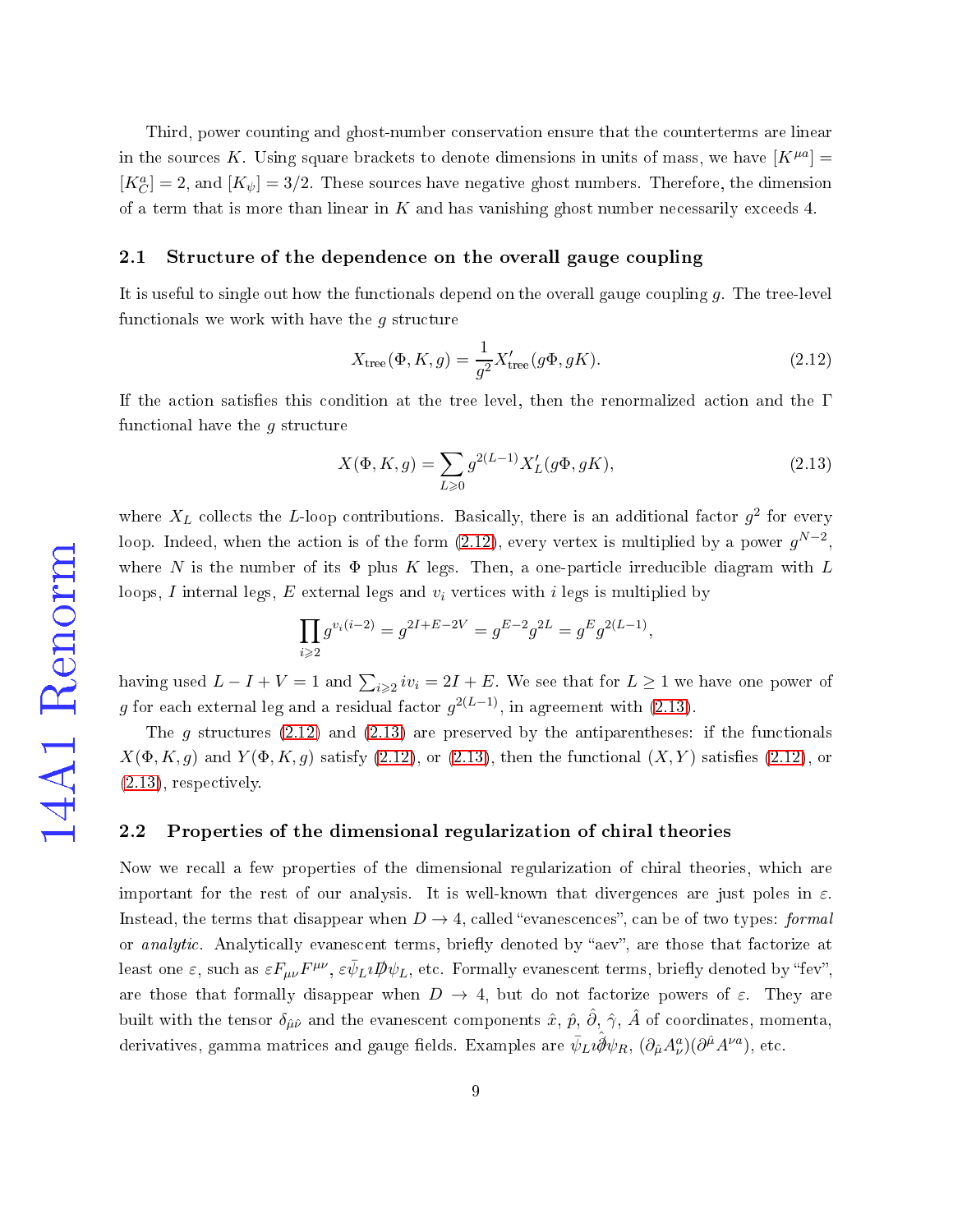Third, power counting and ghost-number conservation ensure that the counterterms are linear in the sources K. Using square brackets to denote dimensions in units of mass, we have  $[K^{\mu a}] =$  $[K_C^a] = 2$ , and  $[K_{\psi}] = 3/2$ . These sources have negative ghost numbers. Therefore, the dimension of a term that is more than linear in  $K$  and has vanishing ghost number necessarily exceeds 4.

#### 2.1Structure of the dependence on the overall gauge coupling

It is useful to single out how the functionals depend on the overall gauge coupling g. The tree-level functionals we work with have the  $q$  structure

<span id="page-8-0"></span>
$$
X_{\text{tree}}(\Phi, K, g) = \frac{1}{g^2} X_{\text{tree}}'(g\Phi, gK).
$$
\n(2.12)

If the action satisfies this condition at the tree level, then the renormalized action and the  $\Gamma$ functional have the g structure

<span id="page-8-1"></span>
$$
X(\Phi, K, g) = \sum_{L \geq 0} g^{2(L-1)} X_L'(g\Phi, gK), \tag{2.13}
$$

where  $X_L$  collects the L-loop contributions. Basically, there is an additional factor  $g^2$  for every loop. Indeed, when the action is of the form  $(2.12)$ , every vertex is multiplied by a power  $g^{N-2}$ , where N is the number of its  $\Phi$  plus K legs. Then, a one-particle irreducible diagram with L loops, I internal legs, E external legs and  $v_i$  vertices with i legs is multiplied by

$$
\prod_{i\geqslant 2} g^{v_i(i-2)} = g^{2I+E-2V} = g^{E-2}g^{2L} = g^E g^{2(L-1)},
$$

having used  $L - I + V = 1$  and  $\sum_{i \geqslant 2} i v_i = 2I + E$ . We see that for  $L \geq 1$  we have one power of g for each external leg and a residual factor  $g^{2(L-1)}$ , in agreement with [\(2.13\)](#page-8-1).

The g structures  $(2.12)$  and  $(2.13)$  are preserved by the antiparentheses: if the functionals  $X(\Phi, K, g)$  and  $Y(\Phi, K, g)$  satisfy [\(2.12\)](#page-8-0), or [\(2.13\)](#page-8-1), then the functional  $(X, Y)$  satisfies (2.12), or [\(2.13\)](#page-8-1), respectively.

#### 2.2Properties of the dimensional regularization of chiral theories

Now we recall a few properties of the dimensional regularization of chiral theories, which are important for the rest of our analysis. It is well-known that divergences are just poles in  $\varepsilon$ . Instead, the terms that disappear when  $D \rightarrow 4$ , called "evanescences", can be of two types: formal or analytic. Analytically evanescent terms, briefly denoted by "aev", are those that factorize at least one  $\varepsilon$ , such as  $\varepsilon F_{\mu\nu}F^{\mu\nu}$ ,  $\varepsilon\bar{\psi}_L\imath\rlap{/}p\psi_L$ , etc. Formally evanescent terms, briefly denoted by "fev", are those that formally disappear when  $D \rightarrow 4$ , but do not factorize powers of  $\varepsilon$ . They are built with the tensor  $\delta_{\hat{\mu}\hat{\nu}}$  and the evanescent components  $\hat{x}$ ,  $\hat{p}$ ,  $\hat{\partial}$ ,  $\hat{\gamma}$ ,  $\hat{A}$  of coordinates, momenta, derivatives, gamma matrices and gauge fields. Examples are  $\bar\psi_L\imath\hat{\partial}\!\!\!\!/ \psi_R,\,(\partial_{\hat\mu}A_\nu^a)(\partial^{\hat\mu}A^{\nu a}),$  etc.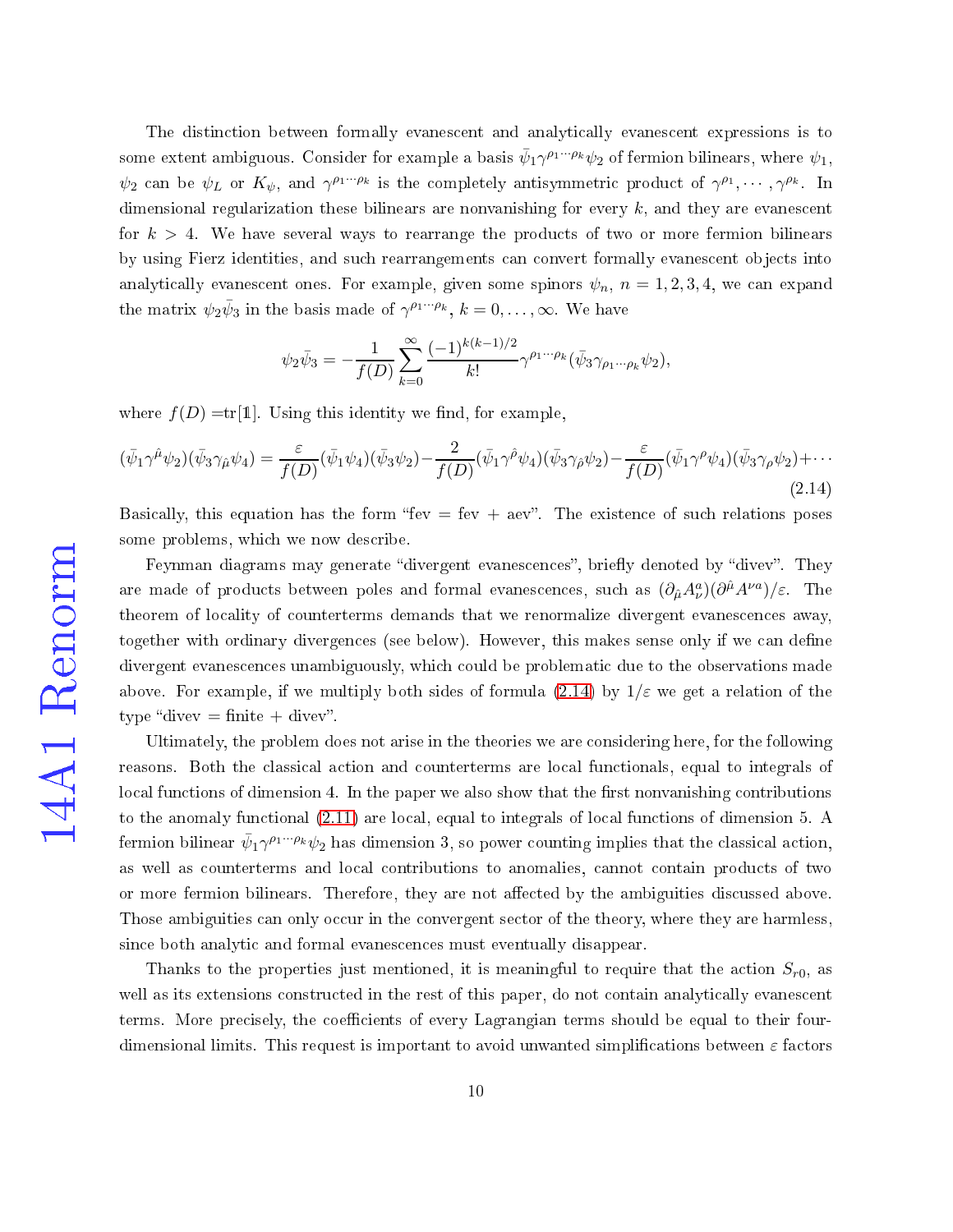The distinction between formally evanescent and analytically evanescent expressions is to some extent ambiguous. Consider for example a basis  $\bar{\psi}_1\gamma^{\rho_1\cdots\rho_k}\psi_2$  of fermion bilinears, where  $\psi_1,$  $\psi_2$  can be  $\psi_L$  or  $K_{\psi}$ , and  $\gamma^{\rho_1\cdots\rho_k}$  is the completely antisymmetric product of  $\gamma^{\rho_1},\cdots,\gamma^{\rho_k}$ . In dimensional regularization these bilinears are nonvanishing for every  $k$ , and they are evanescent for  $k > 4$ . We have several ways to rearrange the products of two or more fermion bilinears by using Fierz identities, and such rearrangements can convert formally evanescent ob jects into analytically evanescent ones. For example, given some spinors  $\psi_n$ ,  $n = 1, 2, 3, 4$ , we can expand the matrix  $\psi_2 \bar{\psi}_3$  in the basis made of  $\gamma^{\rho_1 \cdots \rho_k}$ ,  $k = 0, \ldots, \infty$ . We have

$$
\psi_2 \bar{\psi}_3 = -\frac{1}{f(D)} \sum_{k=0}^{\infty} \frac{(-1)^{k(k-1)/2}}{k!} \gamma^{\rho_1 \cdots \rho_k} (\bar{\psi}_3 \gamma_{\rho_1 \cdots \rho_k} \psi_2),
$$

where  $f(D) = \text{tr}[1]$ . Using this identity we find, for example,

<span id="page-9-0"></span>
$$
(\bar{\psi}_1 \gamma^{\hat{\mu}} \psi_2)(\bar{\psi}_3 \gamma_{\hat{\mu}} \psi_4) = \frac{\varepsilon}{f(D)} (\bar{\psi}_1 \psi_4)(\bar{\psi}_3 \psi_2) - \frac{2}{f(D)} (\bar{\psi}_1 \gamma^{\hat{\rho}} \psi_4)(\bar{\psi}_3 \gamma_{\hat{\rho}} \psi_2) - \frac{\varepsilon}{f(D)} (\bar{\psi}_1 \gamma^{\rho} \psi_4)(\bar{\psi}_3 \gamma_{\rho} \psi_2) + \cdots
$$
\n(2.14)

Basically, this equation has the form "fev = fev + aev". The existence of such relations poses some problems, which we now describe.

Feynman diagrams may generate "divergent evanescences", briefly denoted by "divev". They are made of products between poles and formal evanescences, such as  $(\partial_{\hat{\mu}}A_\nu^a)(\partial^{\hat{\mu}}A^{\nu a})/\varepsilon$ . The theorem of locality of counterterms demands that we renormalize divergent evanescences away, together with ordinary divergences (see below). However, this makes sense only if we can define divergent evanescences unambiguously, which could be problematic due to the observations made above. For example, if we multiply both sides of formula [\(2.14\)](#page-9-0) by  $1/\varepsilon$  we get a relation of the type "divev  $=$  finite  $+$  divev".

Ultimately, the problem does not arise in the theories we are considering here, for the following reasons. Both the classical action and counterterms are local functionals, equal to integrals of local functions of dimension 4. In the paper we also show that the first nonvanishing contributions to the anomaly functional [\(2.11\)](#page-7-0) are local, equal to integrals of local functions of dimension 5. A fermion bilinear  $\bar{\psi}_1\gamma^{\rho_1\cdots\rho_k}\psi_2$  has dimension 3, so power counting implies that the classical action, as well as counterterms and local contributions to anomalies, cannot contain products of two or more fermion bilinears. Therefore, they are not affected by the ambiguities discussed above. Those ambiguities can only occur in the convergent sector of the theory, where they are harmless, since both analytic and formal evanescences must eventually disappear.

Thanks to the properties just mentioned, it is meaningful to require that the action  $S_{r0}$ , as well as its extensions constructed in the rest of this paper, do not contain analytically evanescent terms. More precisely, the coefficients of every Lagrangian terms should be equal to their fourdimensional limits. This request is important to avoid unwanted simplifications between  $\varepsilon$  factors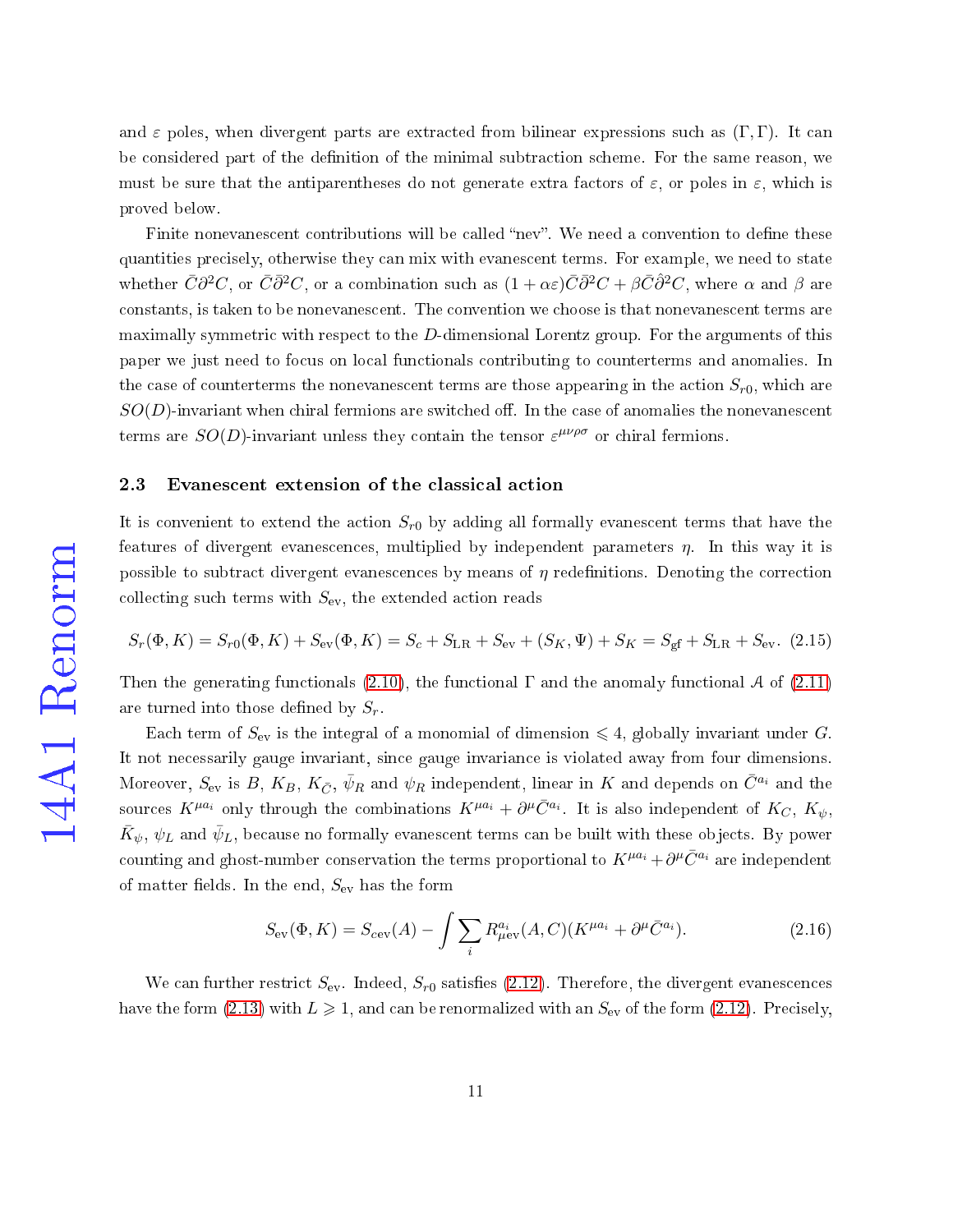and  $\varepsilon$  poles, when divergent parts are extracted from bilinear expressions such as  $(\Gamma, \Gamma)$ . It can be considered part of the denition of the minimal subtraction scheme. For the same reason, we must be sure that the antiparentheses do not generate extra factors of  $\varepsilon$ , or poles in  $\varepsilon$ , which is proved below.

Finite nonevanescent contributions will be called "nev". We need a convention to define these quantities precisely, otherwise they can mix with evanescent terms. For example, we need to state whether  $\bar{C}\partial^2C$ , or  $\bar{C}\bar{\partial}^2C$ , or a combination such as  $(1+\alpha\varepsilon)\bar{C}\bar{\partial}^2C + \beta\bar{C}\hat{\partial}^2C$ , where  $\alpha$  and  $\beta$  are constants, is taken to be nonevanescent. The convention we choose is that nonevanescent terms are maximally symmetric with respect to the D-dimensional Lorentz group. For the arguments of this paper we just need to focus on local functionals contributing to counterterms and anomalies. In the case of counterterms the nonevanescent terms are those appearing in the action  $S_{r0}$ , which are  $SO(D)$ -invariant when chiral fermions are switched off. In the case of anomalies the nonevanescent terms are  $SO(D)$ -invariant unless they contain the tensor  $\varepsilon^{\mu\nu\rho\sigma}$  or chiral fermions.

#### 2.3Evanescent extension of the classical action

It is convenient to extend the action  $S_{r0}$  by adding all formally evanescent terms that have the features of divergent evanescences, multiplied by independent parameters  $\eta$ . In this way it is possible to subtract divergent evanescences by means of  $\eta$  redefinitions. Denoting the correction collecting such terms with  $S_{\text{ev}}$ , the extended action reads

<span id="page-10-0"></span>
$$
S_r(\Phi, K) = S_{r0}(\Phi, K) + S_{\text{ev}}(\Phi, K) = S_c + S_{\text{LR}} + S_{\text{ev}} + (S_K, \Psi) + S_K = S_{\text{gf}} + S_{\text{LR}} + S_{\text{ev}}.
$$
 (2.15)

Then the generating functionals [\(2.10\)](#page-7-1), the functional  $\Gamma$  and the anomaly functional A of [\(2.11\)](#page-7-0) are turned into those defined by  $S_r$ .

Each term of  $S_{\text{ev}}$  is the integral of a monomial of dimension  $\leq 4$ , globally invariant under G. It not necessarily gauge invariant, since gauge invariance is violated away from four dimensions. Moreover,  $S_{ev}$  is B,  $K_B$ ,  $K_{\bar{C}}$ ,  $\bar{\psi}_R$  and  $\psi_R$  independent, linear in K and depends on  $\bar{C}^{a_i}$  and the sources  $K^{\mu a_i}$  only through the combinations  $K^{\mu a_i} + \partial^{\mu} \bar{C}^{a_i}$ . It is also independent of  $K_C, K_{\psi},$  $\bar K_\psi, \, \psi_L$  and  $\bar \psi_L,$  because no formally evanescent terms can be built with these objects. By power counting and ghost-number conservation the terms proportional to  $K^{\mu a_i} + \partial^\mu \bar{C}^{a_i}$  are independent of matter fields. In the end,  $S_{ev}$  has the form

<span id="page-10-1"></span>
$$
S_{\rm ev}(\Phi, K) = S_{\rm cev}(A) - \int \sum_{i} R_{\mu \rm ev}^{a_i}(A, C)(K^{\mu a_i} + \partial^{\mu} \bar{C}^{a_i}). \tag{2.16}
$$

We can further restrict  $S_{ev}$ . Indeed,  $S_{r0}$  satisfies [\(2.12\)](#page-8-0). Therefore, the divergent evanescences have the form [\(2.13\)](#page-8-1) with  $L \ge 1$ , and can be renormalized with an  $S_{ev}$  of the form [\(2.12\)](#page-8-0). Precisely,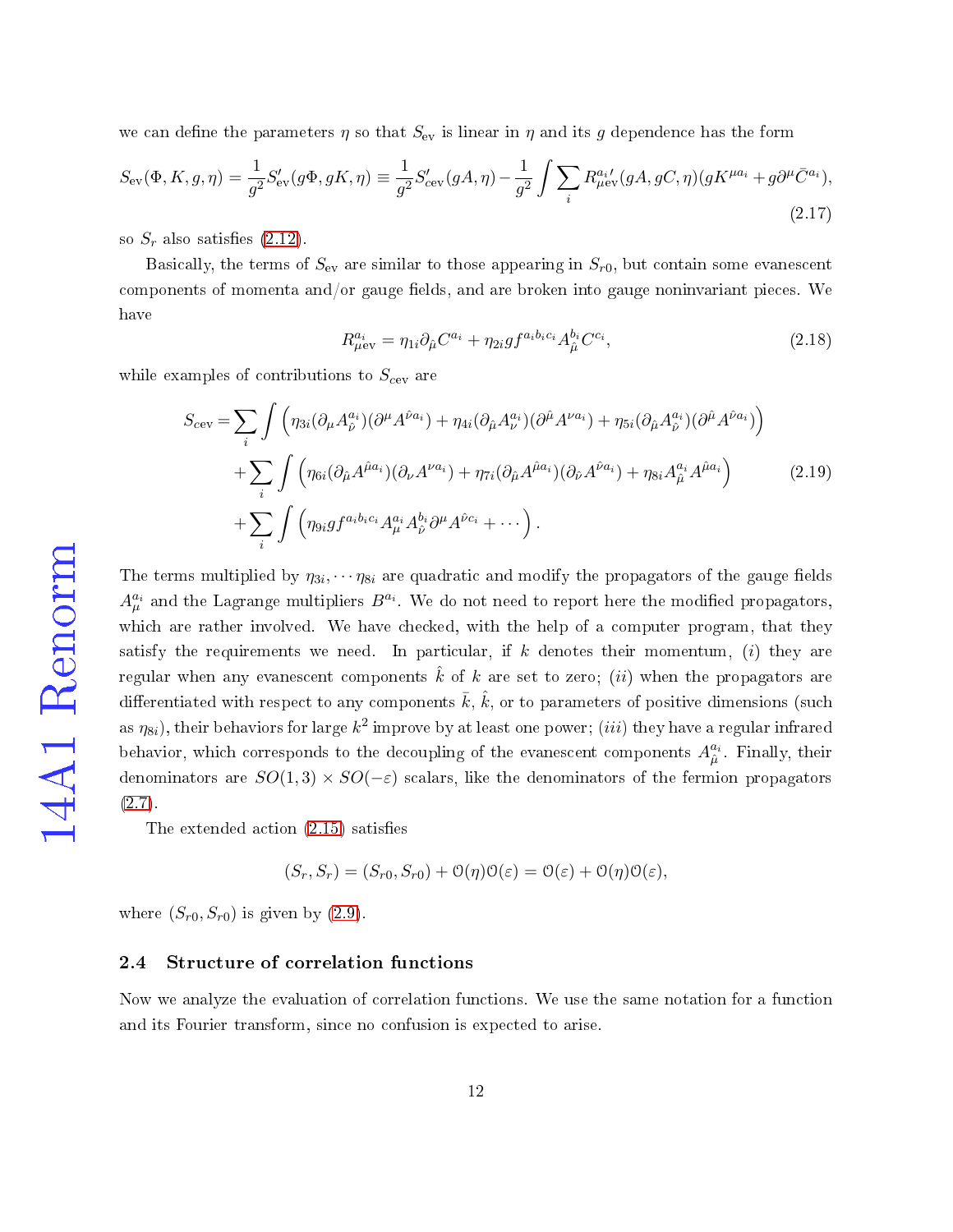we can define the parameters  $\eta$  so that  $S_{ev}$  is linear in  $\eta$  and its g dependence has the form

<span id="page-11-0"></span>
$$
S_{\rm ev}(\Phi, K, g, \eta) = \frac{1}{g^2} S_{\rm ev}'(g\Phi, gK, \eta) \equiv \frac{1}{g^2} S_{\rm cev}'(gA, \eta) - \frac{1}{g^2} \int \sum_i R_{\mu \rm ev}^{a_i \prime}(gA, gC, \eta) (gK^{\mu a_i} + g\partial^{\mu} \bar{C}^{a_i}),
$$
\n(2.17)

so  $S_r$  also satisfies  $(2.12)$ .

Basically, the terms of  $S_{ev}$  are similar to those appearing in  $S_{r0}$ , but contain some evanescent components of momenta and/or gauge fields, and are broken into gauge noninvariant pieces. We have

$$
R_{\mu\text{ev}}^{a_i} = \eta_{1i}\partial_{\hat{\mu}}C^{a_i} + \eta_{2i}gf^{a_ib_ic_i}A_{\hat{\mu}}^{b_i}C^{c_i},\tag{2.18}
$$

while examples of contributions to  $S_{\text{cev}}$  are

<span id="page-11-1"></span>
$$
S_{\rm cev} = \sum_{i} \int \left( \eta_{3i} (\partial_{\mu} A_{\hat{\nu}}^{a_i}) (\partial^{\mu} A^{\hat{\nu} a_i}) + \eta_{4i} (\partial_{\hat{\mu}} A_{\nu}^{a_i}) (\partial^{\hat{\mu}} A^{\nu a_i}) + \eta_{5i} (\partial_{\hat{\mu}} A_{\hat{\nu}}^{a_i}) (\partial^{\hat{\mu}} A^{\hat{\nu} a_i}) \right) + \sum_{i} \int \left( \eta_{6i} (\partial_{\hat{\mu}} A^{\hat{\mu} a_i}) (\partial_{\nu} A^{\nu a_i}) + \eta_{7i} (\partial_{\hat{\mu}} A^{\hat{\mu} a_i}) (\partial_{\hat{\nu}} A^{\hat{\nu} a_i}) + \eta_{8i} A_{\hat{\mu}}^{a_i} A^{\hat{\mu} a_i} \right) + \sum_{i} \int \left( \eta_{9i} g f^{a_i b_i c_i} A^{\hat{a}}_{\mu} A^{\hat{b}}_{\hat{\nu}} \partial^{\mu} A^{\hat{\nu} c_i} + \cdots \right).
$$
 (2.19)

The terms multiplied by  $\eta_{3i},\cdots \eta_{8i}$  are quadratic and modify the propagators of the gauge fields  $A_{\mu}^{a_i}$  and the Lagrange multipliers  $B^{a_i}$ . We do not need to report here the modified propagators, which are rather involved. We have checked, with the help of a computer program, that they satisfy the requirements we need. In particular, if k denotes their momentum,  $(i)$  they are regular when any evanescent components  $\hat{k}$  of k are set to zero; (ii) when the propagators are differentiated with respect to any components  $\bar{k}$ ,  $\hat{k}$ , or to parameters of positive dimensions (such as  $\eta_{8i})$ , their behaviors for large  $k^2$  improve by at least one power;  $(iii)$  they have a regular infrared behavior, which corresponds to the decoupling of the evanescent components  $A_{\hat{\mu}}^{a_i}$ . Finally, their denominators are  $SO(1,3) \times SO(-\varepsilon)$  scalars, like the denominators of the fermion propagators  $(2.7).$  $(2.7).$ 

The extended action  $(2.15)$  satisfies

$$
(S_r, S_r) = (S_{r0}, S_{r0}) + O(\eta)O(\varepsilon) = O(\varepsilon) + O(\eta)O(\varepsilon),
$$

where  $(S_{r0}, S_{r0})$  is given by  $(2.9)$ .

#### 2.4Structure of correlation functions

Now we analyze the evaluation of correlation functions. We use the same notation for a function and its Fourier transform, since no confusion is expected to arise.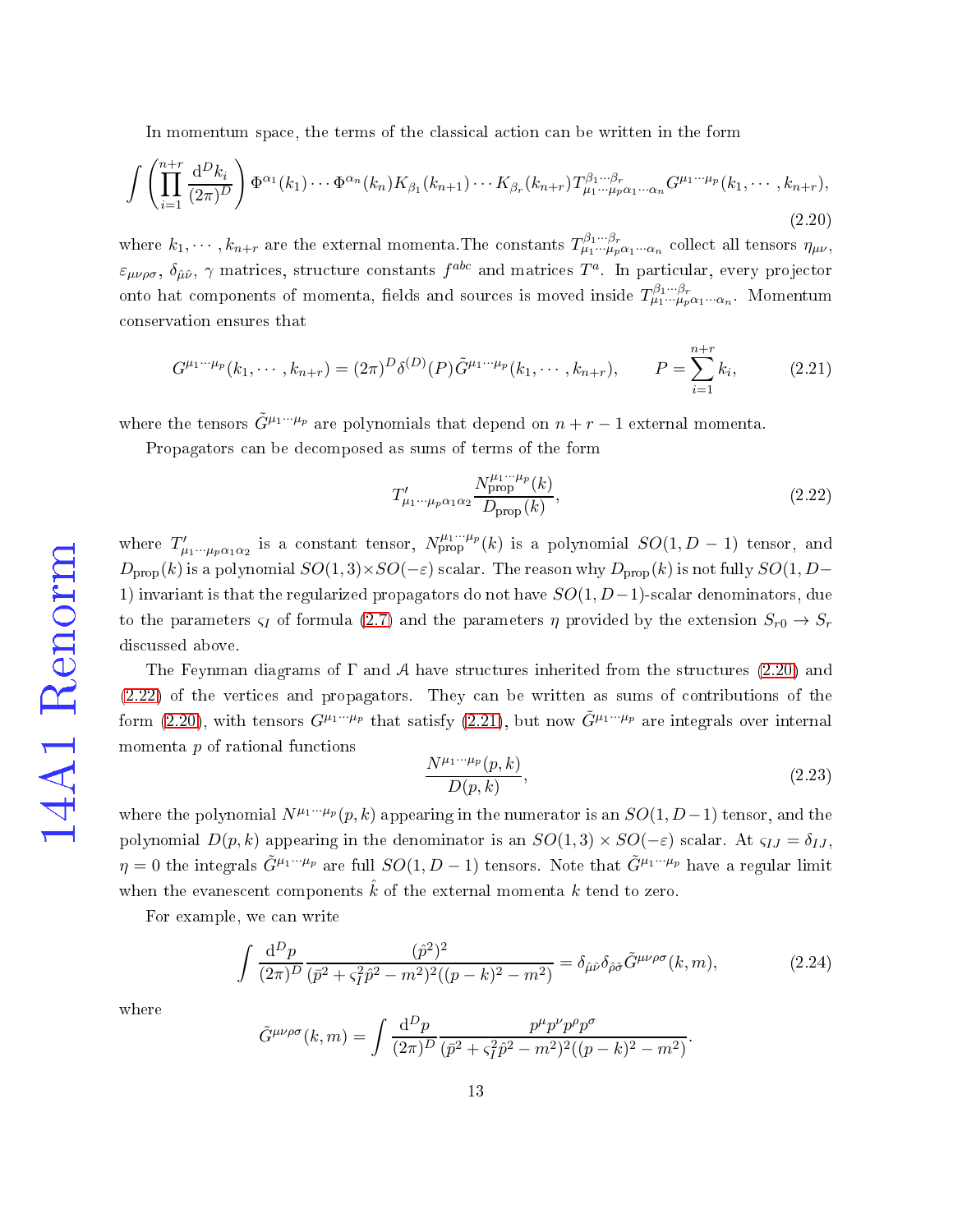In momentum space, the terms of the classical action can be written in the form

<span id="page-12-0"></span>
$$
\int \left(\prod_{i=1}^{n+r} \frac{\mathrm{d}^D k_i}{(2\pi)^D} \right) \Phi^{\alpha_1}(k_1) \cdots \Phi^{\alpha_n}(k_n) K_{\beta_1}(k_{n+1}) \cdots K_{\beta_r}(k_{n+r}) T^{\beta_1 \cdots \beta_r}_{\mu_1 \cdots \mu_p \alpha_1 \cdots \alpha_n} G^{\mu_1 \cdots \mu_p}(k_1, \cdots, k_{n+r}),
$$
\n(2.20)

where  $k_1, \dots, k_{n+r}$  are the external momenta. The constants  $T^{\beta_1 \dots \beta_r}_{\mu_1 \dots \mu_p \alpha_1 \dots \alpha_n}$  collect all tensors  $\eta_{\mu\nu}$ ,  $\varepsilon_{\mu\nu\rho\sigma}$ ,  $\delta_{\hat\mu\hat\nu}$ ,  $\gamma$  matrices, structure constants  $f^{abc}$  and matrices  $T^a$ . In particular, every projector onto hat components of momenta, fields and sources is moved inside  $T^{\beta_1 \cdots \beta_r}_{\mu_1 \cdots \mu_p \alpha_1 \cdots \alpha_n}$ . Momentum conservation ensures that

<span id="page-12-2"></span>
$$
G^{\mu_1\cdots\mu_p}(k_1,\cdots,k_{n+r}) = (2\pi)^D \delta^{(D)}(P) \tilde{G}^{\mu_1\cdots\mu_p}(k_1,\cdots,k_{n+r}), \qquad P = \sum_{i=1}^{n+r} k_i,
$$
 (2.21)

where the tensors  $\tilde{G}^{\mu_1\cdots\mu_p}$  are polynomials that depend on  $n+r-1$  external momenta.

Propagators can be decomposed as sums of terms of the form

<span id="page-12-1"></span>
$$
T'_{\mu_1\cdots\mu_p\alpha_1\alpha_2} \frac{N^{\mu_1\cdots\mu_p}_{\text{prop}}(k)}{D_{\text{prop}}(k)},
$$
\n(2.22)

where  $T'_{\mu_1\cdots\mu_p\alpha_1\alpha_2}$  is a constant tensor,  $N_{\text{prop}}^{\mu_1\cdots\mu_p}(k)$  is a polynomial  $SO(1, D - 1)$  tensor, and  $D_{\text{prop}}(k)$  is a polynomial  $SO(1,3)\times SO(-\varepsilon)$  scalar. The reason why  $D_{\text{prop}}(k)$  is not fully  $SO(1,D-\varepsilon)$ 1) invariant is that the regularized propagators do not have  $SO(1, D-1)$ -scalar denominators, due to the parameters  $\varsigma_I$  of formula [\(2.7\)](#page-6-1) and the parameters  $\eta$  provided by the extension  $S_{r0} \to S_r$ discussed above.

The Feynman diagrams of  $\Gamma$  and  $\mathcal A$  have structures inherited from the structures [\(2.20\)](#page-12-0) and [\(2.22\)](#page-12-1) of the vertices and propagators. They can be written as sums of contributions of the form [\(2.20\)](#page-12-0), with tensors  $G^{\mu_1\cdots\mu_p}$  that satisfy [\(2.21\)](#page-12-2), but now  $\tilde{G}^{\mu_1\cdots\mu_p}$  are integrals over internal momenta p of rational functions

$$
\frac{N^{\mu_1\cdots\mu_p}(p,k)}{D(p,k)},\tag{2.23}
$$

where the polynomial  $N^{\mu_1\cdots\mu_p}(p,k)$  appearing in the numerator is an  $SO(1,D-1)$  tensor, and the polynomial  $D(p, k)$  appearing in the denominator is an  $SO(1, 3) \times SO(-\varepsilon)$  scalar. At  $\varsigma_{IJ} = \delta_{IJ}$ .  $\eta = 0$  the integrals  $\tilde{G}^{\mu_1 \cdots \mu_p}$  are full  $SO(1, D - 1)$  tensors. Note that  $\tilde{G}^{\mu_1 \cdots \mu_p}$  have a regular limit when the evanescent components  $\hat{k}$  of the external momenta k tend to zero.

For example, we can write

$$
\int \frac{d^D p}{(2\pi)^D} \frac{(\hat{p}^2)^2}{(\bar{p}^2 + \varsigma_I^2 \hat{p}^2 - m^2)^2 ((p - k)^2 - m^2)} = \delta_{\hat{\mu}\hat{\nu}} \delta_{\hat{\rho}\hat{\sigma}} \tilde{G}^{\mu\nu\rho\sigma}(k, m),
$$
\n(2.24)

where

$$
\tilde{G}^{\mu\nu\rho\sigma}(k,m) = \int \frac{\mathrm{d}^D p}{(2\pi)^D} \frac{p^{\mu} p^{\nu} p^{\rho} p^{\sigma}}{(\bar{p}^2 + \varsigma_I^2 \hat{p}^2 - m^2)^2 ((p-k)^2 - m^2)}.
$$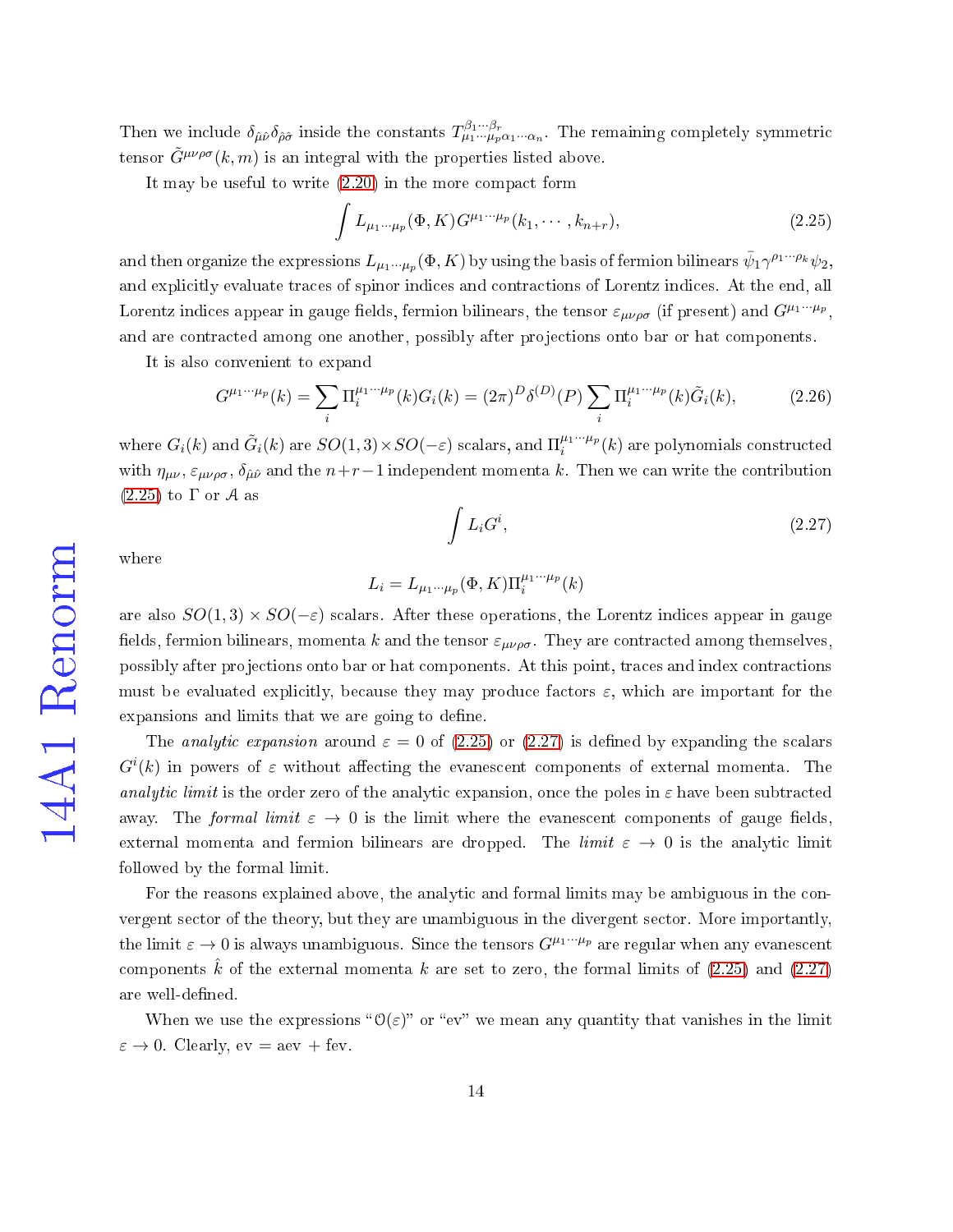Then we include  $\delta_{\hat\mu\hat\nu}\delta_{\hat\rho\hat\sigma}$  inside the constants  $T^{\beta_1\cdots\beta_r}_{\mu_1\cdots\mu_p\alpha_1\cdots\alpha_n}$ . The remaining completely symmetric tensor  $\tilde{G}^{\mu\nu\rho\sigma}(k,m)$  is an integral with the properties listed above.

It may be useful to write [\(2.20\)](#page-12-0) in the more compact form

<span id="page-13-0"></span>
$$
\int L_{\mu_1 \cdots \mu_p}(\Phi, K) G^{\mu_1 \cdots \mu_p}(k_1, \cdots, k_{n+r}), \qquad (2.25)
$$

and then organize the expressions  $L_{\mu_1\cdots\mu_p}(\Phi,K)$  by using the basis of fermion bilinears  $\bar\psi_1\gamma^{\rho_1\cdots\rho_k}\psi_2,$ and explicitly evaluate traces of spinor indices and contractions of Lorentz indices. At the end, all Lorentz indices appear in gauge fields, fermion bilinears, the tensor  $\varepsilon_{\mu\nu\rho\sigma}$  (if present) and  $G^{\mu_1\cdots\mu_p},$ and are contracted among one another, possibly after projections onto bar or hat components.

It is also convenient to expand

<span id="page-13-2"></span>
$$
G^{\mu_1\cdots\mu_p}(k) = \sum_i \Pi_i^{\mu_1\cdots\mu_p}(k) G_i(k) = (2\pi)^D \delta^{(D)}(P) \sum_i \Pi_i^{\mu_1\cdots\mu_p}(k) \tilde{G}_i(k), \tag{2.26}
$$

where  $G_i(k)$  and  $\tilde{G}_i(k)$  are  $SO(1,3) \times SO(-\varepsilon)$  scalars, and  $\Pi_i^{\mu_1 \cdots \mu_p}$  $\sum\limits_i^{\mu_1\cdots\mu_p}(k)$  are polynomials constructed with  $\eta_{\mu\nu}$ ,  $\varepsilon_{\mu\nu\rho\sigma}$ ,  $\delta_{\hat{\mu}\hat{\nu}}$  and the  $n+r-1$  independent momenta k. Then we can write the contribution  $(2.25)$  to  $\Gamma$  or A as

<span id="page-13-1"></span>
$$
\int L_i G^i,\tag{2.27}
$$

where

$$
L_i = L_{\mu_1\cdots\mu_p}(\Phi,K)\Pi_i^{\mu_1\cdots\mu_p}(k)
$$

are also  $SO(1,3) \times SO(-\varepsilon)$  scalars. After these operations, the Lorentz indices appear in gauge fields, fermion bilinears, momenta k and the tensor  $\varepsilon_{\mu\nu\rho\sigma}$ . They are contracted among themselves, possibly after projections onto bar or hat components. At this point, traces and index contractions must be evaluated explicitly, because they may produce factors  $\varepsilon$ , which are important for the expansions and limits that we are going to define.

The analytic expansion around  $\varepsilon = 0$  of [\(2.25\)](#page-13-0) or [\(2.27\)](#page-13-1) is defined by expanding the scalars  $G^{i}(k)$  in powers of  $\varepsilon$  without affecting the evanescent components of external momenta. The analytic limit is the order zero of the analytic expansion, once the poles in  $\varepsilon$  have been subtracted away. The formal limit  $\varepsilon \to 0$  is the limit where the evanescent components of gauge fields. external momenta and fermion bilinears are dropped. The *limit*  $\varepsilon \to 0$  is the analytic limit followed by the formal limit.

For the reasons explained above, the analytic and formal limits may be ambiguous in the convergent sector of the theory, but they are unambiguous in the divergent sector. More importantly, the limit  $\varepsilon \to 0$  is always unambiguous. Since the tensors  $G^{\mu_1\cdots\mu_p}$  are regular when any evanescent components  $\hat{k}$  of the external momenta k are set to zero, the formal limits of [\(2.25\)](#page-13-0) and [\(2.27\)](#page-13-1) are well-defined.

When we use the expressions " $\mathcal{O}(\varepsilon)$ " or "ev" we mean any quantity that vanishes in the limit  $\varepsilon \to 0$ . Clearly,  $ev = aev + fev$ .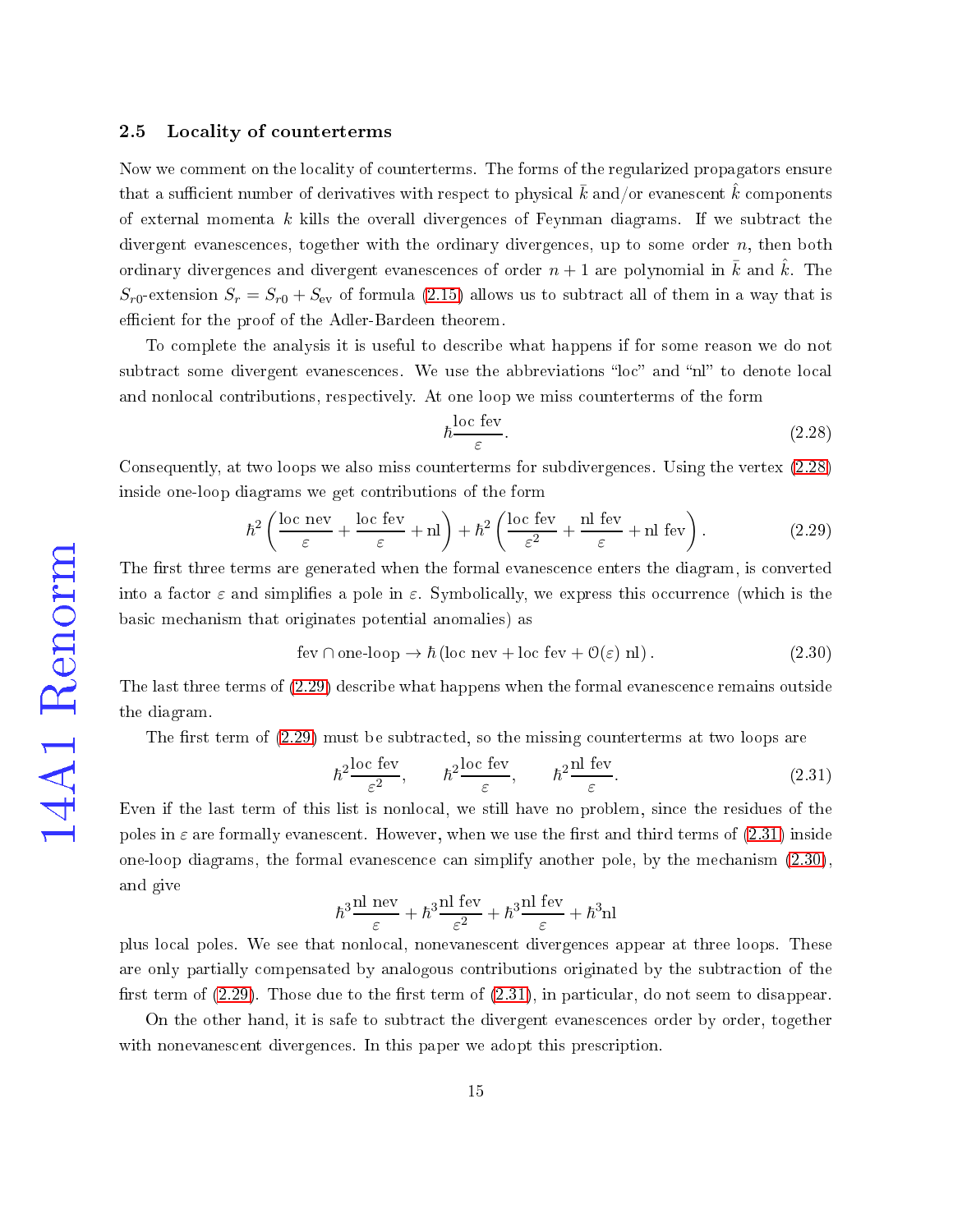#### 2.5 Locality of counterterms

Now we comment on the locality of counterterms. The forms of the regularized propagators ensure that a sufficient number of derivatives with respect to physical  $\bar{k}$  and/or evanescent  $\hat{k}$  components of external momenta  $k$  kills the overall divergences of Feynman diagrams. If we subtract the divergent evanescences, together with the ordinary divergences, up to some order  $n$ , then both ordinary divergences and divergent evanescences of order  $n + 1$  are polynomial in  $\overline{k}$  and  $\hat{k}$ . The  $S_{r0}$ -extension  $S_r = S_{r0} + S_{ev}$  of formula [\(2.15\)](#page-10-0) allows us to subtract all of them in a way that is efficient for the proof of the Adler-Bardeen theorem.

To complete the analysis it is useful to describe what happens if for some reason we do not subtract some divergent evanescences. We use the abbreviations "loc" and "nl" to denote local and nonlocal contributions, respectively. At one loop we miss counterterms of the form

<span id="page-14-0"></span>
$$
\hbar \frac{\text{loc few}}{\varepsilon}.\tag{2.28}
$$

Consequently, at two loops we also miss counterterms for subdivergences. Using the vertex [\(2.28\)](#page-14-0) inside one-loop diagrams we get contributions of the form

<span id="page-14-1"></span>
$$
\hbar^2 \left( \frac{\text{loc new}}{\varepsilon} + \frac{\text{loc few}}{\varepsilon} + \text{nl} \right) + \hbar^2 \left( \frac{\text{loc few}}{\varepsilon^2} + \frac{\text{nl few}}{\varepsilon} + \text{nl few} \right). \tag{2.29}
$$

The first three terms are generated when the formal evanescence enters the diagram, is converted into a factor  $\varepsilon$  and simplifies a pole in  $\varepsilon$ . Symbolically, we express this occurrence (which is the basic mechanism that originates potential anomalies) as

<span id="page-14-3"></span>
$$
fev \cap one-loop \to \hbar \left( loc \text{ new } + \text{ loc } \text{ few } + \mathcal{O}(\varepsilon) \text{ nl} \right). \tag{2.30}
$$

The last three terms of [\(2.29\)](#page-14-1) describe what happens when the formal evanescence remains outside the diagram.

The first term of  $(2.29)$  must be subtracted, so the missing counterterms at two loops are

<span id="page-14-2"></span>
$$
\hbar^2 \frac{\text{loc few}}{\varepsilon^2}, \qquad \hbar^2 \frac{\text{loc few}}{\varepsilon}, \qquad \hbar^2 \frac{\text{nl few}}{\varepsilon}. \tag{2.31}
$$

Even if the last term of this list is nonlocal, we still have no problem, since the residues of the poles in  $\varepsilon$  are formally evanescent. However, when we use the first and third terms of [\(2.31\)](#page-14-2) inside one-loop diagrams, the formal evanescence can simplify another pole, by the mechanism [\(2.30\)](#page-14-3), and give

$$
\hbar^3 \frac{{\rm n}{\rm l}\,\,{\rm nev}}{\varepsilon}+\hbar^3 \frac{{\rm n}{\rm l}\,\,{\rm fev}}{\varepsilon^2}+\hbar^3 \frac{{\rm n}{\rm l}\,\,{\rm fev}}{\varepsilon}+\hbar^3 {\rm n}{\rm l}
$$

plus local poles. We see that nonlocal, nonevanescent divergences appear at three loops. These are only partially compensated by analogous contributions originated by the subtraction of the first term of  $(2.29)$ . Those due to the first term of  $(2.31)$ , in particular, do not seem to disappear.

On the other hand, it is safe to subtract the divergent evanescences order by order, together with nonevanescent divergences. In this paper we adopt this prescription.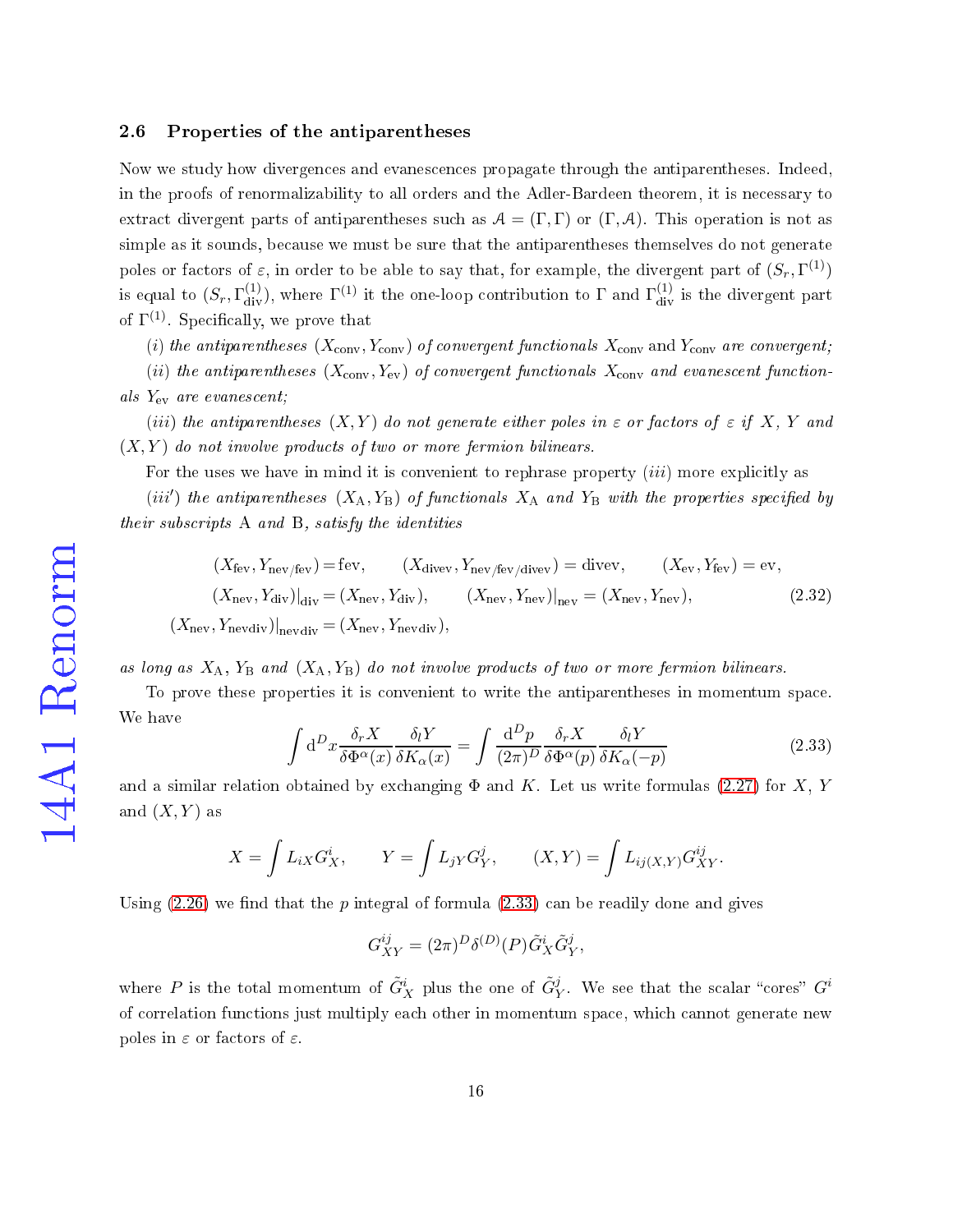#### $2.6\,$ Properties of the antiparentheses

Now we study how divergences and evanescences propagate through the antiparentheses. Indeed, in the proofs of renormalizability to all orders and the Adler-Bardeen theorem, it is necessary to extract divergent parts of antiparentheses such as  $A = (\Gamma, \Gamma)$  or  $(\Gamma, \mathcal{A})$ . This operation is not as simple as it sounds, because we must be sure that the antiparentheses themselves do not generate poles or factors of  $\varepsilon$ , in order to be able to say that, for example, the divergent part of  $(S_r, \Gamma^{(1)})$ is equal to  $(S_r, \Gamma_{div}^{(1)})$ , where  $\Gamma^{(1)}$  it the one-loop contribution to  $\Gamma$  and  $\Gamma_{div}^{(1)}$  is the divergent part of  $\Gamma^{(1)}$ . Specifically, we prove that

(i) the antiparentheses  $(X_{\text{conv}}, Y_{\text{conv}})$  of convergent functionals  $X_{\text{conv}}$  and  $Y_{\text{conv}}$  are convergent;

(ii) the antiparentheses  $(X_{\text{conv}}, Y_{\text{ev}})$  of convergent functionals  $X_{\text{conv}}$  and evanescent functionals Yev are evanescent;

(iii) the antiparentheses  $(X, Y)$  do not generate either poles in  $\varepsilon$  or factors of  $\varepsilon$  if  $X, Y$  and  $(X, Y)$  do not involve products of two or more fermion bilinears.

For the uses we have in mind it is convenient to rephrase property  $(iii)$  more explicitly as

(iii') the antiparentheses  $(X_A, Y_B)$  of functionals  $X_A$  and  $Y_B$  with the properties specified by their subscripts A and B, satisfy the identities

<span id="page-15-1"></span>
$$
(X_{\text{fev}}, Y_{\text{nev/fev}}) = \text{fev}, \qquad (X_{\text{divev}}, Y_{\text{nev/fev/divev}}) = \text{divev}, \qquad (X_{\text{ev}}, Y_{\text{fev}}) = \text{ev},
$$
  

$$
(X_{\text{nev}}, Y_{\text{div}})|_{\text{div}} = (X_{\text{nev}}, Y_{\text{div}}), \qquad (X_{\text{nev}}, Y_{\text{nev}})|_{\text{nev}} = (X_{\text{nev}}, Y_{\text{nev}}),
$$
  

$$
(X_{\text{new}}, Y_{\text{new div}})|_{\text{new div}} = (X_{\text{new}}, Y_{\text{new div}}),
$$
  
(2.32)

as long as  $X_A$ ,  $Y_B$  and  $(X_A, Y_B)$  do not involve products of two or more fermion bilinears.

To prove these properties it is convenient to write the antiparentheses in momentum space. We have

<span id="page-15-0"></span>
$$
\int d^D x \frac{\delta_r X}{\delta \Phi^\alpha(x)} \frac{\delta_l Y}{\delta K_\alpha(x)} = \int \frac{d^D p}{(2\pi)^D} \frac{\delta_r X}{\delta \Phi^\alpha(p)} \frac{\delta_l Y}{\delta K_\alpha(-p)}\tag{2.33}
$$

and a similar relation obtained by exchanging  $\Phi$  and K. Let us write formulas [\(2.27\)](#page-13-1) for X, Y and  $(X, Y)$  as

$$
X = \int L_i X G_X^i, \qquad Y = \int L_j Y G_Y^j, \qquad (X, Y) = \int L_{ij(X, Y)} G_{XY}^{ij}.
$$

Using  $(2.26)$  we find that the p integral of formula  $(2.33)$  can be readily done and gives

$$
G_{XY}^{ij} = (2\pi)^D \delta^{(D)}(P) \tilde{G}_X^i \tilde{G}_Y^j,
$$

where P is the total momentum of  $\tilde{G}_X^i$  plus the one of  $\tilde{G}_Y^j$ . We see that the scalar "cores"  $G^i$ of correlation functions just multiply each other in momentum space, which cannot generate new poles in  $\varepsilon$  or factors of  $\varepsilon$ .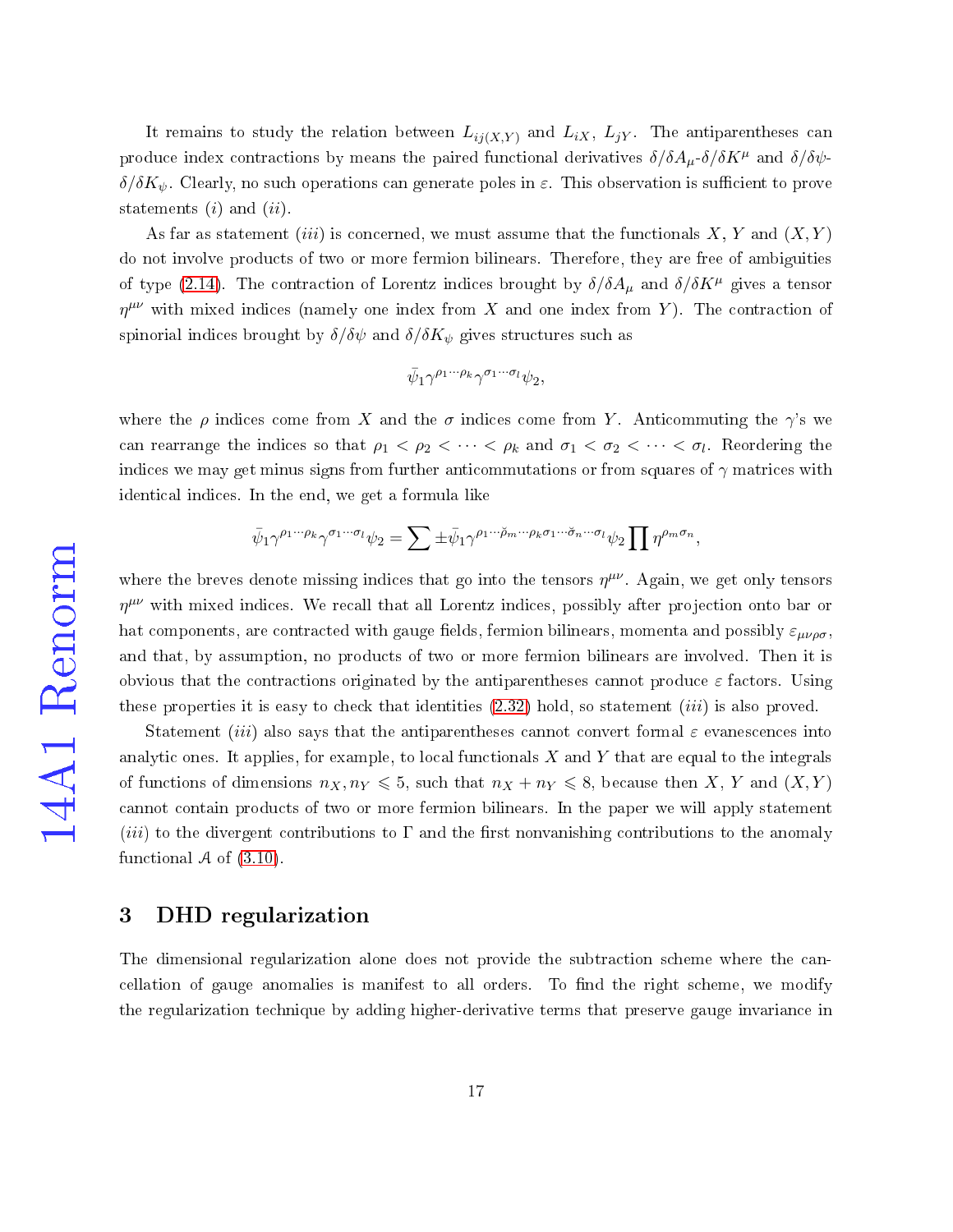It remains to study the relation between  $L_{ij(X,Y)}$  and  $L_{iX}$ ,  $L_{jY}$ . The antiparentheses can produce index contractions by means the paired functional derivatives  $\delta/\delta A_\mu$ - $\delta/\delta K^\mu$  and  $\delta/\delta \psi$ - $\delta/\delta K_\psi$ . Clearly, no such operations can generate poles in  $\varepsilon$ . This observation is sufficient to prove statements  $(i)$  and  $(ii)$ .

As far as statement *(iii)* is concerned, we must assume that the functionals X, Y and  $(X, Y)$ do not involve products of two or more fermion bilinears. Therefore, they are free of ambiguities of type [\(2.14\)](#page-9-0). The contraction of Lorentz indices brought by  $\delta/\delta A_\mu$  and  $\delta/\delta K^\mu$  gives a tensor  $\eta^{\mu\nu}$  with mixed indices (namely one index from X and one index from Y). The contraction of spinorial indices brought by  $\delta/\delta\psi$  and  $\delta/\delta K_{\psi}$  gives structures such as

$$
\bar{\psi}_1\gamma^{\rho_1\cdots\rho_k}\gamma^{\sigma_1\cdots\sigma_l}\psi_2,
$$

where the  $\rho$  indices come from X and the  $\sigma$  indices come from Y. Anticommuting the  $\gamma$ 's we can rearrange the indices so that  $\rho_1 < \rho_2 < \cdots < \rho_k$  and  $\sigma_1 < \sigma_2 < \cdots < \sigma_l$ . Reordering the indices we may get minus signs from further anticommutations or from squares of  $\gamma$  matrices with identical indices. In the end, we get a formula like

$$
\bar{\psi}_1\gamma^{\rho_1\cdots\rho_k}\gamma^{\sigma_1\cdots\sigma_l}\psi_2=\sum\pm\bar{\psi}_1\gamma^{\rho_1\cdots\check{\rho}_m\cdots\rho_k\sigma_1\cdots\check{\sigma}_n\cdots\sigma_l}\psi_2\prod\eta^{\rho_m\sigma_n},
$$

where the breves denote missing indices that go into the tensors  $\eta^{\mu\nu}$ . Again, we get only tensors  $\eta^{\mu\nu}$  with mixed indices. We recall that all Lorentz indices, possibly after projection onto bar or hat components, are contracted with gauge fields, fermion bilinears, momenta and possibly  $\varepsilon_{\mu\nu\rho\sigma}$ . and that, by assumption, no products of two or more fermion bilinears are involved. Then it is obvious that the contractions originated by the antiparentheses cannot produce  $\varepsilon$  factors. Using these properties it is easy to check that identities  $(2.32)$  hold, so statement  $(iii)$  is also proved.

Statement (iii) also says that the antiparentheses cannot convert formal  $\varepsilon$  evanescences into analytic ones. It applies, for example, to local functionals X and Y that are equal to the integrals of functions of dimensions  $n_X, n_Y \leq 5$ , such that  $n_X + n_Y \leq 8$ , because then X, Y and  $(X, Y)$ cannot contain products of two or more fermion bilinears. In the paper we will apply statement (*iii*) to the divergent contributions to  $\Gamma$  and the first nonvanishing contributions to the anomaly functional  $\mathcal A$  of  $(3.10)$ .

### 3 DHD regularization

The dimensional regularization alone does not provide the subtraction scheme where the cancellation of gauge anomalies is manifest to all orders. To find the right scheme, we modify the regularization technique by adding higher-derivative terms that preserve gauge invariance in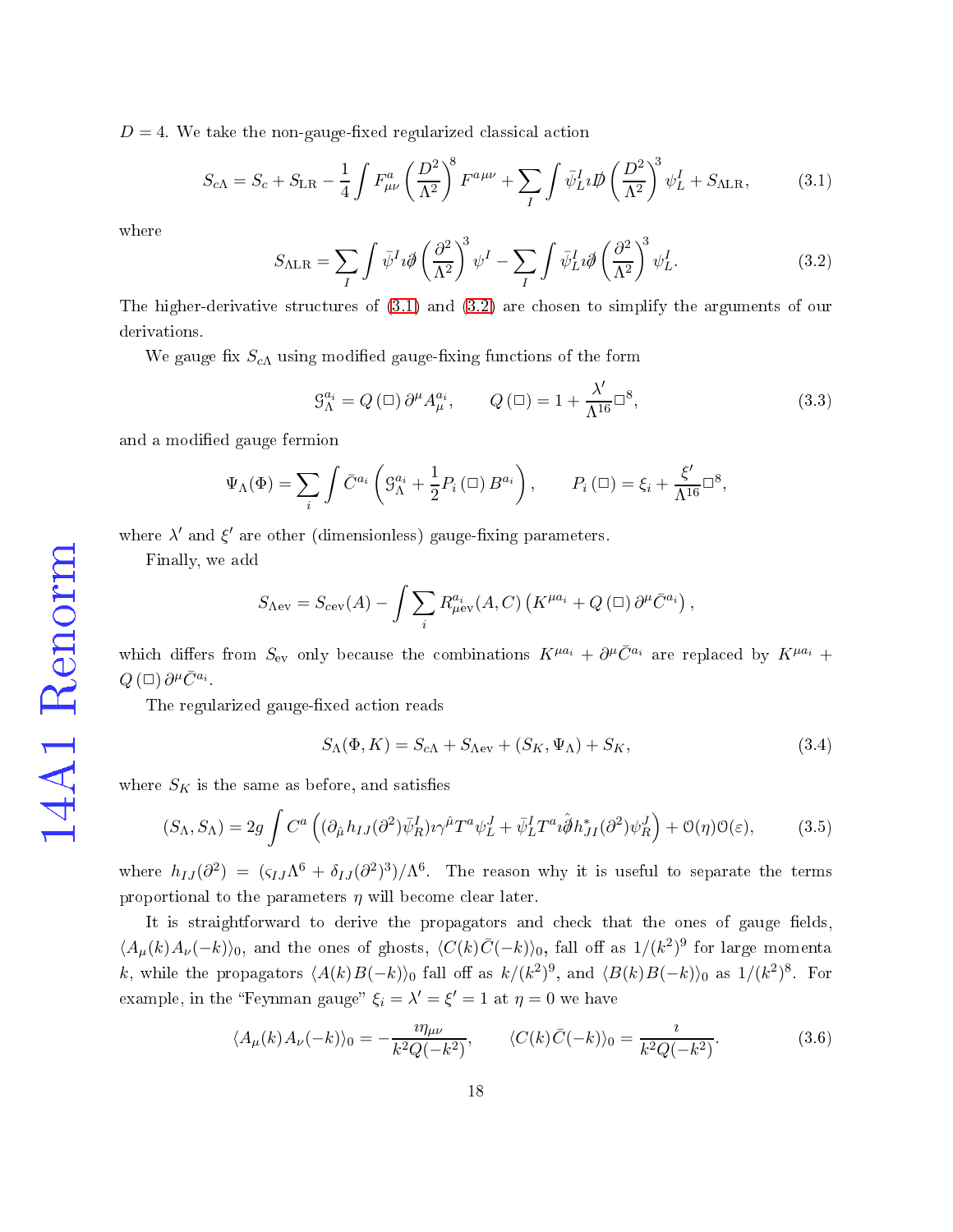$D = 4$ . We take the non-gauge-fixed regularized classical action

<span id="page-17-0"></span>
$$
S_{c\Lambda} = S_c + S_{LR} - \frac{1}{4} \int F^a_{\mu\nu} \left(\frac{D^2}{\Lambda^2}\right)^8 F^{a\mu\nu} + \sum_I \int \bar{\psi}_L^I \psi \left(\frac{D^2}{\Lambda^2}\right)^3 \psi_L^I + S_{\Lambda LR},\tag{3.1}
$$

where

<span id="page-17-1"></span>
$$
S_{\text{ALR}} = \sum_{I} \int \bar{\psi}^{I} \imath \partial \left(\frac{\partial^{2}}{\Lambda^{2}}\right)^{3} \psi^{I} - \sum_{I} \int \bar{\psi}_{L}^{I} \imath \partial \left(\frac{\partial^{2}}{\Lambda^{2}}\right)^{3} \psi_{L}^{I}.
$$
 (3.2)

The higher-derivative structures of [\(3.1\)](#page-17-0) and [\(3.2\)](#page-17-1) are chosen to simplify the arguments of our derivations.

We gauge fix  $S_{c\Lambda}$  using modified gauge-fixing functions of the form

$$
\mathcal{G}_{\Lambda}^{a_{i}} = Q\left(\square\right)\partial^{\mu}A_{\mu}^{a_{i}}, \qquad Q\left(\square\right) = 1 + \frac{\lambda'}{\Lambda^{16}}\square^{8},\tag{3.3}
$$

and a modified gauge fermion

$$
\Psi_{\Lambda}(\Phi) = \sum_{i} \int \bar{C}^{a_i} \left( \mathcal{G}_{\Lambda}^{a_i} + \frac{1}{2} P_i \left( \Box \right) B^{a_i} \right), \qquad P_i \left( \Box \right) = \xi_i + \frac{\xi'}{\Lambda^{16}} \Box^8,
$$

where  $\lambda'$  and  $\xi'$  are other (dimensionless) gauge-fixing parameters.

Finally, we add

$$
S_{\text{Aev}} = S_{\text{cev}}(A) - \int \sum_{i} R_{\mu\text{ev}}^{a_i}(A, C) \left( K^{\mu a_i} + Q\left(\Box\right) \partial^{\mu} \bar{C}^{a_i} \right),
$$

which differs from  $S_{ev}$  only because the combinations  $K^{\mu a_i} + \partial^{\mu} \bar{C}^{a_i}$  are replaced by  $K^{\mu a_i}$  +  $Q\left(\Box\right)\partial^{\mu}\bar{C}^{a_i}.$ 

The regularized gauge-fixed action reads

<span id="page-17-2"></span>
$$
S_{\Lambda}(\Phi, K) = S_{c\Lambda} + S_{\Lambda \text{ev}} + (S_K, \Psi_{\Lambda}) + S_K, \tag{3.4}
$$

where  $S_K$  is the same as before, and satisfies

<span id="page-17-3"></span>
$$
(S_{\Lambda}, S_{\Lambda}) = 2g \int C^{a} \left( (\partial_{\hat{\mu}} h_{IJ} (\partial^2) \bar{\psi}_R^I) i \gamma^{\hat{\mu}} T^a \psi_L^J + \bar{\psi}_L^I T^a i \hat{\partial} h_{JI}^* (\partial^2) \psi_R^J \right) + \mathcal{O}(\eta) \mathcal{O}(\varepsilon), \tag{3.5}
$$

where  $h_{IJ}(\partial^2) = (\varsigma_{IJ}\Lambda^6 + \delta_{IJ}(\partial^2)^3)/\Lambda^6$ . The reason why it is useful to separate the terms proportional to the parameters  $\eta$  will become clear later.

It is straightforward to derive the propagators and check that the ones of gauge fields.  $\langle A_\mu(k) A_\nu(-k) \rangle_0$ , and the ones of ghosts,  $\langle C(k) \overline{C}(-k) \rangle_0$ , fall off as  $1/(k^2)^9$  for large momenta k, while the propagators  $\langle A(k)B(-k)\rangle_0$  fall off as  $k/(k^2)^9$ , and  $\langle B(k)B(-k)\rangle_0$  as  $1/(k^2)^8$ . For example, in the "Feynman gauge"  $\xi_i = \lambda' = \xi' = 1$  at  $\eta = 0$  we have

$$
\langle A_{\mu}(k) A_{\nu}(-k) \rangle_0 = -\frac{i\eta_{\mu\nu}}{k^2 Q(-k^2)}, \qquad \langle C(k)\bar{C}(-k) \rangle_0 = \frac{i}{k^2 Q(-k^2)}.
$$
 (3.6)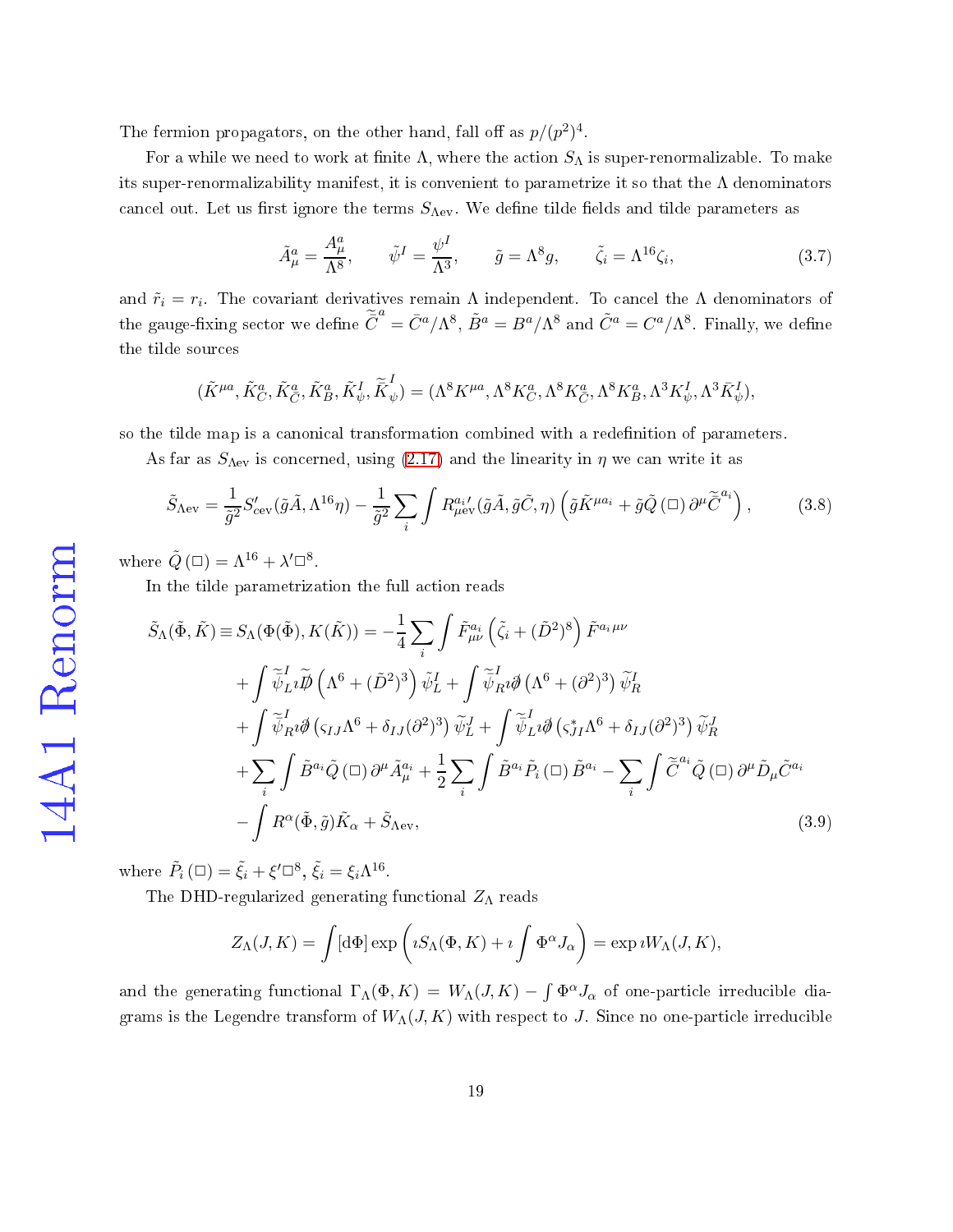The fermion propagators, on the other hand, fall off as  $p/(p^2)^4$ .

For a while we need to work at finite  $\Lambda$ , where the action  $S_\Lambda$  is super-renormalizable. To make its super-renormalizability manifest, it is convenient to parametrize it so that the  $\Lambda$  denominators cancel out. Let us first ignore the terms  $S_{\text{Aev}}$ . We define tilde fields and tilde parameters as

$$
\tilde{A}^a_\mu = \frac{A^a_\mu}{\Lambda^8}, \qquad \tilde{\psi}^I = \frac{\psi^I}{\Lambda^3}, \qquad \tilde{g} = \Lambda^8 g, \qquad \tilde{\zeta}_i = \Lambda^{16} \zeta_i,\tag{3.7}
$$

and  $\tilde{r}_i = r_i$ . The covariant derivatives remain  $\Lambda$  independent. To cancel the  $\Lambda$  denominators of the gauge-fixing sector we define  $\tilde{\overline{C}}^a = \overline{C}^a/\Lambda^8$ ,  $\tilde{B}^a = B^a/\Lambda^8$  and  $\tilde{C}^a = C^a/\Lambda^8$ . Finally, we define the tilde sources

$$
(\tilde{K}^{\mu a}, \tilde{K}^a_C, \tilde{K}^a_{\overline{C}}, \tilde{K}^a_B, \tilde{K}^I_{\psi}, \tilde{\overline{K}}^I_{\psi}) = (\Lambda^8 K^{\mu a}, \Lambda^8 K^a_C, \Lambda^8 K^a_{\overline{C}}, \Lambda^8 K^a_B, \Lambda^3 K^I_{\psi}, \Lambda^3 \overline{K}^I_{\psi}),
$$

so the tilde map is a canonical transformation combined with a redenition of parameters.

As far as  $S_{\text{Aev}}$  is concerned, using [\(2.17\)](#page-11-0) and the linearity in  $\eta$  we can write it as

$$
\tilde{S}_{\Lambda \text{ev}} = \frac{1}{\tilde{g}^2} S_{\text{cev}}'(\tilde{g}\tilde{A}, \Lambda^{16}\eta) - \frac{1}{\tilde{g}^2} \sum_{i} \int R_{\mu \text{ev}}^{a_i}(\tilde{g}\tilde{A}, \tilde{g}\tilde{C}, \eta) \left(\tilde{g}\tilde{K}^{\mu a_i} + \tilde{g}\tilde{Q}(\square)\partial^{\mu}\tilde{\overline{C}}^{a_i}\right),\tag{3.8}
$$

where  $\tilde{Q}(\Box) = \Lambda^{16} + \lambda' \Box^8$ .

In the tilde parametrization the full action reads

$$
\tilde{S}_{\Lambda}(\tilde{\Phi}, \tilde{K}) \equiv S_{\Lambda}(\Phi(\tilde{\Phi}), K(\tilde{K})) = -\frac{1}{4} \sum_{i} \int \tilde{F}_{\mu\nu}^{a_{i}} \left( \tilde{\zeta}_{i} + (\tilde{D}^{2})^{8} \right) \tilde{F}^{a_{i} \mu\nu} \n+ \int \tilde{\psi}_{L}^{I} \tilde{\mu} \left( \Lambda^{6} + (\tilde{D}^{2})^{3} \right) \tilde{\psi}_{L}^{I} + \int \tilde{\psi}_{R}^{I} \tilde{\psi} \left( \Lambda^{6} + (\partial^{2})^{3} \right) \tilde{\psi}_{R}^{I} \n+ \int \tilde{\psi}_{R}^{I} \tilde{\psi} \left( \varsigma_{IJ} \Lambda^{6} + \delta_{IJ} (\partial^{2})^{3} \right) \tilde{\psi}_{L}^{J} + \int \tilde{\psi}_{L}^{I} \tilde{\psi} \left( \varsigma_{JI}^{*} \Lambda^{6} + \delta_{IJ} (\partial^{2})^{3} \right) \tilde{\psi}_{R}^{J} \n+ \sum_{i} \int \tilde{B}^{a_{i}} \tilde{Q} \left( \square \right) \partial^{\mu} \tilde{A}_{\mu}^{a_{i}} + \frac{1}{2} \sum_{i} \int \tilde{B}^{a_{i}} \tilde{P}_{i} \left( \square \right) \tilde{B}^{a_{i}} - \sum_{i} \int \tilde{\tilde{C}}^{a_{i}} \tilde{Q} \left( \square \right) \partial^{\mu} \tilde{D}_{\mu} \tilde{C}^{a_{i}} \n- \int R^{\alpha} (\tilde{\Phi}, \tilde{g}) \tilde{K}_{\alpha} + \tilde{S}_{\Lambda \text{ev}},
$$
\n(3.9)

where  $\tilde{P}_i(\square) = \tilde{\xi}_i + \xi' \square^8$ ,  $\tilde{\xi}_i = \xi_i \Lambda^{16}$ .

The DHD-regularized generating functional  $Z_{\Lambda}$  reads

$$
Z_{\Lambda}(J,K) = \int [\mathrm{d}\Phi] \exp\left(iS_{\Lambda}(\Phi,K) + i \int \Phi^{\alpha} J_{\alpha}\right) = \exp iW_{\Lambda}(J,K),
$$

and the generating functional  $\Gamma_{\Lambda}(\Phi, K) = W_{\Lambda}(J, K) - \int \Phi^{\alpha} J_{\alpha}$  of one-particle irreducible diagrams is the Legendre transform of  $W_{\Lambda}(J, K)$  with respect to J. Since no one-particle irreducible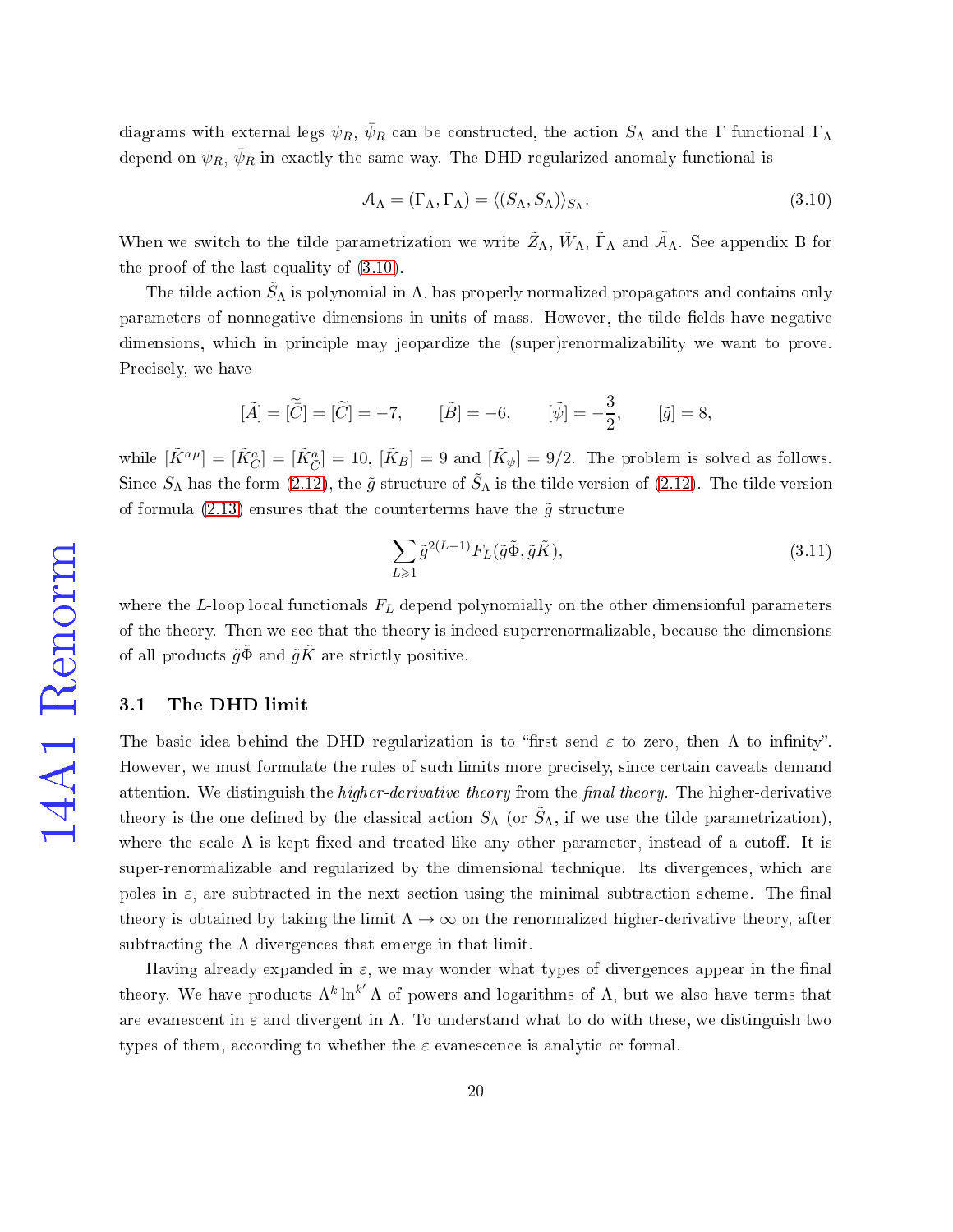diagrams with external legs  $\psi_R$ ,  $\bar{\psi}_R$  can be constructed, the action  $S_\Lambda$  and the Γ functional Γ $_\Lambda$ depend on  $\psi_R$ ,  $\bar{\psi}_R$  in exactly the same way. The DHD-regularized anomaly functional is

<span id="page-19-0"></span>
$$
\mathcal{A}_{\Lambda} = (\Gamma_{\Lambda}, \Gamma_{\Lambda}) = \langle (S_{\Lambda}, S_{\Lambda}) \rangle_{S_{\Lambda}}.
$$
\n(3.10)

When we switch to the tilde parametrization we write  $\tilde{Z}_\Lambda$ ,  $\tilde{W}_\Lambda$ ,  $\tilde{\Gamma}_\Lambda$  and  $\tilde{\mathcal{A}}_\Lambda$ . See appendix B for the proof of the last equality of [\(3.10\)](#page-19-0).

The tilde action  $\tilde S_\Lambda$  is polynomial in  $\Lambda,$  has properly normalized propagators and contains only parameters of nonnegative dimensions in units of mass. However, the tilde fields have negative dimensions, which in principle may jeopardize the (super)renormalizability we want to prove. Precisely, we have

$$
[\tilde{A}] = [\tilde{\tilde{C}}] = [\tilde{C}] = -7,
$$
  $[\tilde{B}] = -6,$   $[\tilde{\psi}] = -\frac{3}{2},$   $[\tilde{g}] = 8,$ 

while  $[\tilde{K}^{a\mu}]=[\tilde{K}^{a}_{C}]=i\tilde{K}^{a}_{C}]=10$ ,  $[\tilde{K}_{B}]=9$  and  $[\tilde{K}_{\psi}]=9/2$ . The problem is solved as follows. Since  $S_\Lambda$  has the form [\(2.12\)](#page-8-0), the  $\tilde{g}$  structure of  $\tilde{S}_\Lambda$  is the tilde version of (2.12). The tilde version of formula [\(2.13\)](#page-8-1) ensures that the counterterms have the  $\tilde{g}$  structure

<span id="page-19-1"></span>
$$
\sum_{L\geqslant 1} \tilde{g}^{2(L-1)} F_L(\tilde{g}\tilde{\Phi}, \tilde{g}\tilde{K}),\tag{3.11}
$$

where the L-loop local functionals  $F_L$  depend polynomially on the other dimensionful parameters of the theory. Then we see that the theory is indeed superrenormalizable, because the dimensions of all products  $\tilde{g}\tilde{\Phi}$  and  $\tilde{g}\tilde{K}$  are strictly positive.

#### 3.1The DHD limit

The basic idea behind the DHD regularization is to "first send  $\varepsilon$  to zero, then  $\Lambda$  to infinity". However, we must formulate the rules of such limits more precisely, since certain caveats demand attention. We distinguish the *higher-derivative theory* from the *final theory*. The higher-derivative theory is the one defined by the classical action  $S_{\Lambda}$  (or  $\tilde{S}_{\Lambda}$ , if we use the tilde parametrization), where the scale  $\Lambda$  is kept fixed and treated like any other parameter, instead of a cutoff. It is super-renormalizable and regularized by the dimensional technique. Its divergences, which are poles in  $\varepsilon$ , are subtracted in the next section using the minimal subtraction scheme. The final theory is obtained by taking the limit  $\Lambda \to \infty$  on the renormalized higher-derivative theory, after subtracting the  $\Lambda$  divergences that emerge in that limit.

Having already expanded in  $\varepsilon$ , we may wonder what types of divergences appear in the final theory. We have products  $\Lambda^k \ln^{k'} \Lambda$  of powers and logarithms of  $\Lambda$ , but we also have terms that are evanescent in  $\varepsilon$  and divergent in  $\Lambda$ . To understand what to do with these, we distinguish two types of them, according to whether the  $\varepsilon$  evanescence is analytic or formal.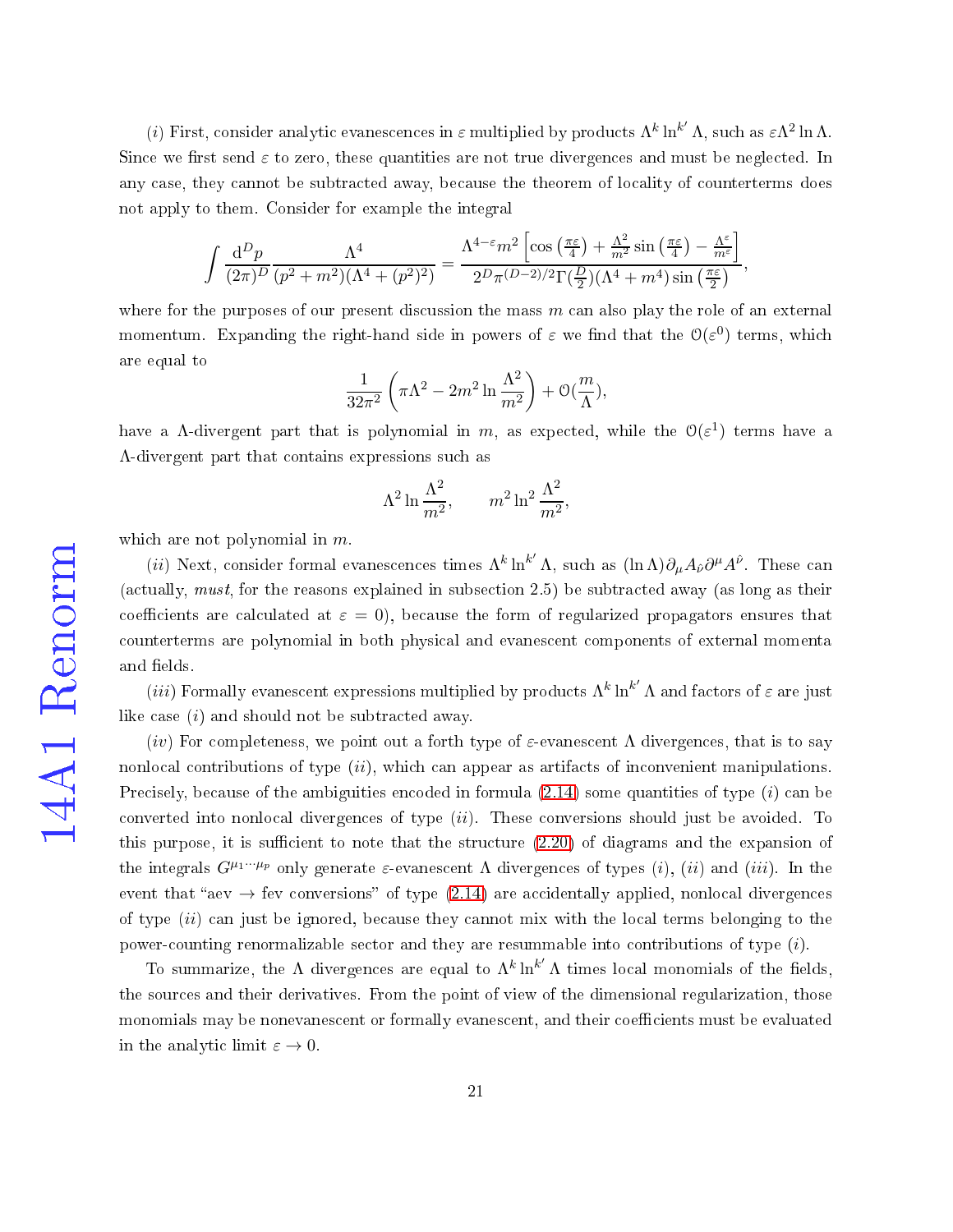(*i*) First, consider analytic evanescences in  $\varepsilon$  multiplied by products  $\Lambda^k \ln^{k'} \Lambda$ , such as  $\varepsilon \Lambda^2 \ln \Lambda$ . Since we first send  $\varepsilon$  to zero, these quantities are not true divergences and must be neglected. In any case, they cannot be subtracted away, because the theorem of locality of counterterms does not apply to them. Consider for example the integral

$$
\int \frac{d^D p}{(2\pi)^D} \frac{\Lambda^4}{(p^2 + m^2)(\Lambda^4 + (p^2)^2)} = \frac{\Lambda^{4-\varepsilon} m^2 \left[ \cos\left(\frac{\pi \varepsilon}{4}\right) + \frac{\Lambda^2}{m^2} \sin\left(\frac{\pi \varepsilon}{4}\right) - \frac{\Lambda^{\varepsilon}}{m^{\varepsilon}} \right]}{2^D \pi^{(D-2)/2} \Gamma(\frac{D}{2}) (\Lambda^4 + m^4) \sin\left(\frac{\pi \varepsilon}{2}\right)},
$$

where for the purposes of our present discussion the mass  $m$  can also play the role of an external momentum. Expanding the right-hand side in powers of  $\varepsilon$  we find that the  $\mathcal{O}(\varepsilon^0)$  terms, which are equal to

$$
\frac{1}{32\pi^2} \left( \pi \Lambda^2 - 2m^2 \ln \frac{\Lambda^2}{m^2} \right) + \mathcal{O}(\frac{m}{\Lambda}),
$$

have a A-divergent part that is polynomial in m, as expected, while the  $\mathcal{O}(\varepsilon^1)$  terms have a Λ-divergent part that contains expressions such as

$$
\Lambda^2 \ln \frac{\Lambda^2}{m^2}, \qquad m^2 \ln^2 \frac{\Lambda^2}{m^2},
$$

which are not polynomial in  $m$ .

(*ii*) Next, consider formal evanescences times  $\Lambda^k \ln^{k'} \Lambda$ , such as  $(\ln \Lambda) \partial_\mu A_\nu \partial^\mu A^\nu$ . These can (actually, must, for the reasons explained in subsection 2.5) be subtracted away (as long as their coefficients are calculated at  $\varepsilon = 0$ ), because the form of regularized propagators ensures that counterterms are polynomial in both physical and evanescent components of external momenta and fields.

(*iii*) Formally evanescent expressions multiplied by products  $\Lambda^k \ln^{k'} \Lambda$  and factors of  $\varepsilon$  are just like case *(i)* and should not be subtracted away.

(iv) For completeness, we point out a forth type of  $\varepsilon$ -evanescent  $\Lambda$  divergences, that is to say nonlocal contributions of type  $(ii)$ , which can appear as artifacts of inconvenient manipulations. Precisely, because of the ambiguities encoded in formula  $(2.14)$  some quantities of type  $(i)$  can be converted into nonlocal divergences of type  $(ii)$ . These conversions should just be avoided. To this purpose, it is sufficient to note that the structure  $(2.20)$  of diagrams and the expansion of the integrals  $G^{\mu_1\cdots\mu_p}$  only generate  $\varepsilon$ -evanescent  $\Lambda$  divergences of types  $(i)$ ,  $(ii)$  and  $(iii)$ . In the event that "aev  $\rightarrow$  fev conversions" of type [\(2.14\)](#page-9-0) are accidentally applied, nonlocal divergences of type  $(ii)$  can just be ignored, because they cannot mix with the local terms belonging to the power-counting renormalizable sector and they are resummable into contributions of type  $(i)$ .

To summarize, the  $\Lambda$  divergences are equal to  $\Lambda^k\ln^{k'}\Lambda$  times local monomials of the fields, the sources and their derivatives. From the point of view of the dimensional regularization, those monomials may be nonevanescent or formally evanescent, and their coefficients must be evaluated in the analytic limit  $\varepsilon \to 0$ .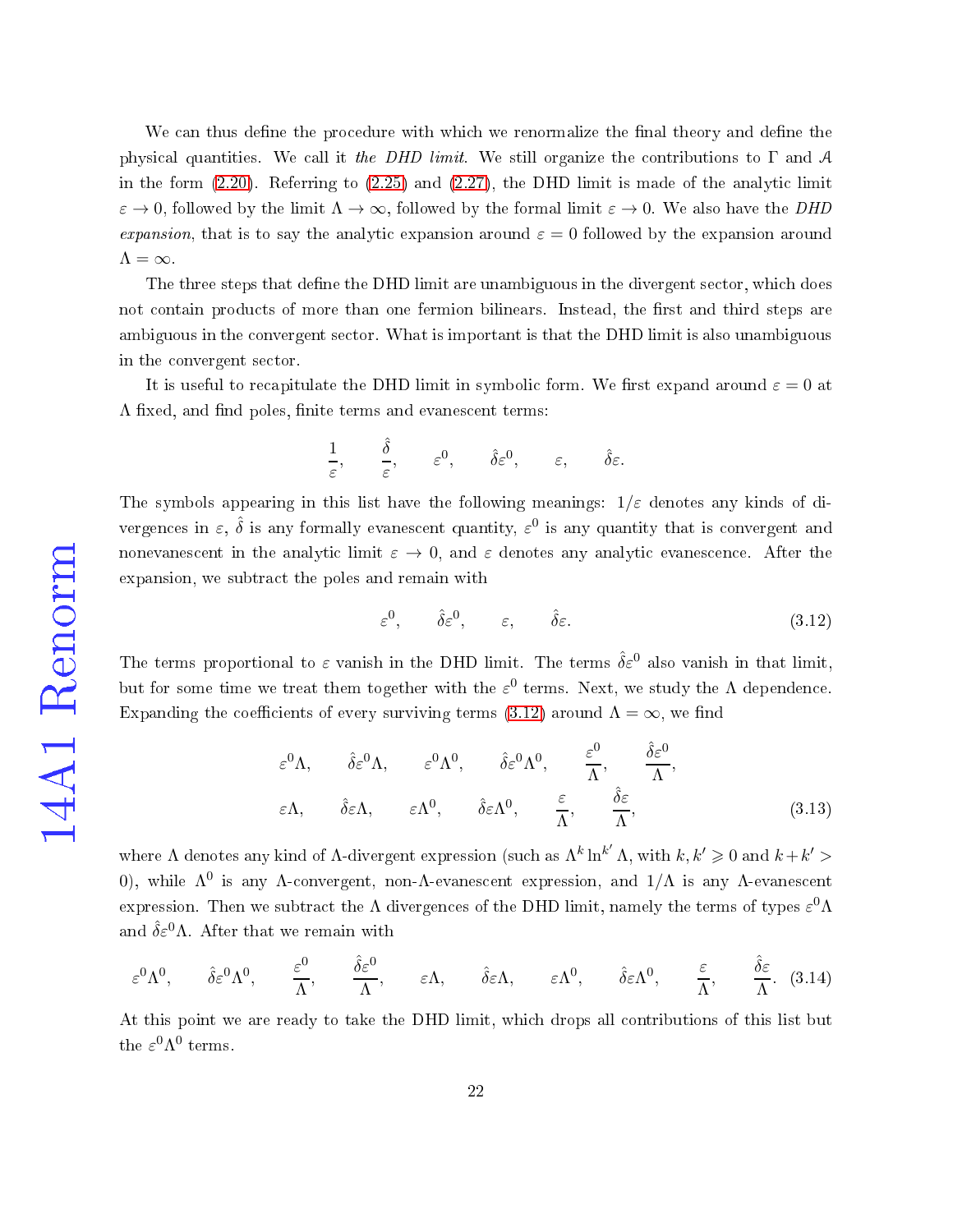We can thus define the procedure with which we renormalize the final theory and define the physical quantities. We call it the DHD limit. We still organize the contributions to  $\Gamma$  and A in the form  $(2.20)$ . Referring to  $(2.25)$  and  $(2.27)$ , the DHD limit is made of the analytic limit  $\varepsilon \to 0$ , followed by the limit  $\Lambda \to \infty$ , followed by the formal limit  $\varepsilon \to 0$ . We also have the DHD expansion, that is to say the analytic expansion around  $\varepsilon = 0$  followed by the expansion around  $\Lambda = \infty$ .

The three steps that define the DHD limit are unambiguous in the divergent sector, which does not contain products of more than one fermion bilinears. Instead, the first and third steps are ambiguous in the convergent sector. What is important is that the DHD limit is also unambiguous in the convergent sector.

It is useful to recapitulate the DHD limit in symbolic form. We first expand around  $\varepsilon = 0$  at  $\Lambda$  fixed, and find poles, finite terms and evanescent terms:

$$
\frac{1}{\varepsilon}, \qquad \frac{\hat{\delta}}{\varepsilon}, \qquad \varepsilon^0, \qquad \hat{\delta} \varepsilon^0, \qquad \varepsilon, \qquad \hat{\delta} \varepsilon.
$$

The symbols appearing in this list have the following meanings:  $1/\varepsilon$  denotes any kinds of divergences in  $\varepsilon$ ,  $\hat{\delta}$  is any formally evanescent quantity,  $\varepsilon^0$  is any quantity that is convergent and nonevanescent in the analytic limit  $\varepsilon \to 0$ , and  $\varepsilon$  denotes any analytic evanescence. After the expansion, we subtract the poles and remain with

<span id="page-21-0"></span>
$$
\varepsilon^0, \qquad \hat{\delta}\varepsilon^0, \qquad \varepsilon, \qquad \hat{\delta}\varepsilon. \tag{3.12}
$$

The terms proportional to  $\varepsilon$  vanish in the DHD limit. The terms  $\hat{\delta} \varepsilon^0$  also vanish in that limit, but for some time we treat them together with the  $\varepsilon^0$  terms. Next, we study the  $\Lambda$  dependence. Expanding the coefficients of every surviving terms [\(3.12\)](#page-21-0) around  $\Lambda = \infty$ , we find

<span id="page-21-2"></span>
$$
\varepsilon^{0}\Lambda
$$
,  $\hat{\delta}\varepsilon^{0}\Lambda$ ,  $\varepsilon^{0}\Lambda^{0}$ ,  $\hat{\delta}\varepsilon^{0}\Lambda^{0}$ ,  $\frac{\varepsilon^{0}}{\Lambda}$ ,  $\frac{\hat{\delta}\varepsilon^{0}}{\Lambda}$ ,  
\n $\varepsilon\Lambda$ ,  $\hat{\delta}\varepsilon\Lambda$ ,  $\varepsilon\Lambda^{0}$ ,  $\hat{\delta}\varepsilon\Lambda^{0}$ ,  $\frac{\varepsilon}{\Lambda}$ ,  $\frac{\hat{\delta}\varepsilon}{\Lambda}$ , (3.13)

where  $\Lambda$  denotes any kind of  $\Lambda$ -divergent expression (such as  $\Lambda^k \ln^{k'} \Lambda$ , with  $k, k' \geqslant 0$  and  $k + k' >$ 0), while  $Λ^0$  is any Λ-convergent, non-Λ-evanescent expression, and  $1/Λ$  is any Λ-evanescent expression. Then we subtract the  $\Lambda$  divergences of the DHD limit, namely the terms of types  $\varepsilon^0\Lambda$ and  $\hat{\delta} \varepsilon^0 \Lambda$ . After that we remain with

<span id="page-21-1"></span>
$$
\varepsilon^{0}\Lambda^{0}
$$
,  $\hat{\delta}\varepsilon^{0}\Lambda^{0}$ ,  $\frac{\varepsilon^{0}}{\Lambda}$ ,  $\frac{\hat{\delta}\varepsilon^{0}}{\Lambda}$ ,  $\varepsilon\Lambda$ ,  $\hat{\delta}\varepsilon\Lambda$ ,  $\varepsilon\Lambda^{0}$ ,  $\hat{\delta}\varepsilon\Lambda^{0}$ ,  $\frac{\varepsilon}{\Lambda}$ ,  $\frac{\hat{\delta}\varepsilon}{\Lambda}$ . (3.14)

At this point we are ready to take the DHD limit, which drops all contributions of this list but the  $\varepsilon^0 \Lambda^0$  terms.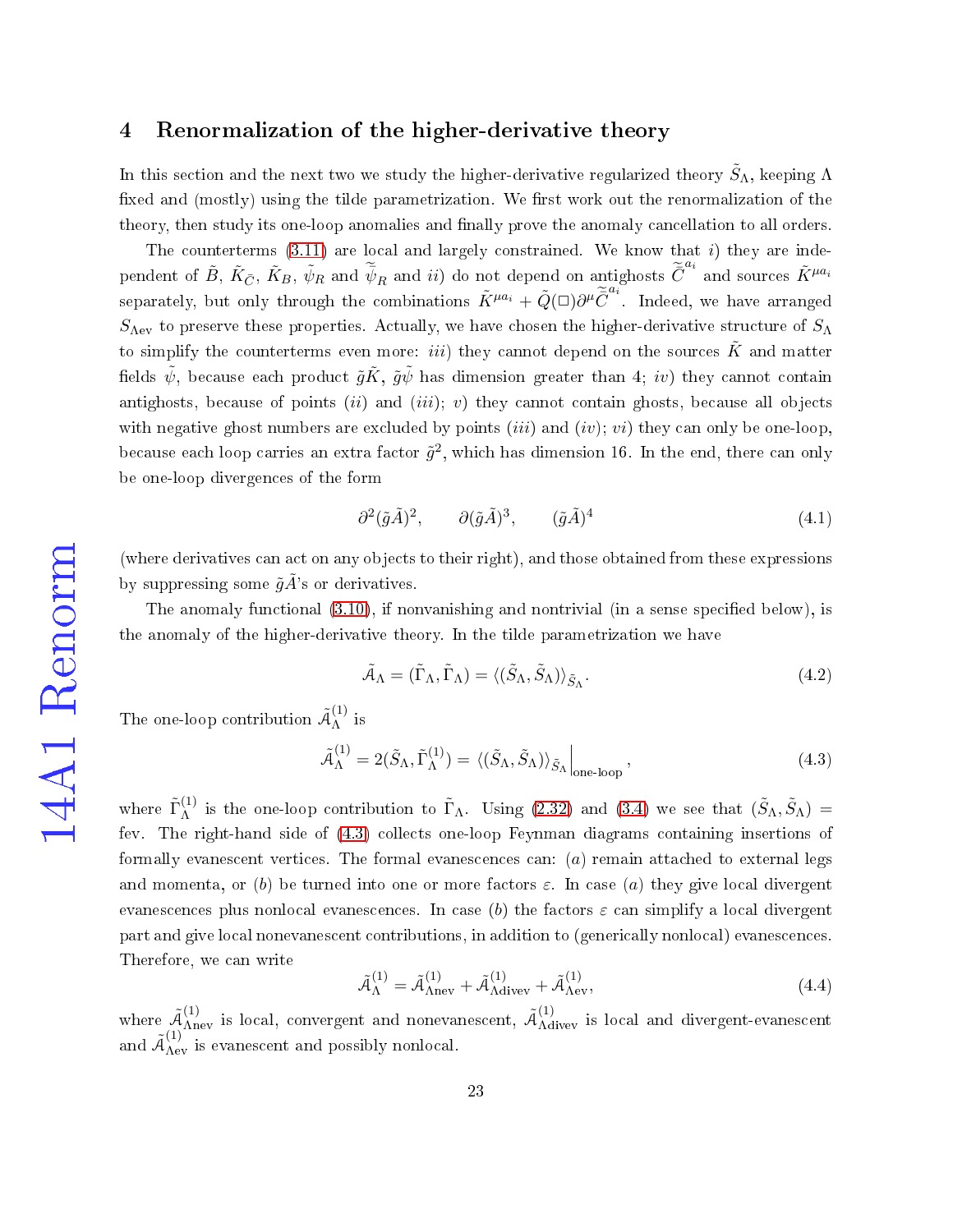### 4 Renormalization of the higher-derivative theory

In this section and the next two we study the higher-derivative regularized theory  $\tilde{S}_\Lambda,$  keeping  $\Lambda$ fixed and (mostly) using the tilde parametrization. We first work out the renormalization of the theory, then study its one-loop anomalies and finally prove the anomaly cancellation to all orders.

The counterterms  $(3.11)$  are local and largely constrained. We know that i) they are independent of  $\tilde{B}$ ,  $\tilde{K}_{\tilde{C}}$ ,  $\tilde{K}_{B}$ ,  $\tilde{\psi}_R$  and  $\tilde{\psi}_R$  and  $ii)$  do not depend on antighosts  $\tilde{\bar{C}}^{a_i}$  and sources  $\tilde{K}^{\mu a_i}$ separately, but only through the combinations  $\tilde{K}^{\mu a_i} + \tilde{Q}(\Box) \partial^{\mu} \tilde{\overline{C}}^{a_i}$ . Indeed, we have arranged  $S_{\Lambda}$  to preserve these properties. Actually, we have chosen the higher-derivative structure of  $S_{\Lambda}$ to simplify the counterterms even more: *iii*) they cannot depend on the sources  $\tilde{K}$  and matter fields  $\tilde{\psi}$ , because each product  $\tilde{g}\tilde{K}$ ,  $\tilde{g}\tilde{\psi}$  has dimension greater than 4; iv) they cannot contain antighosts, because of points (ii) and (iii); v) they cannot contain ghosts, because all objects with negative ghost numbers are excluded by points *(iii)* and *(iv)*; *vi)* they can only be one-loop, because each loop carries an extra factor  $\tilde{g}^2$ , which has dimension 16. In the end, there can only be one-loop divergences of the form

<span id="page-22-1"></span>
$$
\partial^2(\tilde{g}\tilde{A})^2, \qquad \partial(\tilde{g}\tilde{A})^3, \qquad (\tilde{g}\tilde{A})^4 \tag{4.1}
$$

(where derivatives can act on any ob jects to their right), and those obtained from these expressions by suppressing some  $\tilde{q}\tilde{A}$ 's or derivatives.

The anomaly functional  $(3.10)$ , if nonvanishing and nontrivial (in a sense specified below), is the anomaly of the higher-derivative theory. In the tilde parametrization we have

$$
\tilde{\mathcal{A}}_{\Lambda} = (\tilde{\Gamma}_{\Lambda}, \tilde{\Gamma}_{\Lambda}) = \langle (\tilde{S}_{\Lambda}, \tilde{S}_{\Lambda}) \rangle_{\tilde{S}_{\Lambda}}.
$$
\n(4.2)

The one-loop contribution  $\tilde{\mathcal{A}}_{\Lambda}^{(1)}$  $\Lambda$  is

<span id="page-22-0"></span>
$$
\tilde{\mathcal{A}}_{\Lambda}^{(1)} = 2(\tilde{S}_{\Lambda}, \tilde{\Gamma}_{\Lambda}^{(1)}) = \langle (\tilde{S}_{\Lambda}, \tilde{S}_{\Lambda}) \rangle_{\tilde{S}_{\Lambda}} \Big|_{\text{one-loop}}, \qquad (4.3)
$$

where  $\tilde{\Gamma}_{\Lambda}^{(1)}$ (1) is the one-loop contribution to  $\tilde{\Gamma}_{\Lambda}$ . Using [\(2.32\)](#page-15-1) and [\(3.4\)](#page-17-2) we see that  $(\tilde{S}_{\Lambda}, \tilde{S}_{\Lambda})$  = fev. The right-hand side of [\(4.3\)](#page-22-0) collects one-loop Feynman diagrams containing insertions of formally evanescent vertices. The formal evanescences can:  $(a)$  remain attached to external legs and momenta, or (b) be turned into one or more factors  $\varepsilon$ . In case (a) they give local divergent evanescences plus nonlocal evanescences. In case (b) the factors  $\varepsilon$  can simplify a local divergent part and give local nonevanescent contributions, in addition to (generically nonlocal) evanescences. Therefore, we can write

<span id="page-22-2"></span>
$$
\tilde{\mathcal{A}}_{\Lambda}^{(1)} = \tilde{\mathcal{A}}_{\Lambda \text{nev}}^{(1)} + \tilde{\mathcal{A}}_{\Lambda \text{divev}}^{(1)} + \tilde{\mathcal{A}}_{\Lambda \text{ev}}^{(1)},\tag{4.4}
$$

where  $\tilde{A}^{(1)}_{\Lambda \text{ new}}$  is local, convergent and nonevanescent,  $\tilde{A}^{(1)}_{\Lambda \text{ d}}$ Λdivev is local and divergent-evanescent and  $\tilde{A}^{(1)}_{\Lambda_{\rm P}}$  $\Lambda$ ev is evanescent and possibly nonlocal.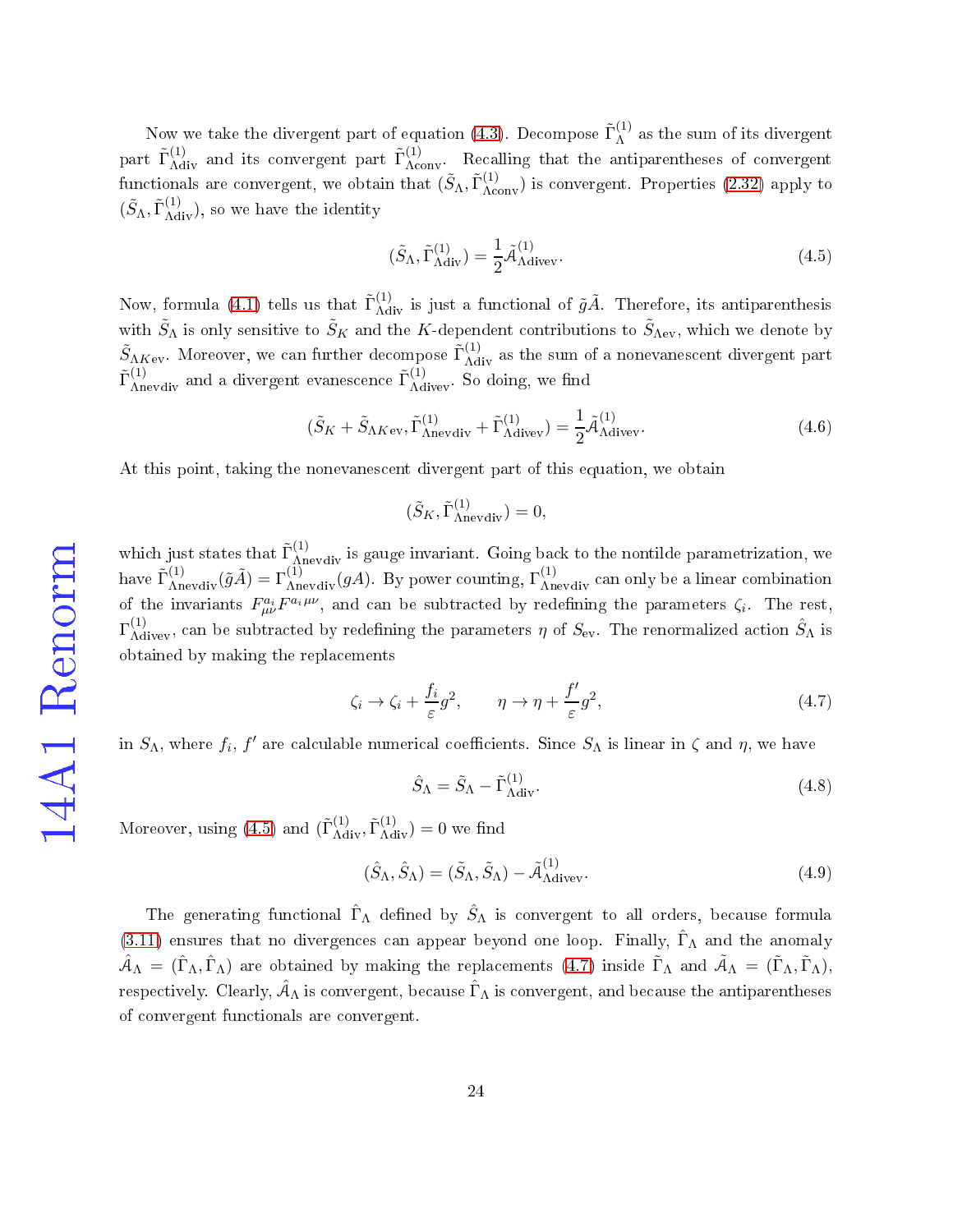Now we take the divergent part of equation [\(4.3\)](#page-22-0). Decompose  $\tilde{\Gamma}_{\Lambda}^{(1)}$  $\Lambda$  as the sum of its divergent part  $\tilde{\Gamma}^{(1)}_{\Lambda \text{div}}$  and its convergent part  $\tilde{\Gamma}^{(1)}_{\Lambda \text{c}}$ Λ conv . Recalling that the antiparentheses of convergent functionals are convergent, we obtain that  $(\tilde{S}_{\Lambda},\tilde{\Gamma}_{\Lambda}^{(1)})$  $\Lambda_{\text{conv}}^{(1)}$ ) is convergent. Properties [\(2.32\)](#page-15-1) apply to  $(\tilde{S}_{\Lambda}, \tilde{\Gamma}_{\Lambda \, \mathrm{div}}^{(1)})$ , so we have the identity

<span id="page-23-0"></span>
$$
(\tilde{S}_{\Lambda}, \tilde{\Gamma}_{\Lambda \text{div}}^{(1)}) = \frac{1}{2} \tilde{\mathcal{A}}_{\Lambda \text{divev}}^{(1)}.
$$
\n(4.5)

Now, formula [\(4.1\)](#page-22-1) tells us that  $\tilde{\Gamma}^{(1)}_{\Lambda \text{div}}$  is just a functional of  $\tilde{g}\tilde{A}$ . Therefore, its antiparenthesis with  $\tilde{S}_\Lambda$  is only sensitive to  $\tilde{S}_K$  and the K-dependent contributions to  $\tilde{S}_{\Lambda}$ ev, which we denote by  $\tilde{S}_{\Lambda K\, \rm ev}$ . Moreover, we can further decompose  $\tilde{\Gamma}_{\Lambda \, \rm d}^{(1)}$ Λdiv as the sum of <sup>a</sup> nonevanescent divergent part  $\tilde{\Gamma}^{(1)}_{\Lambda \, {\rm nev \, div}}$  and a divergent evanescence  $\tilde{\Gamma}^{(1)}_{\Lambda \, {\rm d}}$  $\Lambda$  divev. So doing, we mid

$$
(\tilde{S}_K + \tilde{S}_{\Lambda K \text{ev}}, \tilde{\Gamma}_{\Lambda \text{new div}}^{(1)} + \tilde{\Gamma}_{\Lambda \text{divev}}^{(1)}) = \frac{1}{2} \tilde{\mathcal{A}}_{\Lambda \text{divev}}^{(1)}.
$$
\n(4.6)

At this point, taking the nonevanescent divergent part of this equation, we obtain

$$
(\tilde{S}_K, \tilde{\Gamma}_{\Lambda \text{newdiv}}^{(1)}) = 0,
$$

which just states that  $\tilde{\Gamma}^{(1)}_{\Lambda n}$ which just states that  $\Lambda_{\text{new}}$  is gauge invariant. Going back to the nontinge parametrization, we<br>have  $\tilde{\Gamma}^{(1)}_{\Lambda \text{new}}(\tilde{g}\tilde{A}) = \Gamma^{(1)}_{\Lambda \text{newdiv}}(gA)$ . By power counting,  $\Gamma^{(1)}_{\Lambda \text{newdiv}}$  can only be a linear comb Λnevdiv can only be <sup>a</sup> linear combination of the invariants  $F_{\mu\nu}^{a_i}F^{a_i\mu\nu}$ , and can be subtracted by redefining the parameters  $\zeta_i$ . The rest,  $\Gamma^{(1)}_{\Lambda\,\rm{divev}},$  can be subtracted by redefining the parameters  $\eta$  of  $S_{\rm{ev}}.$  The renormalized action  $\hat{S}_{\Lambda}$  is obtained by making the replacements

<span id="page-23-1"></span>
$$
\zeta_i \to \zeta_i + \frac{f_i}{\varepsilon} g^2, \qquad \eta \to \eta + \frac{f'}{\varepsilon} g^2,\tag{4.7}
$$

in  $S_\Lambda$ , where  $f_i$ ,  $f'$  are calculable numerical coefficients. Since  $S_\Lambda$  is linear in  $\zeta$  and  $\eta$ , we have

<span id="page-23-3"></span>
$$
\hat{S}_{\Lambda} = \tilde{S}_{\Lambda} - \tilde{\Gamma}_{\Lambda \text{div}}^{(1)}.
$$
\n(4.8)

Moreover, using [\(4.5\)](#page-23-0) and  $(\tilde{\Gamma}_{\Lambda}^{(1)}, \tilde{\Gamma}_{\Lambda}^{(1)}) = 0$  we find

<span id="page-23-2"></span>
$$
(\hat{S}_{\Lambda}, \hat{S}_{\Lambda}) = (\tilde{S}_{\Lambda}, \tilde{S}_{\Lambda}) - \tilde{\mathcal{A}}_{\Lambda \text{ diver}}^{(1)}.
$$
\n(4.9)

The generating functional  $\hat{\Gamma}_{\Lambda}$  defined by  $\hat{S}_{\Lambda}$  is convergent to all orders, because formula [\(3.11\)](#page-19-1) ensures that no divergences can appear beyond one loop. Finally,  $\hat{\Gamma}_{\Lambda}$  and the anomaly  $\hat{\mathcal{A}}_{\Lambda} = (\hat{\Gamma}_{\Lambda}, \hat{\Gamma}_{\Lambda})$  are obtained by making the replacements [\(4.7\)](#page-23-1) inside  $\tilde{\Gamma}_{\Lambda}$  and  $\tilde{\mathcal{A}}_{\Lambda} = (\tilde{\Gamma}_{\Lambda}, \tilde{\Gamma}_{\Lambda}),$ respectively. Clearly,  $\hat{\cal A}_\Lambda$  is convergent, because  $\hat\Gamma_\Lambda$  is convergent, and because the antiparentheses of convergent functionals are convergent.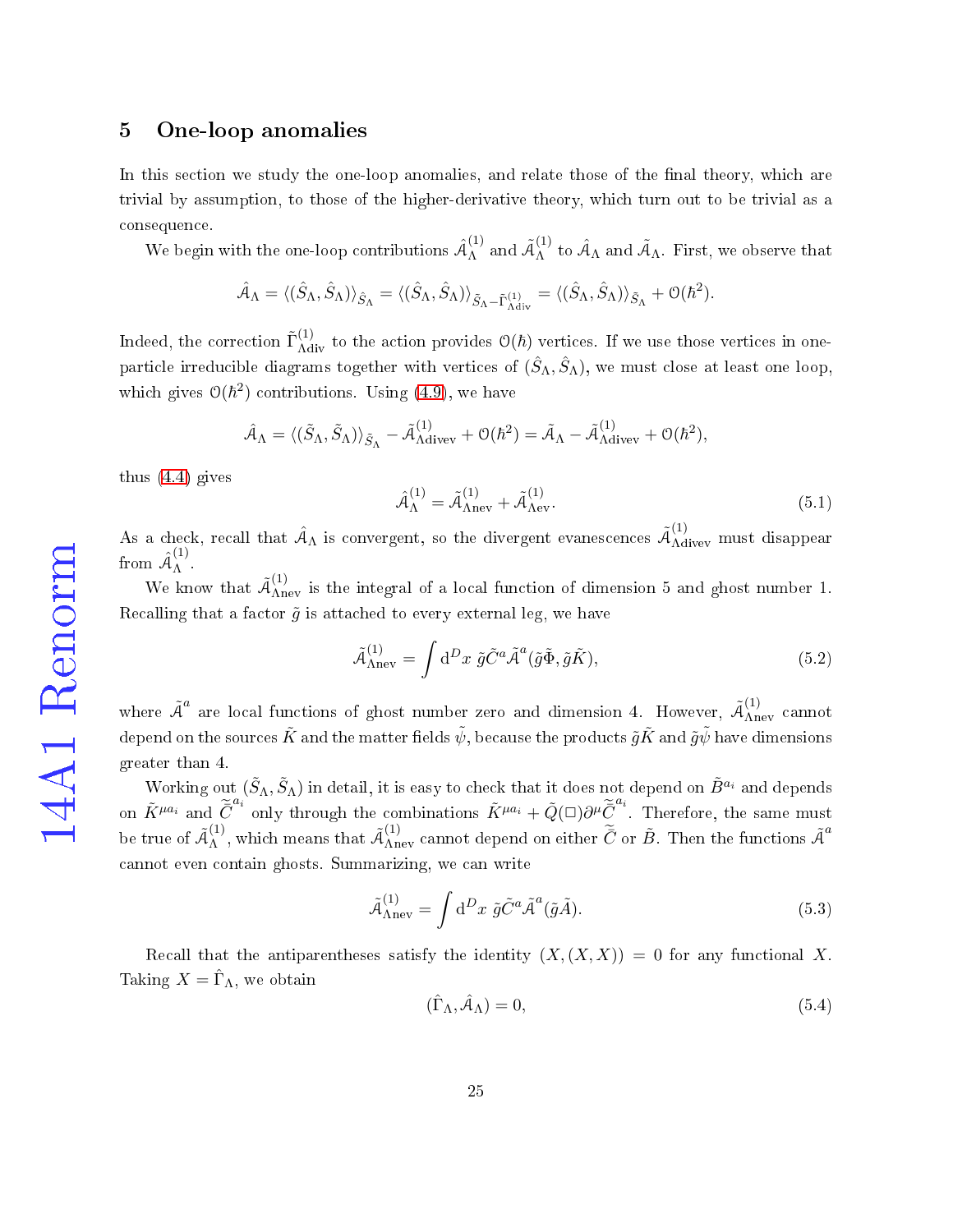#### 5 One-loop anomalies 5

In this section we study the one-loop anomalies, and relate those of the final theory, which are trivial by assumption, to those of the higher-derivative theory, which turn out to be trivial as a consequence.

We begin with the one-loop contributions  $\hat{\cal A}^{(1)}_\Lambda$  and  $\tilde{\cal A}^{(1)}_\Lambda$  to  $\hat{\cal A}_\Lambda$  and  $\tilde{\cal A}_\Lambda$ . First, we observe that

$$
\hat{\mathcal{A}}_{\Lambda} = \langle (\hat{S}_{\Lambda}, \hat{S}_{\Lambda}) \rangle_{\hat{S}_{\Lambda}} = \langle (\hat{S}_{\Lambda}, \hat{S}_{\Lambda}) \rangle_{\tilde{S}_{\Lambda} - \tilde{\Gamma}_{\Lambda \text{div}}^{(1)}} = \langle (\hat{S}_{\Lambda}, \hat{S}_{\Lambda}) \rangle_{\tilde{S}_{\Lambda}} + \mathcal{O}(\hbar^2).
$$

Indeed, the correction  $\tilde{\Gamma}^{(1)}_{\text{Adiv}}$  to the action provides  $\mathcal{O}(\hbar)$  vertices. If we use those vertices in oneparticle irreducible diagrams together with vertices of  $(\hat{S}_\Lambda, \hat{S}_\Lambda)$ , we must close at least one loop, which gives  $\mathcal{O}(\hbar^2)$  contributions. Using [\(4.9\)](#page-23-2), we have

$$
\hat{\mathcal{A}}_{\Lambda} = \langle (\tilde{S}_{\Lambda}, \tilde{S}_{\Lambda}) \rangle_{\tilde{S}_{\Lambda}} - \tilde{\mathcal{A}}_{\Lambda \text{divev}}^{(1)} + \mathcal{O}(\hbar^2) = \tilde{\mathcal{A}}_{\Lambda} - \tilde{\mathcal{A}}_{\Lambda \text{divev}}^{(1)} + \mathcal{O}(\hbar^2),
$$

thus [\(4.4\)](#page-22-2) gives

<span id="page-24-0"></span>
$$
\hat{\mathcal{A}}_{\Lambda}^{(1)} = \tilde{\mathcal{A}}_{\Lambda \text{nev}}^{(1)} + \tilde{\mathcal{A}}_{\Lambda \text{ev}}^{(1)}.
$$
\n(5.1)

As a check, recall that  $\hat{A}_{\Lambda}$  is convergent, so the divergent evanescences  $\tilde{A}_{\Lambda}^{(1)}$ Λdivev must disappear from  $\hat{A}^{(1)}_{\Lambda}$ Λ .

We know that  $\tilde{\mathcal{A}}_{\Lambda,n}^{(1)}$  $\Lambda$ nev is the integral of a local function of dimension 5 and ghost number 1. Recalling that a factor  $\tilde{g}$  is attached to every external leg, we have

$$
\tilde{\mathcal{A}}_{\Lambda \text{nev}}^{(1)} = \int d^D x \ \tilde{g} \tilde{C}^a \tilde{\mathcal{A}}^a (\tilde{g} \tilde{\Phi}, \tilde{g} \tilde{K}), \tag{5.2}
$$

where  $\tilde{\mathcal{A}}^a$  are local functions of ghost number zero and dimension 4. However,  $\tilde{\mathcal{A}}_{\Lambda n}^{(1)}$  $\Lambda$ nev cannot depend on the sources  $\tilde{K}$  and the matter fields  $\tilde{\psi}$ , because the products  $\tilde{g}\tilde{K}$  and  $\tilde{g}\tilde{\psi}$  have dimensions greater than 4.

Working out  $(\tilde{S}_\Lambda, \tilde{S}_\Lambda)$  in detail, it is easy to check that it does not depend on  $\tilde{B}^{a_i}$  and depends on  $\tilde{K}^{\mu a_i}$  and  $\tilde{\vec{C}}^{a_i}$  only through the combinations  $\tilde{K}^{\mu a_i} + \tilde{Q}(\Box) \partial^{\mu} \tilde{\vec{C}}^{a_i}$ . Therefore, the same must<br>be true of  $\tilde{A}_{\Lambda}^{(1)}$ , which means that  $\tilde{A}_{\Lambda}^{(1)}$  cannot depend on either cannot even contain ghosts. Summarizing, we can write

<span id="page-24-1"></span>
$$
\tilde{\mathcal{A}}_{\Lambda \text{nev}}^{(1)} = \int d^D x \ \tilde{g} \tilde{C}^a \tilde{\mathcal{A}}^a (\tilde{g} \tilde{A}). \tag{5.3}
$$

Recall that the antiparentheses satisfy the identity  $(X,(X,X)) = 0$  for any functional X. Taking  $X = \hat{\Gamma}_{\Lambda}$ , we obtain

$$
(\hat{\Gamma}_{\Lambda}, \hat{\mathcal{A}}_{\Lambda}) = 0, \tag{5.4}
$$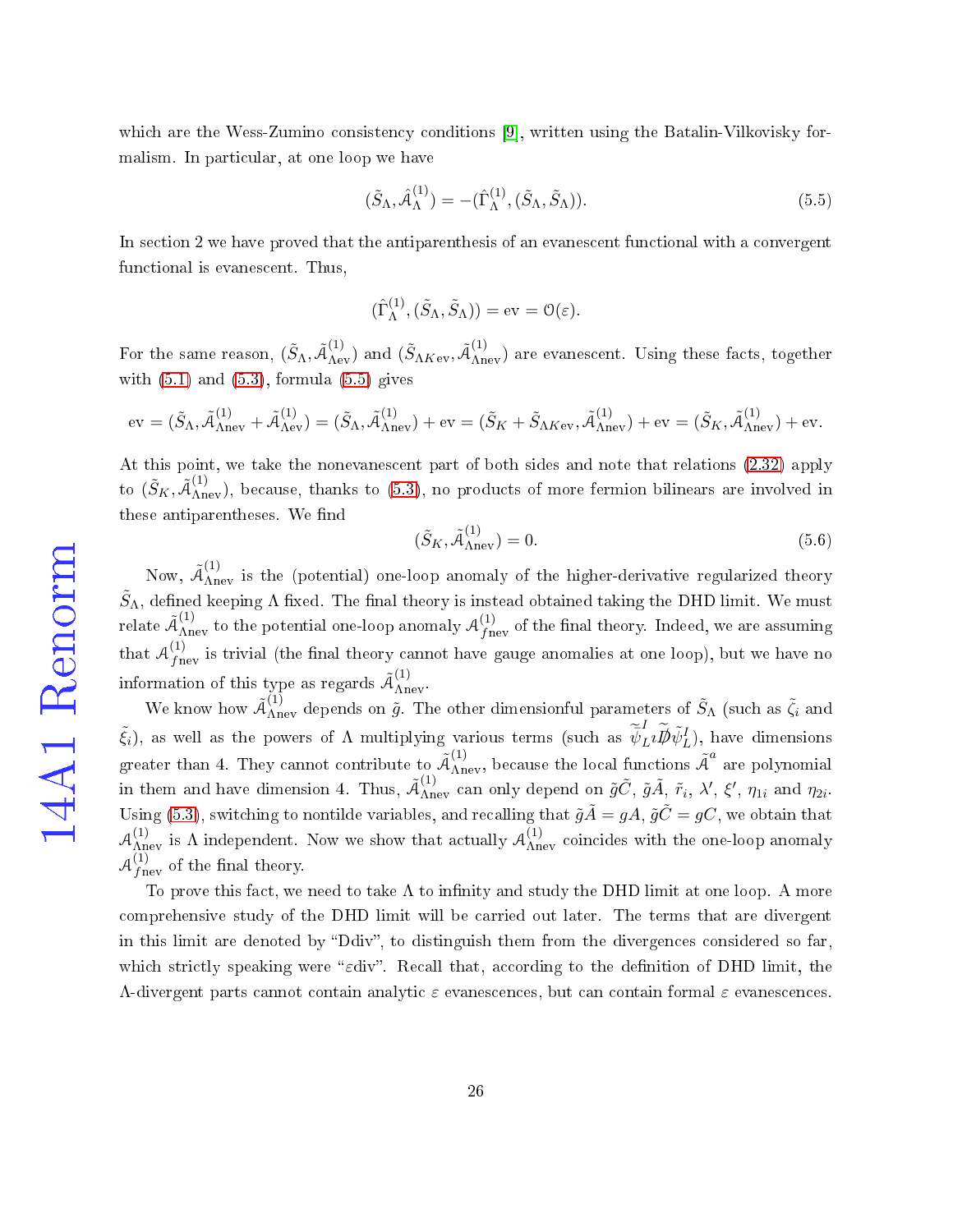which are the Wess-Zumino consistency conditions [\[9\]](#page-41-8), written using the Batalin-Vilkovisky formalism. In particular, at one loop we have

<span id="page-25-0"></span>
$$
(\tilde{S}_{\Lambda}, \hat{\mathcal{A}}_{\Lambda}^{(1)}) = -(\hat{\Gamma}_{\Lambda}^{(1)}, (\tilde{S}_{\Lambda}, \tilde{S}_{\Lambda})).
$$
\n(5.5)

In section 2 we have proved that the antiparenthesis of an evanescent functional with a convergent functional is evanescent. Thus,

$$
(\hat{\Gamma}_{\Lambda}^{(1)}, (\tilde{S}_{\Lambda}, \tilde{S}_{\Lambda})) = \mathrm{ev} = \mathcal{O}(\varepsilon).
$$

For the same reason,  $(\tilde{S}_\Lambda, \tilde{\mathcal{A}}_{\Lambda ev}^{(1)})$  and  $(\tilde{S}_{\Lambda Kev}, \tilde{\mathcal{A}}_{\Lambda nev}^{(1)})$  are evanescent. Using these facts, together with  $(5.1)$  and  $(5.3)$ , formula  $(5.5)$  gives

$$
ev = (\tilde{S}_{\Lambda}, \tilde{\mathcal{A}}_{\Lambda \text{nev}}^{(1)} + \tilde{\mathcal{A}}_{\Lambda \text{ev}}^{(1)}) = (\tilde{S}_{\Lambda}, \tilde{\mathcal{A}}_{\Lambda \text{nev}}^{(1)}) + ev = (\tilde{S}_{K} + \tilde{S}_{\Lambda K \text{ev}}, \tilde{\mathcal{A}}_{\Lambda \text{nev}}^{(1)}) + ev = (\tilde{S}_{K}, \tilde{\mathcal{A}}_{\Lambda \text{nev}}^{(1)}) + ev.
$$

At this point, we take the nonevanescent part of both sides and note that relations [\(2.32\)](#page-15-1) apply to  $(\tilde{S}_K, \tilde{\mathcal{A}}_{\Lambda}^{(1)})$ , because, thanks to [\(5.3\)](#page-24-1), no products of more fermion bilinears are involved in these antiparentheses. We find

<span id="page-25-1"></span>
$$
(\tilde{S}_K, \tilde{\mathcal{A}}_{\Lambda \text{nev}}^{(1)}) = 0. \tag{5.6}
$$

Now,  $\tilde{A}^{(1)}_{\Lambda n}$  $\Lambda_{\rm{nev}}$  is the (potential) one-loop anomaly of the higher-derivative regularized theory  $\tilde{S}_\Lambda,$  defined keeping  $\Lambda$  fixed. The final theory is instead obtained taking the DHD limit. We must relate  $\tilde{{\cal A}}^{(1)}_{\Lambda\,\rm nev}$  to the potential one-loop anomaly  ${\cal A}^{(1)}_{f\,\rm n}$  $f$ nev of the nitral theory. Indeed, we are assuming that  $\mathcal{A}_{f_n}^{(1)}$  $f_{\rm new}$  is trivial (the nual theory cannot have gauge anomalies at one loop), but we have no information of this type as regards  $\tilde{\mathcal{A}}_{\Lambda n}^{(1)}$ Λnev.

We know how  $\tilde{\cal A}^{(1)}_{\Lambda\,{\rm new}}$  depends on  $\tilde g$ . The other dimensionful parameters of  $\tilde S_\Lambda$  (such as  $\tilde\zeta_i$  and  $\tilde{\xi}_i$ ), as well as the powers of  $\Lambda$  multiplying various terms (such as  $\tilde{\psi}_L^I \iota \tilde{\psi} \psi_L^I$ ), have dimensions greater than 4. They cannot contribute to  $\tilde{\mathcal{A}}_{\Lambda}^{(1)}$ , because the local functions  $\tilde{\mathcal{A}}^a$  are polynomial<br>in them and have dimension 4. Thus,  $\tilde{\mathcal{A}}_{\Lambda}^{(1)}$  can only depend on  $\tilde{g}\tilde{C}$ ,  $\tilde{g}\tilde{A$ Using [\(5.3\)](#page-24-1), switching to nontilde variables, and recalling that  $\tilde{g}\tilde{A} = gA$ ,  $\tilde{g}\tilde{C} = gC$ , we obtain that  $\mathcal{A}^{(1)}_{\Lambda,\text{nev}}$  is  $\Lambda$  independent. Now we show that actually  $\mathcal{A}^{(1)}_{\Lambda,\text{n}}$ Λnev coincides with the one-loop anomaly  $\mathcal{A}^{(1)}_{{\scriptscriptstyle\mathcal{F}}_n}$  $f$  nev of the natural theory.

To prove this fact, we need to take  $\Lambda$  to infinity and study the DHD limit at one loop. A more comprehensive study of the DHD limit will be carried out later. The terms that are divergent in this limit are denoted by "Ddiv", to distinguish them from the divergences considered so far, which strictly speaking were " $\varepsilon$ div". Recall that, according to the definition of DHD limit, the Λ-divergent parts cannot contain analytic ε evanescences, but can contain formal ε evanescences.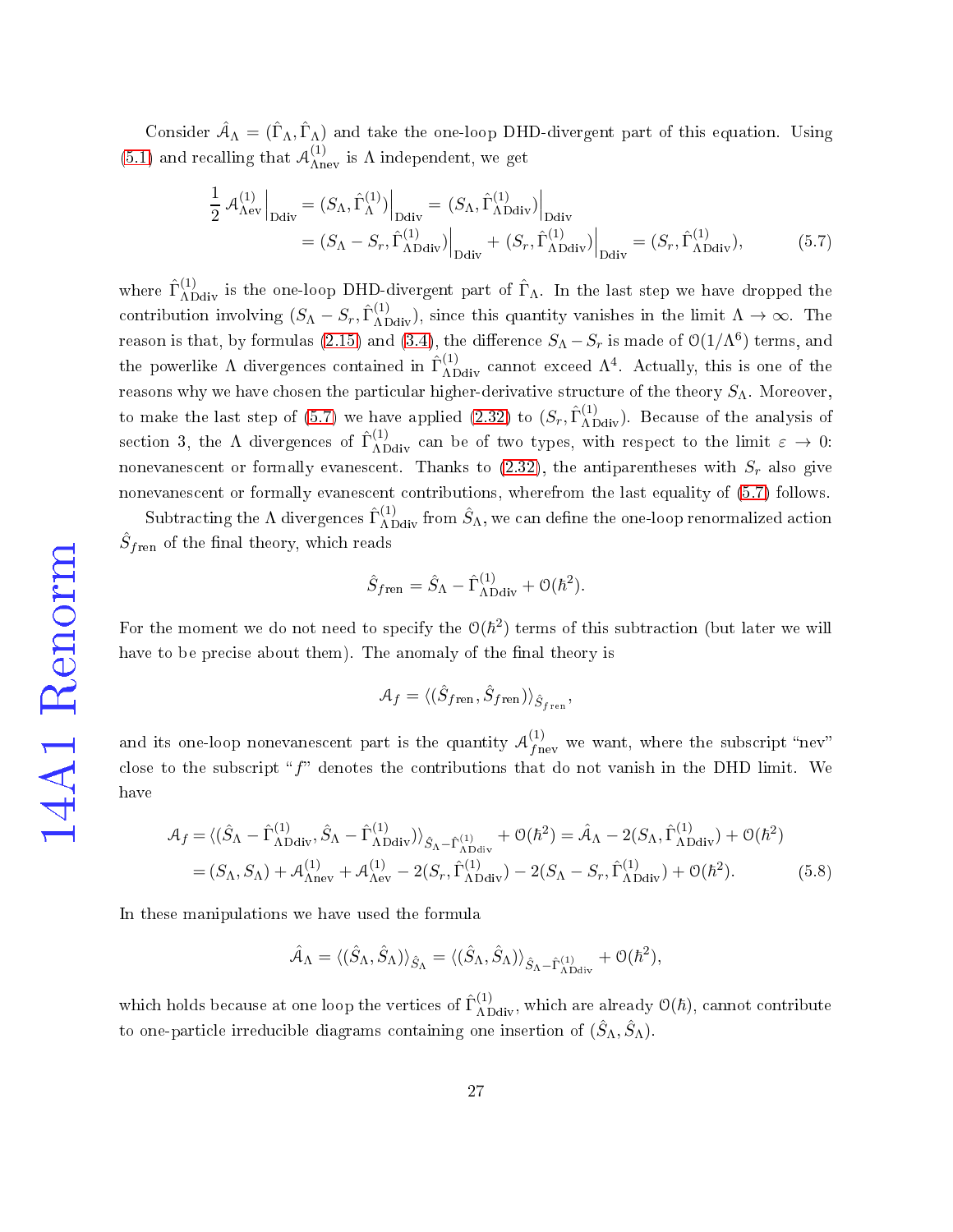Consider  $\hat{A}_{\Lambda} = (\hat{\Gamma}_{\Lambda}, \hat{\Gamma}_{\Lambda})$  and take the one-loop DHD-divergent part of this equation. Using [\(5.1\)](#page-24-0) and recalling that  $\mathcal{A}_{\Lambda}^{(1)}$  is  $\Lambda$  independent, we get

<span id="page-26-0"></span>
$$
\frac{1}{2} \mathcal{A}_{\Lambda \text{ev}}^{(1)}\Big|_{\text{Ddiv}} = (S_{\Lambda}, \hat{\Gamma}_{\Lambda}^{(1)})\Big|_{\text{Ddiv}} = (S_{\Lambda}, \hat{\Gamma}_{\Lambda \text{Ddiv}}^{(1)})\Big|_{\text{Ddiv}} \n= (S_{\Lambda} - S_r, \hat{\Gamma}_{\Lambda \text{Ddiv}}^{(1)})\Big|_{\text{Ddiv}} + (S_r, \hat{\Gamma}_{\Lambda \text{Ddiv}}^{(1)})\Big|_{\text{Ddiv}} = (S_r, \hat{\Gamma}_{\Lambda \text{Ddiv}}^{(1)}),
$$
\n(5.7)

where  $\hat{\Gamma}^{(1)}_{\Lambda \text{Ddiv}}$  is the one-loop DHD-divergent part of  $\hat{\Gamma}_{\Lambda}$ . In the last step we have dropped the contribution involving  $(S_{\Lambda} - S_r, \hat{\Gamma}_{\Lambda \text{Ddiv}}^{(1)})$ , since this quantity vanishes in the limit  $\Lambda \to \infty$ . The reason is that, by formulas [\(2.15\)](#page-10-0) and [\(3.4\)](#page-17-2), the difference  $S_{\Lambda} - S_r$  is made of  $\mathcal{O}(1/\Lambda^6)$  terms, and the powerlike  $\Lambda$  divergences contained in  $\hat{\Gamma}^{(1)}_{\Lambda \text{Ddiv}}$  cannot exceed  $\Lambda^4$ . Actually, this is one of the reasons why we have chosen the particular higher-derivative structure of the theory  $S_{\Lambda}$ . Moreover, to make the last step of [\(5.7\)](#page-26-0) we have applied [\(2.32\)](#page-15-1) to  $(S_r, \hat{\Gamma}^{(1)}_{ADdiv})$ . Because of the analysis of section 3, the  $\Lambda$  divergences of  $\hat{\Gamma}^{(1)}_{\Lambda \text{Ddiv}}$  can be of two types, with respect to the limit  $\varepsilon \to 0$ : nonevanescent or formally evanescent. Thanks to  $(2.32)$ , the antiparentheses with  $S_r$  also give nonevanescent or formally evanescent contributions, wherefrom the last equality of [\(5.7\)](#page-26-0) follows.

 ${\rm Subtracting\ the\ \Lambda\ divergences\ \hat{\Gamma}^{(1)}_{\Lambda\rm Ddiv}\ from\ \hat{S}_{\Lambda},}$  we can define the one-loop renormalized action  $\hat{S}_{f\,\text{ren}}$  of the final theory, which reads

$$
\hat{S}_{f\text{ren}} = \hat{S}_{\Lambda} - \hat{\Gamma}_{\Lambda \text{Ddiv}}^{(1)} + \mathcal{O}(\hbar^2).
$$

For the moment we do not need to specify the  $O(\hbar^2)$  terms of this subtraction (but later we will have to be precise about them). The anomaly of the final theory is

$$
\mathcal{A}_f = \langle (\hat{S}_{f\,\text{ren}}, \hat{S}_{f\,\text{ren}}) \rangle_{\hat{S}_{f\,\text{ren}}},
$$

and its one-loop nonevanescent part is the quantity  $\mathcal{A}_{fn}^{(1)}$  $f$  nev we want, where the subscript nev close to the subscript " $f''$  denotes the contributions that do not vanish in the DHD limit. We have

$$
\mathcal{A}_{f} = \langle (\hat{S}_{\Lambda} - \hat{\Gamma}_{\Lambda \text{Ddiv}}^{(1)}, \hat{S}_{\Lambda} - \hat{\Gamma}_{\Lambda \text{Ddiv}}^{(1)}) \rangle_{\hat{S}_{\Lambda} - \hat{\Gamma}_{\Lambda \text{Ddiv}}^{(1)}} + \mathcal{O}(\hbar^{2}) = \hat{\mathcal{A}}_{\Lambda} - 2(S_{\Lambda}, \hat{\Gamma}_{\Lambda \text{Ddiv}}^{(1)}) + \mathcal{O}(\hbar^{2})
$$
  
=  $(S_{\Lambda}, S_{\Lambda}) + \mathcal{A}_{\Lambda \text{nev}}^{(1)} + \mathcal{A}_{\Lambda \text{ev}}^{(1)} - 2(S_{r}, \hat{\Gamma}_{\Lambda \text{Ddiv}}^{(1)}) - 2(S_{\Lambda} - S_{r}, \hat{\Gamma}_{\Lambda \text{Ddiv}}^{(1)}) + \mathcal{O}(\hbar^{2}).$  (5.8)

In these manipulations we have used the formula

$$
\hat{\mathcal{A}}_{\Lambda} = \langle (\hat{S}_{\Lambda}, \hat{S}_{\Lambda}) \rangle_{\hat{S}_{\Lambda}} = \langle (\hat{S}_{\Lambda}, \hat{S}_{\Lambda}) \rangle_{\hat{S}_{\Lambda} - \hat{\Gamma}_{\Lambda \text{Ddiv}}^{(1)}} + \mathcal{O}(\hbar^2),
$$

which holds because at one loop the vertices of  $\hat{\Gamma}^{(1)}_{ADdiv}$ , which are already  $\mathcal{O}(\hbar)$ , cannot contribute to one-particle irreducible diagrams containing one insertion of  $(\hat{S}_\Lambda, \hat{S}_\Lambda)$ .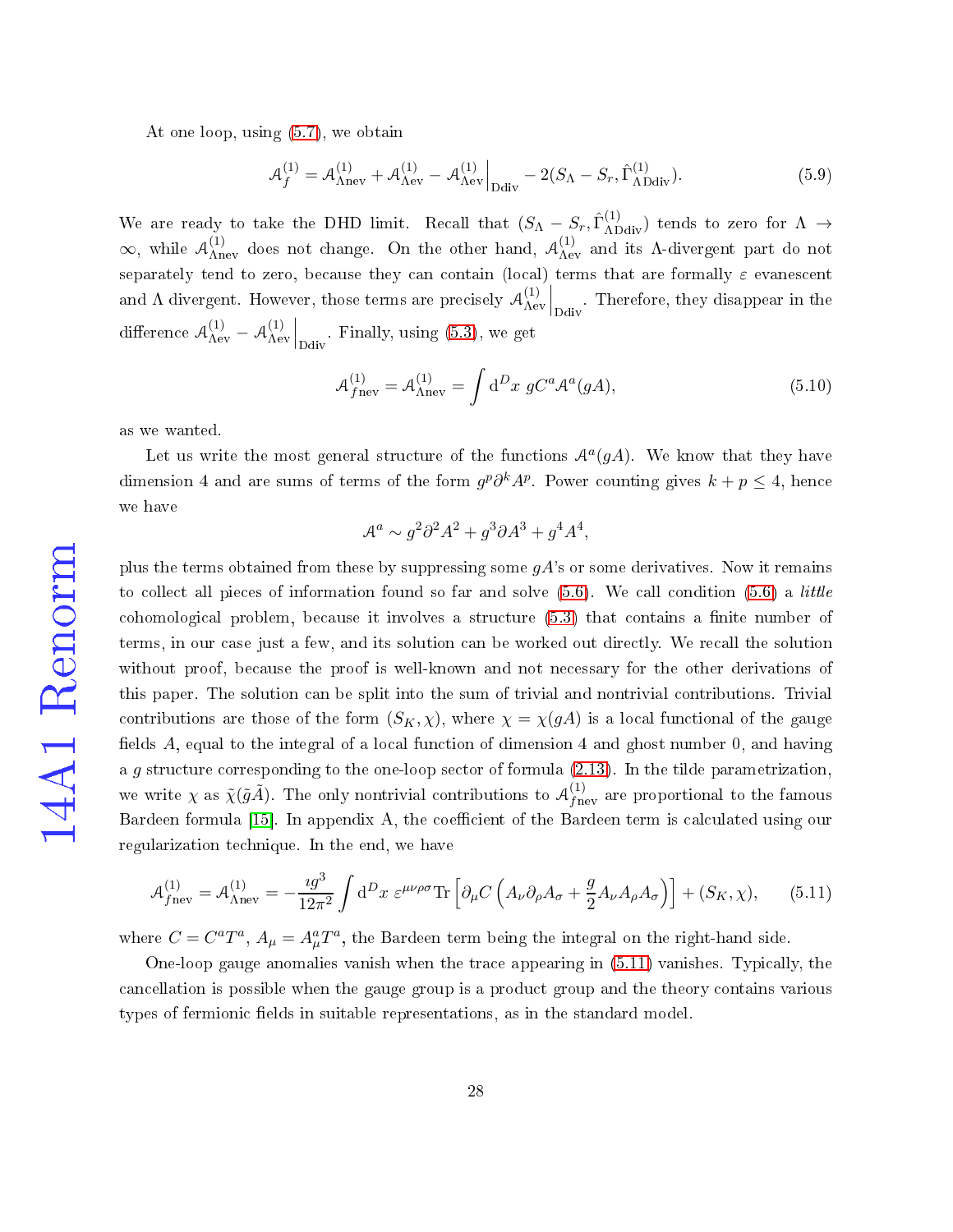At one loop, using [\(5.7\)](#page-26-0), we obtain

$$
\mathcal{A}_{f}^{(1)} = \mathcal{A}_{\Lambda \text{nev}}^{(1)} + \mathcal{A}_{\Lambda \text{ev}}^{(1)} - \mathcal{A}_{\Lambda \text{ev}}^{(1)} \Big|_{\text{Ddiv}} - 2(S_{\Lambda} - S_{r}, \hat{\Gamma}_{\Lambda \text{Ddiv}}^{(1)}).
$$
(5.9)

We are ready to take the DHD limit. Recall that  $(S_{\Lambda} - S_r, \hat{\Gamma}_{\Lambda \text{Ddiv}}^{(1)})$  tends to zero for  $\Lambda \to$  $\infty$ , while  $\mathcal{A}^{(1)}_{\Lambda n}$  does not change. On the other hand,  $\mathcal{A}^{(1)}_{\Lambda e}$  and its  $\Lambda$ -divergent part do not separately tend to zero, because they can contain (local) terms that are formally  $\varepsilon$  evanescent and  $\Lambda$  divergent. However, those terms are precisely  $\mathcal{A}_{\Lambda}^{(1)}$ Λ ev  $\Big|_{\text{Ddiv}}$ . Therefore, they disappear in the difference  $\mathcal{A}^{(1)}_{\Lambda \text{ev}} - \mathcal{A}^{(1)}_{\Lambda \text{e}}$ Λ ev  $\Big|_{\text{Ddiv}}$ . Finally, using [\(5.3\)](#page-24-1), we get

$$
\mathcal{A}_{f\text{nev}}^{(1)} = \mathcal{A}_{\text{Anev}}^{(1)} = \int d^D x \ g C^a \mathcal{A}^a(gA),\tag{5.10}
$$

as we wanted.

Let us write the most general structure of the functions  $\mathcal{A}^a(gA)$ . We know that they have dimension 4 and are sums of terms of the form  $g^p\partial^k A^p$ . Power counting gives  $k + p \leq 4$ , hence we have

$$
\mathcal{A}^a \sim g^2 \partial^2 A^2 + g^3 \partial A^3 + g^4 A^4,
$$

plus the terms obtained from these by suppressing some  $gA$ 's or some derivatives. Now it remains to collect all pieces of information found so far and solve  $(5.6)$ . We call condition  $(5.6)$  a *little* cohomological problem, because it involves a structure [\(5.3\)](#page-24-1) that contains a finite number of terms, in our case just a few, and its solution can be worked out directly. We recall the solution without proof, because the proof is well-known and not necessary for the other derivations of this paper. The solution can be split into the sum of trivial and nontrivial contributions. Trivial contributions are those of the form  $(S_K, \chi)$ , where  $\chi = \chi(gA)$  is a local functional of the gauge fields  $A$ , equal to the integral of a local function of dimension 4 and ghost number 0, and having a  $g$  structure corresponding to the one-loop sector of formula  $(2.13)$ . In the tilde parametrization, we write  $\chi$  as  $\tilde{\chi}(\tilde{g}\tilde{A})$ . The only nontrivial contributions to  $\mathcal{A}_{fn}^{(1)}$  $f$ nev are proportional to the famous Bardeen formula [\[15\]](#page-42-1). In appendix A, the coefficient of the Bardeen term is calculated using our regularization technique. In the end, we have

<span id="page-27-0"></span>
$$
\mathcal{A}_{f\text{nev}}^{(1)} = \mathcal{A}_{\Lambda\text{nev}}^{(1)} = -\frac{ig^3}{12\pi^2} \int d^D x \ \varepsilon^{\mu\nu\rho\sigma} \text{Tr} \left[ \partial_\mu C \left( A_\nu \partial_\rho A_\sigma + \frac{g}{2} A_\nu A_\rho A_\sigma \right) \right] + (S_K, \chi), \tag{5.11}
$$

where  $C = C^a T^a$ ,  $A_\mu = A_\mu^a T^a$ , the Bardeen term being the integral on the right-hand side.

One-loop gauge anomalies vanish when the trace appearing in [\(5.11\)](#page-27-0) vanishes. Typically, the cancellation is possible when the gauge group is a product group and the theory contains various types of fermionic fields in suitable representations, as in the standard model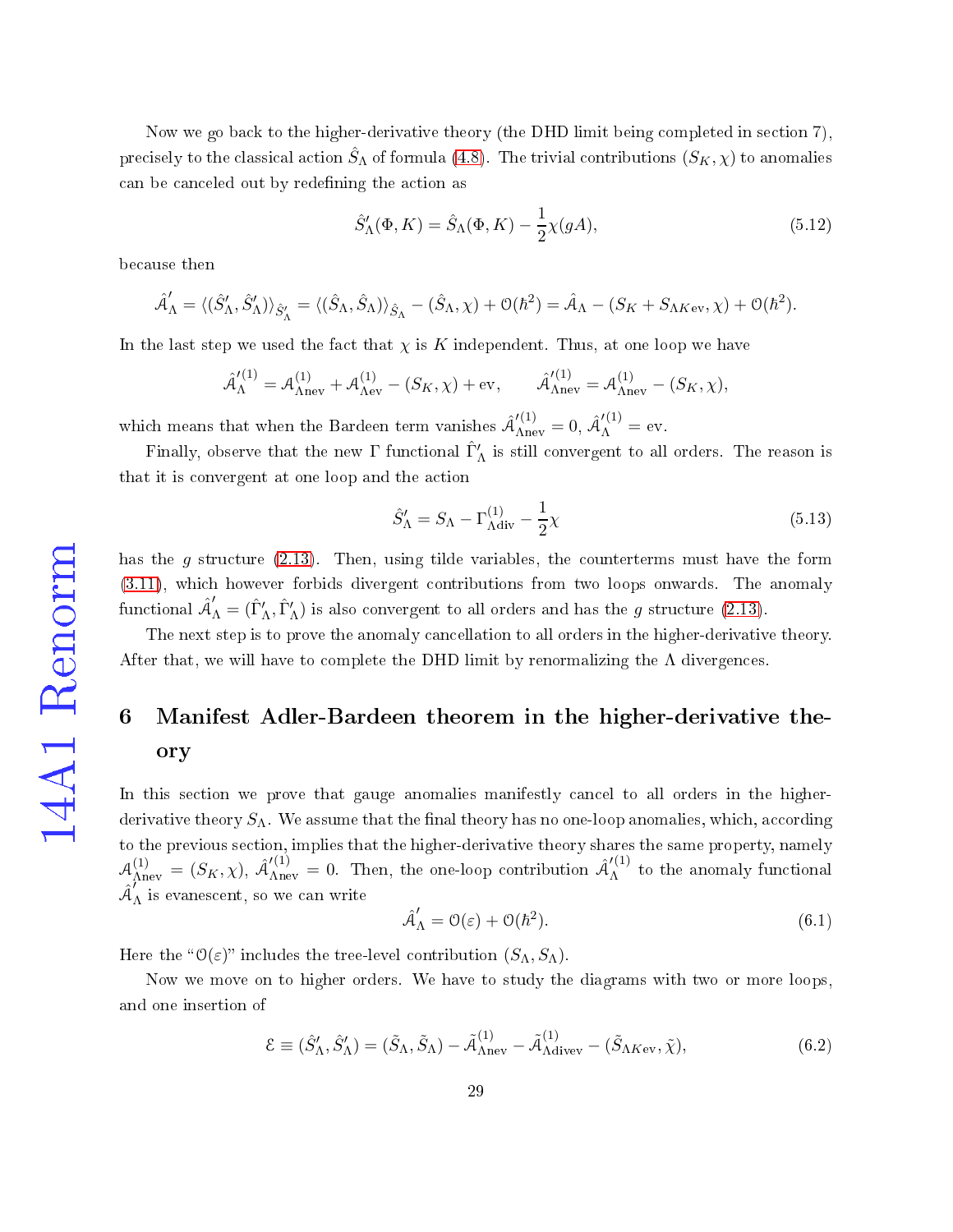Now we go back to the higher-derivative theory (the DHD limit being completed in section 7), precisely to the classical action  $\hat S_\Lambda$  of formula [\(4.8\)](#page-23-3). The trivial contributions  $(S_K, \chi)$  to anomalies can be canceled out by redefining the action as

<span id="page-28-3"></span>
$$
\hat{S}'_{\Lambda}(\Phi, K) = \hat{S}_{\Lambda}(\Phi, K) - \frac{1}{2}\chi(gA),\tag{5.12}
$$

because then

$$
\hat{\mathcal{A}}'_{\Lambda} = \langle (\hat{S}'_{\Lambda}, \hat{S}'_{\Lambda}) \rangle_{\hat{S}'_{\Lambda}} = \langle (\hat{S}_{\Lambda}, \hat{S}_{\Lambda}) \rangle_{\hat{S}_{\Lambda}} - (\hat{S}_{\Lambda}, \chi) + \mathcal{O}(\hbar^2) = \hat{\mathcal{A}}_{\Lambda} - (S_K + S_{\Lambda K \text{ev}}, \chi) + \mathcal{O}(\hbar^2).
$$

In the last step we used the fact that  $\chi$  is K independent. Thus, at one loop we have

$$
\hat{\mathcal{A}}_{\Lambda}^{\prime(1)} = \mathcal{A}_{\Lambda \text{nev}}^{(1)} + \mathcal{A}_{\Lambda \text{ev}}^{(1)} - (S_K, \chi) + \text{ev}, \qquad \hat{\mathcal{A}}_{\Lambda \text{nev}}^{\prime(1)} = \mathcal{A}_{\Lambda \text{nev}}^{(1)} - (S_K, \chi),
$$

which means that when the Bardeen term vanishes  $\hat{\mathcal{A}}_{\Lambda}^{\prime(1)} = 0$ ,  $\hat{\mathcal{A}}_{\Lambda}^{\prime(1)} = ev$ .

Finally, observe that the new  $\Gamma$  functional  $\hat{\Gamma}'_\Lambda$  is still convergent to all orders. The reason is that it is convergent at one loop and the action

<span id="page-28-0"></span>
$$
\hat{S}'_{\Lambda} = S_{\Lambda} - \Gamma^{(1)}_{\Lambda \text{div}} - \frac{1}{2} \chi \tag{5.13}
$$

has the g structure  $(2.13)$ . Then, using tilde variables, the counterterms must have the form [\(3.11\)](#page-19-1), which however forbids divergent contributions from two loops onwards. The anomaly functional  $\hat{A}'_{\Lambda} = (\hat{\Gamma}'_{\Lambda}, \hat{\Gamma}'_{\Lambda})$  is also convergent to all orders and has the  $g$  structure [\(2.13\)](#page-8-1).

The next step is to prove the anomaly cancellation to all orders in the higher-derivative theory. After that, we will have to complete the DHD limit by renormalizing the  $\Lambda$  divergences.

## 6 Manifest Adler-Bardeen theorem in the higher-derivative theory

In this section we prove that gauge anomalies manifestly cancel to all orders in the higherderivative theory  $S_\Lambda$ . We assume that the final theory has no one-loop anomalies, which, according  $A_{\text{Anev}}^{(1)} = (S_K, \chi), \hat{A}_{\text{Anev}}^{'(1)} = 0$ . Then, the one-loop contribution  $\hat{A}_{\Lambda}^{'(1)}$  to the anomaly functional  $\Lambda_{\text{New}} = (\mathcal{O}_K, \chi)$ ,  $\Lambda_{\text{New}} = 0$ . Then, the one-loop contribution  $\Lambda_{\Lambda}$  to the anomaly functional  $\hat{\mathcal{A}}'_{\Lambda}$  is evanescent, so we can write

<span id="page-28-2"></span>
$$
\hat{\mathcal{A}}'_{\Lambda} = \mathcal{O}(\varepsilon) + \mathcal{O}(\hbar^2). \tag{6.1}
$$

Here the " $\mathcal{O}(\varepsilon)$ " includes the tree-level contribution  $(S_{\Lambda}, S_{\Lambda})$ .

Now we move on to higher orders. We have to study the diagrams with two or more loops, and one insertion of

<span id="page-28-1"></span>
$$
\mathcal{E} \equiv (\hat{S}'_{\Lambda}, \hat{S}'_{\Lambda}) = (\tilde{S}_{\Lambda}, \tilde{S}_{\Lambda}) - \tilde{\mathcal{A}}_{\Lambda \text{nev}}^{(1)} - \tilde{\mathcal{A}}_{\Lambda \text{divev}}^{(1)} - (\tilde{S}_{\Lambda K \text{ev}}, \tilde{\chi}), \tag{6.2}
$$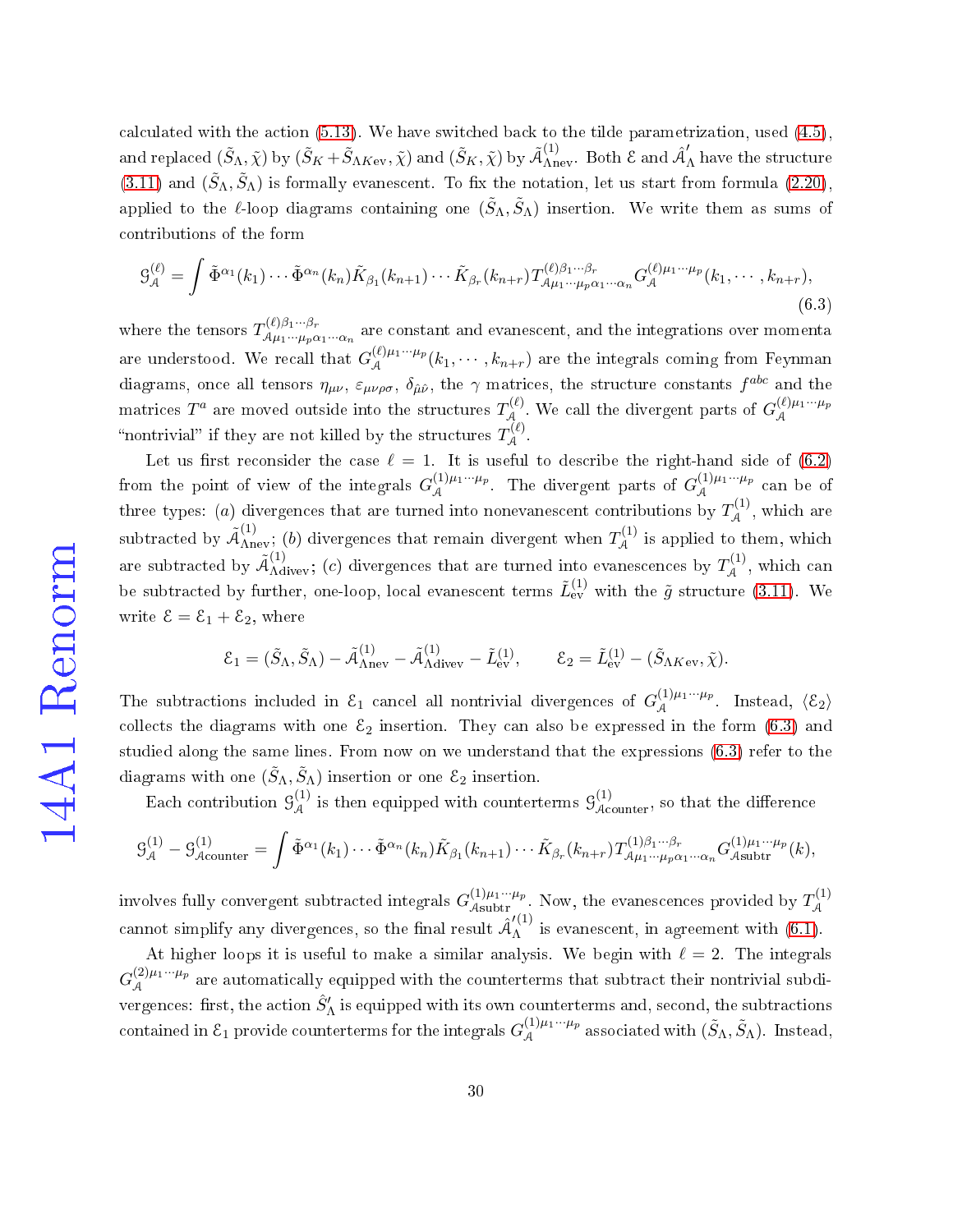calculated with the action [\(5.13\)](#page-28-0). We have switched back to the tilde parametrization, used [\(4.5\)](#page-23-0), and replaced  $(\tilde{S}_\Lambda, \tilde{\chi})$  by  $(\tilde{S}_K + \tilde{S}_{\Lambda K\,\rm ev}, \tilde{\chi})$  and  $(\tilde{S}_K, \tilde{\chi})$  by  $\tilde{{\cal A}}_{\Lambda\, \rm nev}^{(1)}$ . Both  ${\cal E}$  and  $\hat{{\cal A}}_{\Lambda}^{\prime}$  $\Lambda$  have the structure [\(3.11\)](#page-19-1) and  $(\tilde{S}_{\Lambda}, \tilde{S}_{\Lambda})$  is formally evanescent. To fix the notation, let us start from formula [\(2.20\)](#page-12-0), applied to the  $\ell$ -loop diagrams containing one  $(\tilde{S}_\Lambda, \tilde{S}_\Lambda)$  insertion. We write them as sums of contributions of the form

<span id="page-29-0"></span>
$$
\mathcal{G}_{\mathcal{A}}^{(\ell)} = \int \tilde{\Phi}^{\alpha_1}(k_1) \cdots \tilde{\Phi}^{\alpha_n}(k_n) \tilde{K}_{\beta_1}(k_{n+1}) \cdots \tilde{K}_{\beta_r}(k_{n+r}) T_{\mathcal{A}\mu_1 \cdots \mu_p \alpha_1 \cdots \alpha_n}^{(\ell)\beta_1 \cdots \beta_r} G_{\mathcal{A}}^{(\ell)\mu_1 \cdots \mu_p}(k_1, \cdots, k_{n+r}),
$$
\n(6.3)

where the tensors  $T_{A_{II},...,I_{n}}^{(\ell)\beta_1...\beta_r}$  $_{\mathcal{A}\mu_1\cdots\mu_p\alpha_1\cdots\alpha_n}$  are constant and evanescent, and the integrations over momenta are understood. We recall that  $G_A^{(\ell)\mu_1\cdots\mu_p}$  $\mathcal{A}^{(e)\mu_1\cdots\mu_p}(k_1,\cdots,k_{n+r})$  are the integrals coming from Feynman diagrams, once all tensors  $\eta_{\mu\nu}$ ,  $\varepsilon_{\mu\nu\rho\sigma}$ ,  $\delta_{\hat{\mu}\hat{\nu}}$ , the  $\gamma$  matrices, the structure constants  $f^{abc}$ matrices  $T^a$  are moved outside into the structures  $T_A^{(\ell)}$  $\mathcal{A}^{(\ell)}$ . We call the divergent parts of  $G_{\mathcal{A}}^{(\ell)\mu_1\cdots\mu_p}$ A "nontrivial" if they are not killed by the structures  $T_A^{(\ell)}$  $\mathcal A$ 

Let us first reconsider the case  $\ell = 1$ . It is useful to describe the right-hand side of [\(6.2\)](#page-28-1) from the point of view of the integrals  $G_A^{(1)\mu_1\cdots\mu_p}$  $A^{(1)\mu_1\cdots\mu_p}$ . The divergent parts of  $G_A^{(1)\mu_1\cdots\mu_p}$ A can be of three types: (a) divergences that are turned into nonevanescent contributions by  $T_A^{(1)}$  $_{\mathcal{A}}$  , which are subtracted by  $\tilde{{\cal A}}_{\Lambda\,\rm{nev}}^{(1)};~(b)$  divergences that remain divergent when  $T^{(1)}_{\cal A}$  $\mathcal A$  as applied to them, which are subtracted by  $\tilde{\cal A}_{\rm Adivev}^{(1)}$ ; (c) divergences that are turned into evanescences by  $T^{(1)}_{\cal A}$  $_{\mathcal{A}}$  , which can be subtracted by further, one-loop, local evanescent terms  $\tilde{L}_{ev}^{(1)}$  with the  $\tilde{g}$  structure [\(3.11\)](#page-19-1). We write  $\mathcal{E} = \mathcal{E}_1 + \mathcal{E}_2$ , where

$$
\mathcal{E}_1 = (\tilde{S}_{\Lambda}, \tilde{S}_{\Lambda}) - \tilde{\mathcal{A}}_{\Lambda \text{nev}}^{(1)} - \tilde{\mathcal{A}}_{\Lambda \text{divev}}^{(1)} - \tilde{L}_{\text{ev}}^{(1)}, \qquad \mathcal{E}_2 = \tilde{L}_{\text{ev}}^{(1)} - (\tilde{S}_{\Lambda K \text{ev}}, \tilde{\chi}).
$$

The subtractions included in  $\mathcal{E}_1$  cancel all nontrivial divergences of  $G_A^{(1)\mu_1\cdots\mu_p}$  $\mathcal{A}^{(1)\mu_1\cdots\mu_p}$  Instead,  $\langle \mathcal{E}_2 \rangle$ collects the diagrams with one  $\mathcal{E}_2$  insertion. They can also be expressed in the form [\(6.3\)](#page-29-0) and studied along the same lines. From now on we understand that the expressions [\(6.3\)](#page-29-0) refer to the diagrams with one  $(\tilde{S}_{\Lambda}, \tilde{S}_{\Lambda})$  insertion or one  $\mathcal{E}_2$  insertion.

Each contribution  $\mathcal{G}_4^{(1)}$  $\mathcal{G}_{\mathcal{A}}^{(1)}$  is then equipped with counterterms  $\mathcal{G}_{\mathcal{A}c}^{(1)}$  $\mathcal{A}$  counter , so that the difference

$$
\mathcal{G}_{\mathcal{A}}^{(1)} - \mathcal{G}_{\mathcal{A}\text{counter}}^{(1)} = \int \tilde{\Phi}^{\alpha_1}(k_1) \cdots \tilde{\Phi}^{\alpha_n}(k_n) \tilde{K}_{\beta_1}(k_{n+1}) \cdots \tilde{K}_{\beta_r}(k_{n+r}) T_{\mathcal{A}\mu_1 \cdots \mu_p \alpha_1 \cdots \alpha_n}^{(1)\beta_1 \cdots \beta_r} G_{\mathcal{A}\text{subtr}}^{(1)\mu_1 \cdots \mu_p}(k),
$$

involves fully convergent subtracted integrals  $G_{A\text{subtr}}^{(1)\mu_1\cdots\mu_p}$ . Now, the evanescences provided by  $T^{(1)}_{\cal A}$ A cannot simplify any divergences, so the final result  $\hat{\mathcal{A}}_{\Lambda}^{\prime(1)}$  $\Lambda$  is evanescent, in agreement with  $(0.1)$ .

At higher loops it is useful to make a similar analysis. We begin with  $\ell = 2$ . The integrals  $G_A^{(2)}{}^{\mu_1\cdots\mu_p}$  $_{\mathcal{A}}$  are automatically equipped with the counterterms that subtract their nontrivial subdivergences: first, the action  $\hat{S}'_{\Lambda}$  is equipped with its own counterterms and, second, the subtractions contained in  $\mathcal{E}_1$  provide counterterms for the integrals  $G^{(1)\mu_1\cdots\mu_p}_{\mathcal{A}}$  $A^{(1)\mu_1\cdots\mu_p}$  associated with  $(\tilde{S}_{\Lambda},\tilde{S}_{\Lambda})$ . Instead,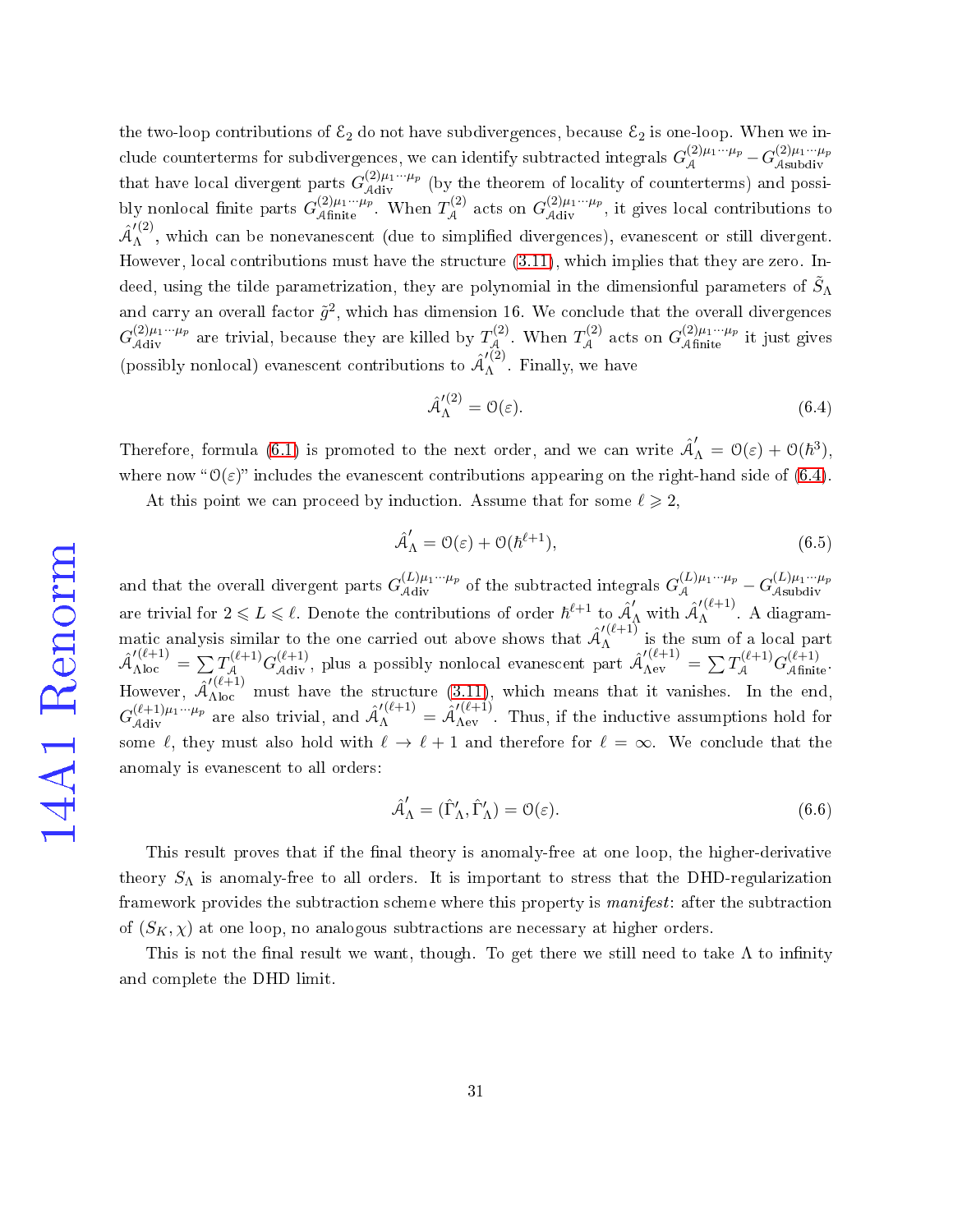the two-loop contributions of  $\mathcal{E}_2$  do not have subdivergences, because  $\mathcal{E}_2$  is one-loop. When we include counterterms for subdivergences, we can identify subtracted integrals  $G_A^{(2)\mu_1\cdots\mu_p} - G_{A\text{subdiv}}^{(2)\mu_1\cdots\mu_p}$ A subdiv that have local divergent parts  $G_{A\,div}^{(2)\mu_1\cdots\mu_p}$  $_{\text{Adiv}}$  (by the theorem of locality of counterterms) and possibly nonlocal finite parts  $G_{\mathcal{A} \text{finite}}^{(2)\mu_1\cdots\mu_p}$ . When  $T_{\mathcal{A}}^{(2)}$  $G^{(2)}_{\mathcal{A}}$  acts on  $G^{(2)\mu_1\cdots\mu_p}_{\mathcal{A}\,\mathrm{div}}$  $\mathcal{A}$  div  $\mathcal{A}$ , it gives local contributions to  $\hat{{\cal A}}^{\prime\,2)}_{\,\Lambda}$  $\Lambda$ , which can be nonevanescent (due to simplified divergences), evanescent or still divergent. However, local contributions must have the structure [\(3.11\)](#page-19-1), which implies that they are zero. Indeed, using the tilde parametrization, they are polynomial in the dimensionful parameters of  $\tilde{S}_\Lambda$ and carry an overall factor  $\tilde{g}^2$ , which has dimension 16. We conclude that the overall divergences  $G_{\mathcal{A} \text{ div}}^{(2)\mu_1\cdots\mu_p}$  are trivial, because they are killed by  $T^{(2)}_{\mathcal{A}}$  $T^{(2)}_{\mathcal{A}}$  When  $T^{(2)}_{\mathcal{A}}$  $G^{(2)}_{\mathcal{A}}$  acts on  $G^{(2)\mu_1\cdots\mu_p}_{\mathcal{A}\,\mathrm{finite}}$ Afinite <sup>It</sup> Just gives (possibly nonlocal) evanescent contributions to  $\hat{\mathcal{A}}_{\Lambda}^{\prime(2)}$  $\Lambda$  ) - г шану, we have

<span id="page-30-0"></span>
$$
\hat{\mathcal{A}}_{\Lambda}^{\prime(2)} = \mathcal{O}(\varepsilon). \tag{6.4}
$$

Therefore, formula [\(6.1\)](#page-28-2) is promoted to the next order, and we can write  $\mathcal{\hat{A}}'_{\Lambda} = \mathcal{O}(\varepsilon) + \mathcal{O}(\hbar^3)$ , where now " $\mathcal{O}(\varepsilon)$ " includes the evanescent contributions appearing on the right-hand side of [\(6.4\)](#page-30-0).

At this point we can proceed by induction. Assume that for some  $\ell \geq 2$ ,

$$
\hat{\mathcal{A}}'_{\Lambda} = \mathcal{O}(\varepsilon) + \mathcal{O}(\hbar^{\ell+1}),\tag{6.5}
$$

and that the overall divergent parts  $G_{\mathcal{A} \text{ div}}^{(L)\mu_1 \cdots \mu_p}$  of the subtracted integrals  $G_{\mathcal{A}}^{(L)\mu_1 \cdots \mu_p} - G_{\mathcal{A} \text{subdiv}}^{(L)\mu_1 \cdots \mu_p}$ A subdiv are trivial for  $2 \leqslant L \leqslant \ell$ . Denote the contributions of order  $\hbar^{\ell+1}$  to  $\hat{\mathcal{A}}'_{\Lambda}$  with  $\hat{\mathcal{A}}'^{(\ell+1)}_{\Lambda}$  $\Lambda$  . A diagrammatic analysis similar to the one carried out above shows that  $\hat{\mathcal{A}}_{\Lambda}^{\prime(\ell+1)}$  $\Lambda$  is the sum of a local part  $\hat{\cal A}'^{(\ell+1)}_{\rm Aloc} = \sum T_{\cal A}^{(\ell+1)} G^{{(\ell+1)}}_{{\cal A}\,{\rm div}}, \; {\rm plus \; a \; possibly \; nonlocal \; evanescent \; part \; } \hat{\cal A}'^{{(\ell+1)}}_{{\rm Aev}} = \sum T_{\cal A}^{(\ell+1)} G^{{(\ell+1)}}_{{\cal A}\,{\rm finit}}$ Afinite<sup>.</sup> However,  $\hat{\mathcal{A}}_{\Lambda \, \mathrm{loc}}^{\prime \, (\ell+1)}$  $\Lambda$ loc must have the structure  $(3.11)$ , which means that it vanishes. In the end,  $G_{\cal A}^{(\ell+1)\mu_1\cdots\mu_p}$  are also trivial, and  $\hat{A}'^{(\ell+1)}_{\Lambda} = \hat{A}'_{\Lambda}^{(\ell+1)}$  $\Lambda$ ev  $\cdots$  Thus, if the inductive assumptions hold for some  $\ell$ , they must also hold with  $\ell \to \ell + 1$  and therefore for  $\ell = \infty$ . We conclude that the anomaly is evanescent to all orders:

<span id="page-30-1"></span>
$$
\hat{\mathcal{A}}'_{\Lambda} = (\hat{\Gamma}'_{\Lambda}, \hat{\Gamma}'_{\Lambda}) = \mathcal{O}(\varepsilon). \tag{6.6}
$$

This result proves that if the final theory is anomaly-free at one loop, the higher-derivative theory  $S_\Lambda$  is anomaly-free to all orders. It is important to stress that the DHD-regularization framework provides the subtraction scheme where this property is *manifest*: after the subtraction of  $(S_K, \chi)$  at one loop, no analogous subtractions are necessary at higher orders.

This is not the final result we want, though. To get there we still need to take  $\Lambda$  to infinity and complete the DHD limit.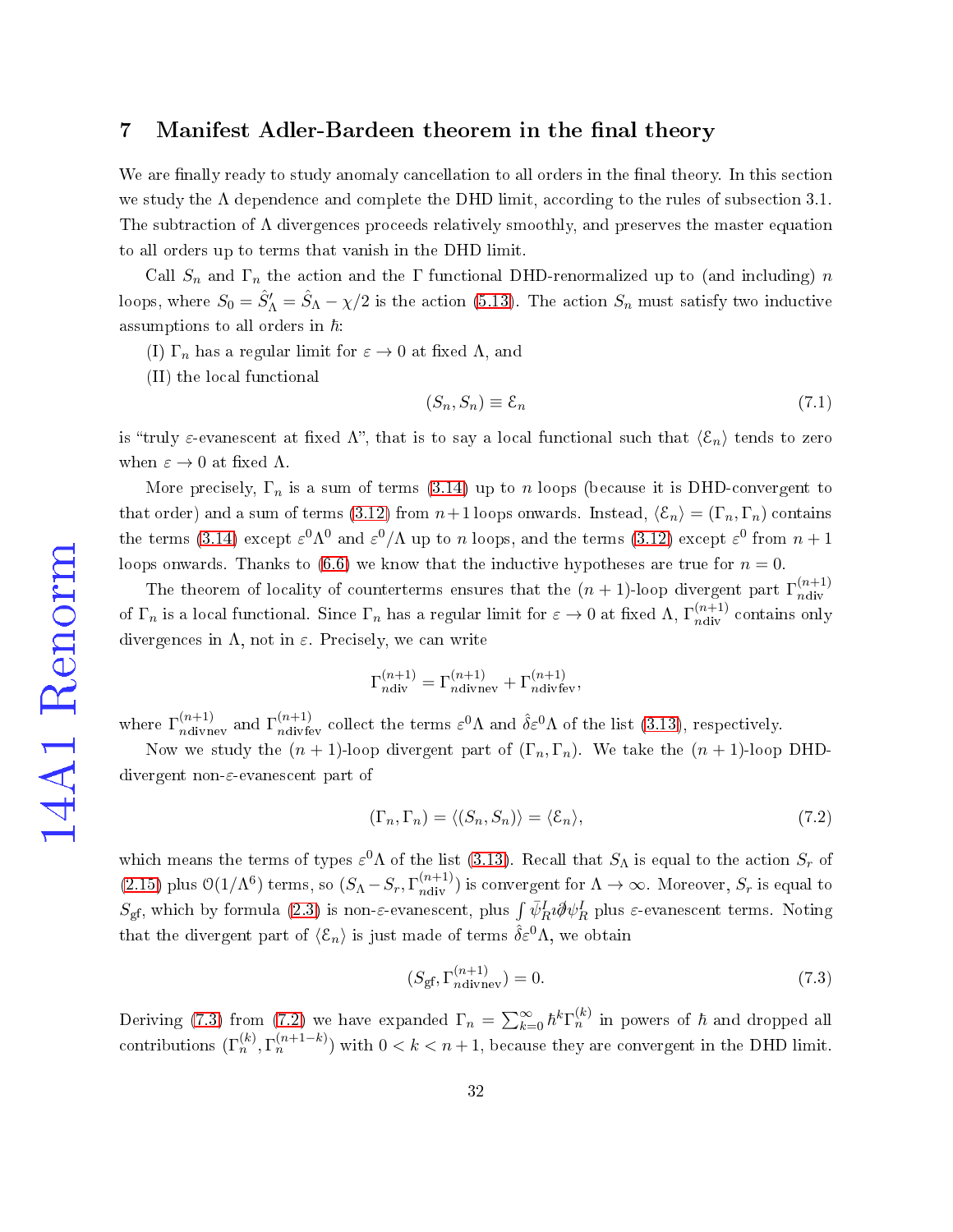### 7 Manifest Adler-Bardeen theorem in the final theory

We are finally ready to study anomaly cancellation to all orders in the final theory. In this section we study the  $\Lambda$  dependence and complete the DHD limit, according to the rules of subsection 3.1. The subtraction of Λ divergences proceeds relatively smoothly, and preserves the master equation to all orders up to terms that vanish in the DHD limit.

Call  $S_n$  and  $\Gamma_n$  the action and the  $\Gamma$  functional DHD-renormalized up to (and including) n loops, where  $S_0 = \hat{S}'_\Lambda = \hat{S}_\Lambda - \chi/2$  is the action [\(5.13\)](#page-28-0). The action  $S_n$  must satisfy two inductive assumptions to all orders in  $\hbar$ :

(I)  $\Gamma_n$  has a regular limit for  $\varepsilon \to 0$  at fixed  $\Lambda$ , and

(II) the local functional

<span id="page-31-2"></span>
$$
(S_n, S_n) \equiv \mathcal{E}_n \tag{7.1}
$$

is "truly  $\varepsilon$ -evanescent at fixed  $\Lambda$ ", that is to say a local functional such that  $\langle \mathcal{E}_n \rangle$  tends to zero when  $\varepsilon \to 0$  at fixed  $\Lambda$ .

More precisely,  $\Gamma_n$  is a sum of terms [\(3.14\)](#page-21-1) up to n loops (because it is DHD-convergent to that order) and a sum of terms [\(3.12\)](#page-21-0) from  $n+1$  loops onwards. Instead,  $\langle \mathcal{E}_n \rangle = (\Gamma_n, \Gamma_n)$  contains the terms [\(3.14\)](#page-21-1) except  $\varepsilon^0 \Lambda^0$  and  $\varepsilon^0/\Lambda$  up to n loops, and the terms [\(3.12\)](#page-21-0) except  $\varepsilon^0$  from  $n+1$ loops onwards. Thanks to [\(6.6\)](#page-30-1) we know that the inductive hypotheses are true for  $n = 0$ .

The theorem of locality of counterterms ensures that the  $(n + 1)$ -loop divergent part  $\Gamma_{ndiv}^{(n+1)}$ ndiv of  $\Gamma_n$  is a local functional. Since  $\Gamma_n$  has a regular limit for  $\varepsilon \to 0$  at fixed  $\Lambda$ ,  $\Gamma_{ndiv}^{(n+1)}$  $n$ div contains only divergences in  $\Lambda$ , not in  $\varepsilon$ . Precisely, we can write

$$
\Gamma_{n\,\mathrm{div}}^{(n+1)} = \Gamma_{n\,\mathrm{div}\,\mathrm{nev}}^{(n+1)} + \Gamma_{n\,\mathrm{div}\,\mathrm{rev}}^{(n+1)},
$$

where  $\Gamma_{\text{ndiv}\,\text{rev}}^{(n+1)}$  and  $\Gamma_{\text{ndiv}\,\text{rev}}^{(n+1)}$  collect the terms  $\varepsilon^0 \Lambda$  and  $\hat{\delta} \varepsilon^0 \Lambda$  of the list [\(3.13\)](#page-21-2), respectively.

Now we study the  $(n + 1)$ -loop divergent part of  $(\Gamma_n, \Gamma_n)$ . We take the  $(n + 1)$ -loop DHDdivergent non-ε-evanescent part of

<span id="page-31-1"></span>
$$
(\Gamma_n, \Gamma_n) = \langle (S_n, S_n) \rangle = \langle \mathcal{E}_n \rangle, \tag{7.2}
$$

which means the terms of types  $\varepsilon^0 \Lambda$  of the list [\(3.13\)](#page-21-2). Recall that  $S_\Lambda$  is equal to the action  $S_r$  of [\(2.15\)](#page-10-0) plus  $\mathcal{O}(1/\Lambda^6)$  terms, so  $(S_{\Lambda} - S_r, \Gamma_{ndiv}^{(n+1)})$  is convergent for  $\Lambda \to \infty$ . Moreover,  $S_r$  is equal to  $S_{\text{gf}}$ , which by formula [\(2.3\)](#page-5-0) is non- $\varepsilon$ -evanescent, plus  $\int \bar{\psi}_R^I \imath \partial \psi_R^I$  plus  $\varepsilon$ -evanescent terms. Noting that the divergent part of  $\langle \mathcal{E}_n \rangle$  is just made of terms  $\hat{\delta} \varepsilon^0 \Lambda$ , we obtain

<span id="page-31-0"></span>
$$
(S_{\rm gf}, \Gamma_{\rm ndiv \, {\rm nev}}^{(n+1)}) = 0. \tag{7.3}
$$

Deriving [\(7.3\)](#page-31-0) from [\(7.2\)](#page-31-1) we have expanded  $\Gamma_n = \sum_{k=0}^{\infty} \hbar^k \Gamma_n^{(k)}$  in powers of  $\hbar$  and dropped all contributions  $(\Gamma_n^{(k)}, \Gamma_n^{(n+1-k)})$  with  $0 < k < n+1$ , because they are convergent in the DHD limit.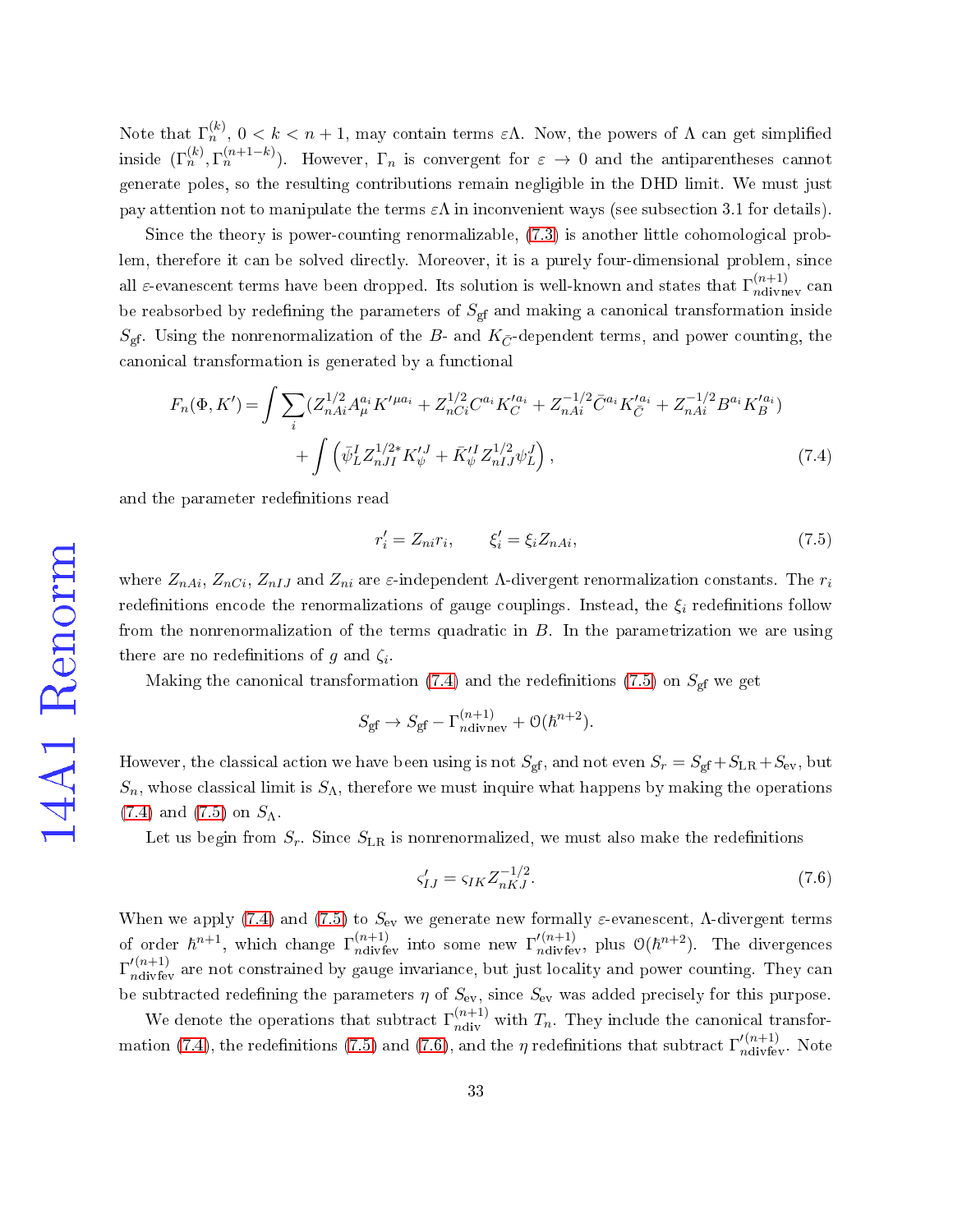Note that  $\Gamma_n^{(k)}$ ,  $0 < k < n+1$ , may contain terms  $\varepsilon \Lambda$ . Now, the powers of  $\Lambda$  can get simplified inside  $(\Gamma_n^{(k)}, \Gamma_n^{(n+1-k)})$ . However,  $\Gamma_n$  is convergent for  $\varepsilon \to 0$  and the antiparentheses cannot generate poles, so the resulting contributions remain negligible in the DHD limit. We must just pay attention not to manipulate the terms  $\varepsilon \Lambda$  in inconvenient ways (see subsection 3.1 for details).

Since the theory is power-counting renormalizable, [\(7.3\)](#page-31-0) is another little cohomological problem, therefore it can be solved directly. Moreover, it is a purely four-dimensional problem, since all  $\varepsilon$ -evanescent terms have been dropped. Its solution is well-known and states that  $\Gamma_{ndiv}^{(n+1)}$  $n$  divney  $\mathcal{C}^{a}$ <sup>11</sup> be reabsorbed by redefining the parameters of  $S_{\text{gf}}$  and making a canonical transformation inside  $S_{\text{gf}}$ . Using the nonrenormalization of the B- and  $K_{\overline{C}}$ -dependent terms, and power counting, the canonical transformation is generated by a functional

<span id="page-32-0"></span>
$$
F_n(\Phi, K') = \int \sum_i (Z_{nAi}^{1/2} A_{\mu}^{a_i} K'^{\mu a_i} + Z_{nCi}^{1/2} C^{a_i} K'^{a_i}_{C} + Z_{nAi}^{-1/2} \bar{C}^{a_i} K'^{a_i}_{\bar{C}} + Z_{nAi}^{-1/2} B^{a_i} K'^{a_i}_{B}) + \int \left( \bar{\psi}_L^I Z_{nJI}^{1/2*} K'^J_{\psi} + \bar{K}'_{\psi}^I Z_{nIJ}^{1/2} \psi_L^J \right), \tag{7.4}
$$

and the parameter redefinitions read

<span id="page-32-1"></span>
$$
r_i' = Z_{ni}r_i, \t\xi_i' = \xi_i Z_{nAi}, \t\t(7.5)
$$

where  $Z_{nAi}$ ,  $Z_{nCi}$ ,  $Z_{nIJ}$  and  $Z_{ni}$  are  $\varepsilon$ -independent Λ-divergent renormalization constants. The  $r_i$ redefinitions encode the renormalizations of gauge couplings. Instead, the  $\xi_i$  redefinitions follow from the nonrenormalization of the terms quadratic in  $B$ . In the parametrization we are using there are no redefinitions of g and  $\zeta_i$ .

Making the canonical transformation [\(7.4\)](#page-32-0) and the redefinitions [\(7.5\)](#page-32-1) on  $S_{\text{gf}}$  we get

$$
S_{\text{gf}} \to S_{\text{gf}} - \Gamma_{n\,\text{div}\,\text{nev}}^{(n+1)} + \mathcal{O}(\hbar^{n+2}).
$$

However, the classical action we have been using is not  $S_{\text{gf}}$ , and not even  $S_r = S_{\text{gf}} + S_{\text{LR}} + S_{\text{ev}}$ , but  $S_n$ , whose classical limit is  $S_\Lambda$ , therefore we must inquire what happens by making the operations  $(7.4)$  and  $(7.5)$  on  $S_\Lambda$ .

Let us begin from  $S_r$ . Since  $S_{LR}$  is nonrenormalized, we must also make the redefinitions

<span id="page-32-2"></span>
$$
\varsigma_{IJ}' = \varsigma_{IK} Z_{nKJ}^{-1/2}.\tag{7.6}
$$

When we apply [\(7.4\)](#page-32-0) and [\(7.5\)](#page-32-1) to  $S_{\text{ev}}$  we generate new formally  $\varepsilon$ -evanescent,  $\Lambda$ -divergent terms of order  $\hbar^{n+1}$ , which change  $\Gamma_{ndiv}^{(n+1)}$  into some new  $\Gamma_{ndiv}^{\prime (n+1)}$ , plus  $\mathcal{O}(\hbar^{n+2})$ . The divergences  $\Gamma'_{n\,\rm{div\,fe}}^{(n+1)}$  $n$ divfev are not constrained by gauge invariance, but just locality and power counting. They can be subtracted redefining the parameters  $\eta$  of  $S_{\text{ev}}$ , since  $S_{\text{ev}}$  was added precisely for this purpose.

We denote the operations that subtract  $\Gamma_{n\,\rm div}^{(n+1)}$  with  $T_n$ . They include the canonical transfor-mation [\(7.4\)](#page-32-0), the redefinitions [\(7.5\)](#page-32-1) and [\(7.6\)](#page-32-2), and the  $\eta$  redefinitions that subtract  $\Gamma'^{(n+1)}_{n\text{div} \mathbf{f} \cdot \mathbf{f}}$  $n$  div fev.  $\frac{1}{10000}$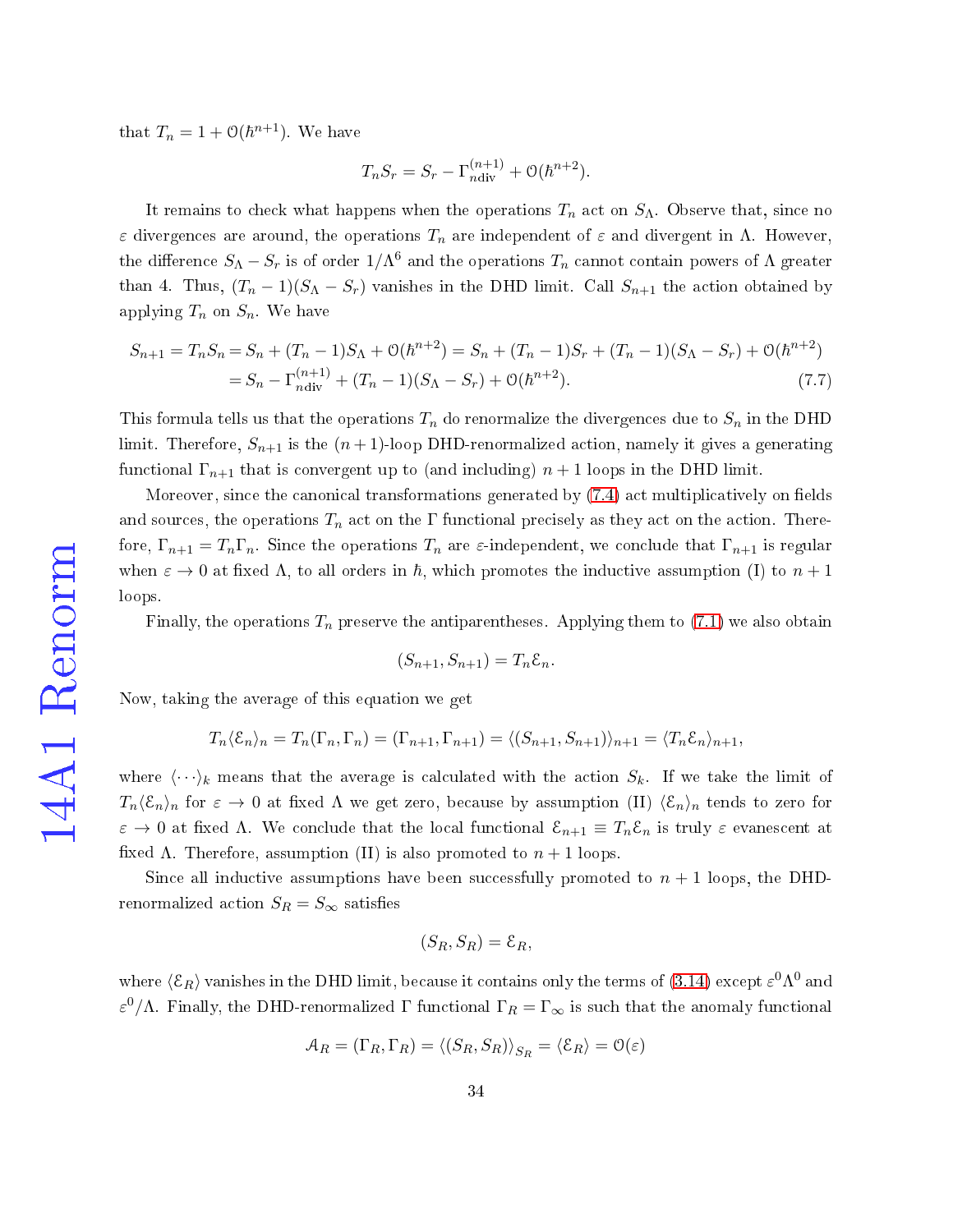that  $T_n = 1 + \mathcal{O}(\hbar^{n+1})$ . We have

$$
T_n S_r = S_r - \Gamma_{n \text{div}}^{(n+1)} + \mathcal{O}(\hbar^{n+2}).
$$

It remains to check what happens when the operations  $T_n$  act on  $S_\Lambda$ . Observe that, since no ε divergences are around, the operations  $T_n$  are independent of ε and divergent in Λ. However, the difference  $S_{\Lambda} - S_r$  is of order  $1/\Lambda^6$  and the operations  $T_n$  cannot contain powers of  $\Lambda$  greater than 4. Thus,  $(T_n - 1)(S_\Lambda - S_r)$  vanishes in the DHD limit. Call  $S_{n+1}$  the action obtained by applying  $T_n$  on  $S_n$ . We have

$$
S_{n+1} = T_n S_n = S_n + (T_n - 1)S_\Lambda + \mathcal{O}(\hbar^{n+2}) = S_n + (T_n - 1)S_r + (T_n - 1)(S_\Lambda - S_r) + \mathcal{O}(\hbar^{n+2})
$$
  
= 
$$
S_n - \Gamma_{n \text{div}}^{(n+1)} + (T_n - 1)(S_\Lambda - S_r) + \mathcal{O}(\hbar^{n+2}).
$$
 (7.7)

This formula tells us that the operations  $T_n$  do renormalize the divergences due to  $S_n$  in the DHD limit. Therefore,  $S_{n+1}$  is the  $(n+1)$ -loop DHD-renormalized action, namely it gives a generating functional  $\Gamma_{n+1}$  that is convergent up to (and including)  $n+1$  loops in the DHD limit.

Moreover, since the canonical transformations generated by  $(7.4)$  act multiplicatively on fields and sources, the operations  $T_n$  act on the  $\Gamma$  functional precisely as they act on the action. Therefore,  $\Gamma_{n+1} = T_n \Gamma_n$ . Since the operations  $T_n$  are  $\varepsilon$ -independent, we conclude that  $\Gamma_{n+1}$  is regular when  $\varepsilon \to 0$  at fixed  $\Lambda$ , to all orders in  $\hbar$ , which promotes the inductive assumption (I) to  $n+1$ loops.

Finally, the operations  $T_n$  preserve the antiparentheses. Applying them to [\(7.1\)](#page-31-2) we also obtain

$$
(S_{n+1}, S_{n+1}) = T_n \mathcal{E}_n.
$$

Now, taking the average of this equation we get

$$
T_n \langle \mathcal{E}_n \rangle_n = T_n(\Gamma_n, \Gamma_n) = (\Gamma_{n+1}, \Gamma_{n+1}) = \langle (S_{n+1}, S_{n+1}) \rangle_{n+1} = \langle T_n \mathcal{E}_n \rangle_{n+1},
$$

where  $\langle \cdots \rangle_k$  means that the average is calculated with the action  $S_k$ . If we take the limit of  $T_n\langle \mathcal{E}_n \rangle_n$  for  $\varepsilon \to 0$  at fixed  $\Lambda$  we get zero, because by assumption (II)  $\langle \mathcal{E}_n \rangle_n$  tends to zero for  $\varepsilon \to 0$  at fixed  $\Lambda$ . We conclude that the local functional  $\varepsilon_{n+1} \equiv T_n \varepsilon_n$  is truly  $\varepsilon$  evanescent at fixed  $\Lambda$ . Therefore, assumption (II) is also promoted to  $n+1$  loops.

Since all inductive assumptions have been successfully promoted to  $n + 1$  loops, the DHDrenormalized action  $S_R = S_{\infty}$  satisfies

$$
(S_R, S_R) = \mathcal{E}_R,
$$

where  $\langle \mathcal{E}_R \rangle$  vanishes in the DHD limit, because it contains only the terms of [\(3.14\)](#page-21-1) except  $\varepsilon^0 \Lambda^0$  and ε<sup>0</sup>/Λ. Finally, the DHD-renormalized Γ functional  $\Gamma_R = \Gamma_\infty$  is such that the anomaly functional

$$
\mathcal{A}_R = (\Gamma_R, \Gamma_R) = \langle (S_R, S_R) \rangle_{S_R} = \langle \mathcal{E}_R \rangle = \mathcal{O}(\varepsilon)
$$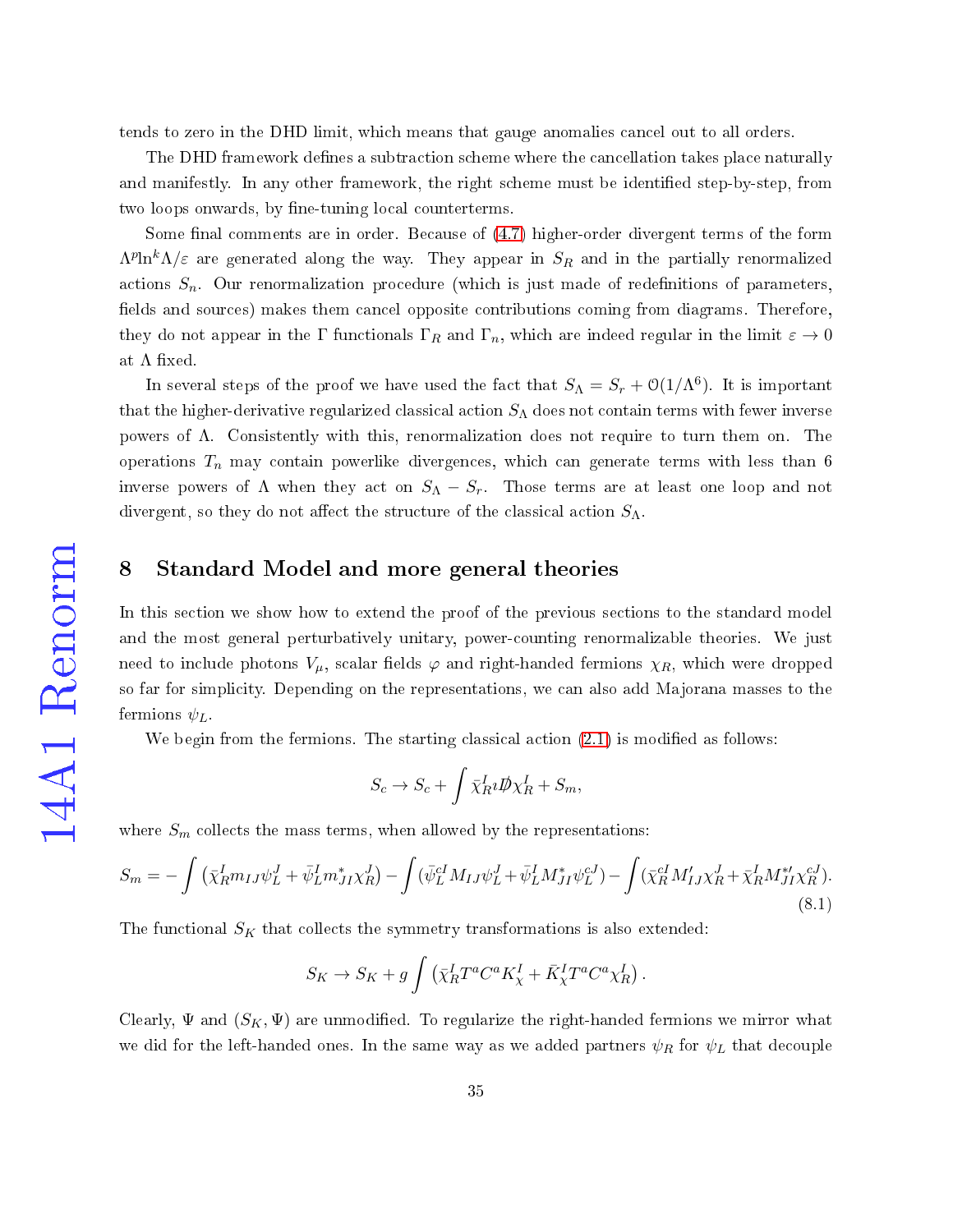tends to zero in the DHD limit, which means that gauge anomalies cancel out to all orders.

The DHD framework defines a subtraction scheme where the cancellation takes place naturally and manifestly. In any other framework, the right scheme must be identified step-by-step, from two loops onwards, by fine-tuning local counterterms.

Some final comments are in order. Because of  $(4.7)$  higher-order divergent terms of the form  $\Lambda^p\!\ln^k\!\Lambda/\varepsilon$  are generated along the way. They appear in  $S_R$  and in the partially renormalized actions  $S_n$ . Our renormalization procedure (which is just made of redefinitions of parameters, fields and sources) makes them cancel opposite contributions coming from diagrams. Therefore, they do not appear in the  $\Gamma$  functionals  $\Gamma_R$  and  $\Gamma_n$ , which are indeed regular in the limit  $\varepsilon \to 0$ at  $\Lambda$  fixed.

In several steps of the proof we have used the fact that  $S_\Lambda = S_r + \mathcal{O}(1/\Lambda^6)$ . It is important that the higher-derivative regularized classical action  $S_\Lambda$  does not contain terms with fewer inverse powers of Λ. Consistently with this, renormalization does not require to turn them on. The operations  $T_n$  may contain powerlike divergences, which can generate terms with less than 6 inverse powers of  $\Lambda$  when they act on  $S_{\Lambda} - S_{r}$ . Those terms are at least one loop and not divergent, so they do not affect the structure of the classical action  $S_\Lambda$ .

### 8 Standard Model and more general theories

In this section we show how to extend the proof of the previous sections to the standard model and the most general perturbatively unitary, power-counting renormalizable theories. We just need to include photons  $V_\mu$ , scalar fields  $\varphi$  and right-handed fermions  $\chi_R$ , which were dropped so far for simplicity. Depending on the representations, we can also add Majorana masses to the fermions  $\psi_L$ .

We begin from the fermions. The starting classical action  $(2.1)$  is modified as follows:

$$
S_c \to S_c + \int \bar{\chi}_R^I \psi \chi_R^I + S_m,
$$

where  $S_m$  collects the mass terms, when allowed by the representations:

<span id="page-34-0"></span>
$$
S_{m} = -\int (\bar{\chi}_{R}^{I} m_{IJ} \psi_{L}^{J} + \bar{\psi}_{L}^{I} m_{JI}^{*} \chi_{R}^{J}) - \int (\bar{\psi}_{L}^{cI} M_{IJ} \psi_{L}^{J} + \bar{\psi}_{L}^{I} M_{JI}^{*} \psi_{L}^{cJ}) - \int (\bar{\chi}_{R}^{cI} M_{IJ}^{\prime} \chi_{R}^{J} + \bar{\chi}_{R}^{I} M_{JI}^{*} \chi_{R}^{cJ}).
$$
\n(8.1)

The functional  $S_K$  that collects the symmetry transformations is also extended:

$$
S_K \to S_K + g \int \left( \bar{\chi}^I_R T^a C^a K^I_\chi + \bar{K}^I_\chi T^a C^a \chi^I_R \right).
$$

Clearly,  $\Psi$  and  $(S_K, \Psi)$  are unmodified. To regularize the right-handed fermions we mirror what we did for the left-handed ones. In the same way as we added partners  $\psi_R$  for  $\psi_L$  that decouple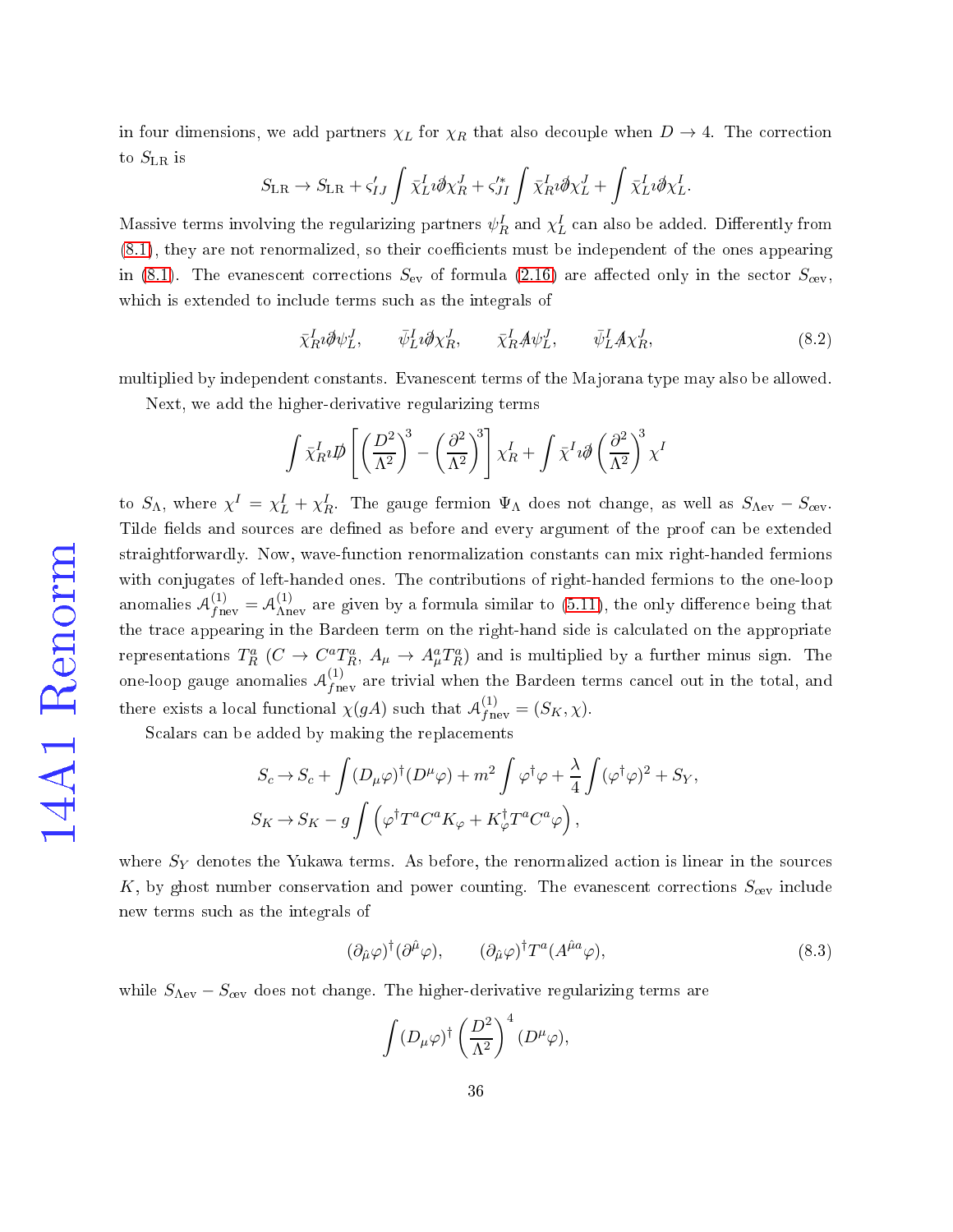in four dimensions, we add partners  $\chi_L$  for  $\chi_R$  that also decouple when  $D \to 4$ . The correction to  $S_{LR}$  is

$$
S_{\text{LR}} \to S_{\text{LR}} + \varsigma_{IJ}' \int \bar{\chi}_L^I \imath \partial \chi_R^J + \varsigma_{JI}^{\prime *} \int \bar{\chi}_R^I \imath \partial \chi_L^J + \int \bar{\chi}_L^I \imath \partial \chi_L^I.
$$

Massive terms involving the regularizing partners  $\psi_R^I$  and  $\chi_L^I$  can also be added. Differently from  $(8.1)$ , they are not renormalized, so their coefficients must be independent of the ones appearing in [\(8.1\)](#page-34-0). The evanescent corrections  $S_{ev}$  of formula [\(2.16\)](#page-10-1) are affected only in the sector  $S_{cev}$ , which is extended to include terms such as the integrals of

<span id="page-35-0"></span>
$$
\bar{\chi}_R^I \partial \psi_L^J, \qquad \bar{\psi}_L^I \partial \chi_R^J, \qquad \bar{\chi}_R^I A \psi_L^J, \qquad \bar{\psi}_L^I A \chi_R^J, \tag{8.2}
$$

multiplied by independent constants. Evanescent terms of the Ma jorana type may also be allowed.

Next, we add the higher-derivative regularizing terms

$$
\int \bar{\chi}_R^I \iota \psi \left[ \left( \frac{D^2}{\Lambda^2} \right)^3 - \left( \frac{\partial^2}{\Lambda^2} \right)^3 \right] \chi_R^I + \int \bar{\chi}^I \iota \psi \left( \frac{\partial^2}{\Lambda^2} \right)^3 \chi^I
$$

to  $S_{\Lambda}$ , where  $\chi^I = \chi^I_L + \chi^I_R$ . The gauge fermion  $\Psi_{\Lambda}$  does not change, as well as  $S_{\Lambda}$ <sub>ev</sub> –  $S_{\text{cev}}$ . Tilde fields and sources are defined as before and every argument of the proof can be extended straightforwardly. Now, wave-function renormalization constants can mix right-handed fermions with conjugates of left-handed ones. The contributions of right-handed fermions to the one-loop anomalies  $\mathcal{A}_{f\,\rm{nev}}^{(1)} = \mathcal{A}_{\Lambda\,\rm{n}}^{(1)}$  $\Lambda$ nev are given by a formula similar to  $(0.11)$ , the only difference being that the trace appearing in the Bardeen term on the right-hand side is calculated on the appropriate representations  $T_R^a$  ( $C \to C^a T_R^a$ ,  $A_\mu \to A_\mu^a T_R^a$ ) and is multiplied by a further minus sign. The<br>one-loop gauge anomalies  $A_{\text{r}_{\text{now}}}^{(1)}$  are trivial when the Bardeen terms cancel out in the total, and  $f_{\text{nev}}$  are trivial when the Bardeen terms cancel out in the total, and there exists a local functional  $\chi(gA)$  such that  $\mathcal{A}_{f\text{nev}}^{(1)} = (S_K, \chi)$ .

Scalars can be added by making the replacements

$$
S_c \to S_c + \int (D_{\mu}\varphi)^{\dagger} (D^{\mu}\varphi) + m^2 \int \varphi^{\dagger} \varphi + \frac{\lambda}{4} \int (\varphi^{\dagger} \varphi)^2 + S_Y,
$$
  

$$
S_K \to S_K - g \int (\varphi^{\dagger} T^a C^a K_{\varphi} + K_{\varphi}^{\dagger} T^a C^a \varphi),
$$

where  $S_Y$  denotes the Yukawa terms. As before, the renormalized action is linear in the sources K, by ghost number conservation and power counting. The evanescent corrections  $S_{\text{cev}}$  include new terms such as the integrals of

<span id="page-35-1"></span>
$$
(\partial_{\hat{\mu}}\varphi)^{\dagger}(\partial^{\hat{\mu}}\varphi), \qquad (\partial_{\hat{\mu}}\varphi)^{\dagger}T^{a}(A^{\hat{\mu}a}\varphi), \qquad (8.3)
$$

while  $S_{\text{Aev}} - S_{\text{cev}}$  does not change. The higher-derivative regularizing terms are

$$
\int (D_{\mu}\varphi)^{\dagger} \left(\frac{D^2}{\Lambda^2}\right)^4 (D^{\mu}\varphi),
$$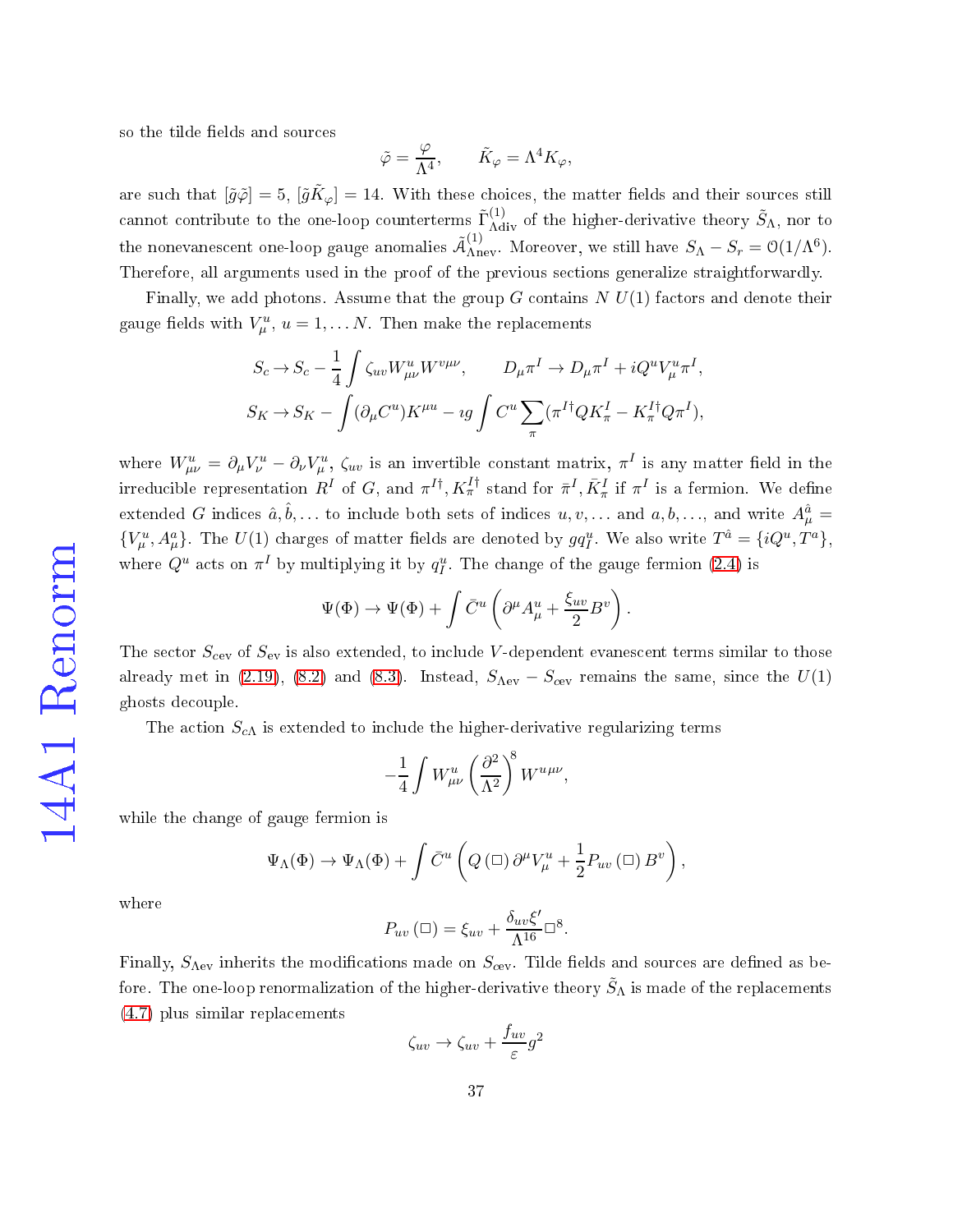so the tilde fields and sources

$$
\tilde{\varphi} = \frac{\varphi}{\Lambda^4}, \qquad \tilde{K}_{\varphi} = \Lambda^4 K_{\varphi},
$$

are such that  $[\tilde{g}\tilde{\varphi}]=5$ ,  $[\tilde{g}\tilde{K}_{\varphi}]=14$ . With these choices, the matter fields and their sources still cannot contribute to the one-loop counterterms  $\tilde{\Gamma}^{(1)}_{\text{Adiv}}$  of the higher-derivative theory  $\tilde{S}_{\Lambda}$ , nor to the nonevanescent one-loop gauge anomalies  $\tilde{\mathcal{A}}_{\Lambda}^{(1)}$ . Moreover, we still have  $S_{\Lambda} - S_r = \mathcal{O}(1/\Lambda^6)$ . Therefore, all arguments used in the proof of the previous sections generalize straightforwardly.

Finally, we add photons. Assume that the group G contains  $N U(1)$  factors and denote their gauge fields with  $V^u_\mu$ ,  $u = 1, \ldots N$ . Then make the replacements

$$
S_c \to S_c - \frac{1}{4} \int \zeta_{uv} W^u_{\mu\nu} W^{v\mu\nu}, \qquad D_\mu \pi^I \to D_\mu \pi^I + i Q^u V^u_\mu \pi^I,
$$
  

$$
S_K \to S_K - \int (\partial_\mu C^u) K^{\mu u} - ig \int C^u \sum_\pi (\pi^I^{\dagger} Q K^I_\pi - K^{I \dagger}_\pi Q \pi^I),
$$

where  $W_{\mu\nu}^u = \partial_\mu V_\nu^u - \partial_\nu V_\mu^u$ ,  $\zeta_{uv}$  is an invertible constant matrix,  $\pi^I$  is any matter field in the irreducible representation  $R^I$  of  $G$ , and  $\pi^{I\dagger}, K_{\pi}^{I\dagger}$  stand for  $\bar{\pi}^I, \bar{K}_{\pi}^I$  if  $\pi^I$  is a fermion. We define extended G indices  $\hat{a}, \hat{b}, \ldots$  to include both sets of indices  $u, v, \ldots$  and  $a, b, \ldots$ , and write  $A^{\hat{a}}_{\mu} =$  $\{V^u_\mu, A^a_\mu\}$ . The  $U(1)$  charges of matter fields are denoted by  $g q^u_I$ . We also write  $T^{\hat{a}} = \{iQ^u, T^a\},$ where  $Q^u$  acts on  $\pi^I$  by multiplying it by  $q^u_I$ . The change of the gauge fermion [\(2.4\)](#page-5-1) is

$$
\Psi(\Phi) \rightarrow \Psi(\Phi) + \int \bar{C}^u \left( \partial^\mu A^u_\mu + \frac{\xi_{uv}}{2} B^v \right)
$$

.

The sector  $S_{\text{cev}}$  of  $S_{\text{ev}}$  is also extended, to include V-dependent evanescent terms similar to those already met in [\(2.19\)](#page-11-1), [\(8.2\)](#page-35-0) and [\(8.3\)](#page-35-1). Instead,  $S_{\text{Aev}} - S_{\text{cev}}$  remains the same, since the  $U(1)$ ghosts decouple.

The action  $S_{c\Lambda}$  is extended to include the higher-derivative regularizing terms

$$
-\frac{1}{4}\int W^u_{\mu\nu}\left(\frac{\partial^2}{\Lambda^2}\right)^8 W^{u\mu\nu},
$$

while the change of gauge fermion is

$$
\Psi_{\Lambda}(\Phi) \to \Psi_{\Lambda}(\Phi) + \int \bar{C}^{u} \left( Q \left( \Box \right) \partial^{\mu} V_{\mu}^{u} + \frac{1}{2} P_{uv} \left( \Box \right) B^{v} \right),
$$

where

$$
P_{uv}(\Box) = \xi_{uv} + \frac{\delta_{uv}\xi'}{\Lambda^{16}} \Box^8.
$$

Finally,  $S_{\text{Aev}}$  inherits the modifications made on  $S_{\text{cev}}$ . Tilde fields and sources are defined as before. The one-loop renormalization of the higher-derivative theory  $\tilde{S}_\Lambda$  is made of the replacements [\(4.7\)](#page-23-1) plus similar replacements

$$
\zeta_{uv} \to \zeta_{uv} + \frac{f_{uv}}{\varepsilon}g^2
$$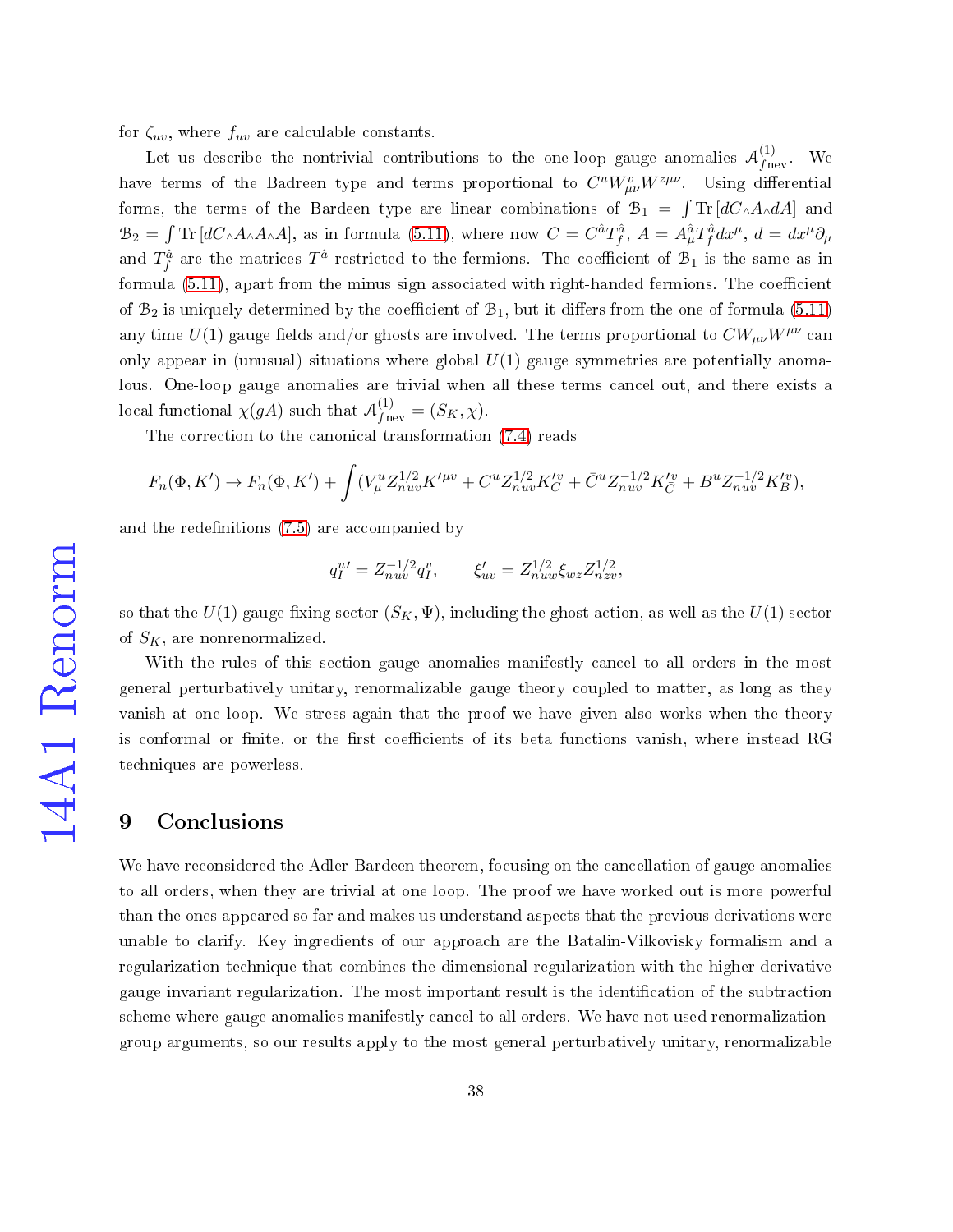for  $\zeta_{uv}$ , where  $f_{uv}$  are calculable constants.

Let us describe the nontrivial contributions to the one-loop gauge anomalies  $\mathcal{A}_{fn}^{(1)}$  $f_{\text{nev}}$  we have terms of the Badreen type and terms proportional to  $C^uW^v_{\mu\nu}W^{z\mu\nu}$ . Using differential forms, the terms of the Bardeen type are linear combinations of  $\mathcal{B}_1 = \int \text{Tr} [dC \wedge A \wedge dA]$  and  $\mathcal{B}_2 = \int \text{Tr} \left[ dC \wedge A \wedge A \wedge A \right],$  as in formula [\(5.11\)](#page-27-0), where now  $C = C^{\hat{a}} T_f^{\hat{a}}, A = A_\mu^{\hat{a}} T_f^{\hat{a}} dx^\mu, d = dx^\mu \partial_\mu$ and  $T_f^{\hat{a}}$  are the matrices  $T^{\hat{a}}$  restricted to the fermions. The coefficient of  $\mathcal{B}_1$  is the same as in formula  $(5.11)$ , apart from the minus sign associated with right-handed fermions. The coefficient of  $\mathcal{B}_2$  is uniquely determined by the coefficient of  $\mathcal{B}_1$ , but it differs from the one of formula [\(5.11\)](#page-27-0) any time  $U(1)$  gauge fields and/or ghosts are involved. The terms proportional to  $CW_{\mu\nu}W^{\mu\nu}$  can only appear in (unusual) situations where global  $U(1)$  gauge symmetries are potentially anomalous. One-loop gauge anomalies are trivial when all these terms cancel out, and there exists a local functional  $\chi(gA)$  such that  $\mathcal{A}_{f\text{nev}}^{(1)} = (S_K, \chi)$ .

The correction to the canonical transformation [\(7.4\)](#page-32-0) reads

$$
F_n(\Phi, K') \to F_n(\Phi, K') + \int (V_\mu^u Z_{nuv}^{1/2} K'^{\mu v} + C^u Z_{nuv}^{1/2} K_C'^v + \bar{C}^u Z_{nuv}^{-1/2} K_{\bar{C}}'^v + B^u Z_{nuv}^{-1/2} K_B'^v),
$$

and the redefinitions  $(7.5)$  are accompanied by

$$
q_I^{u\prime} = Z_{nu}^{-1/2} q_I^v, \qquad \xi_{uv}^{\prime} = Z_{nu}^{1/2} \xi_{wz} Z_{nzv}^{1/2},
$$

so that the  $U(1)$  gauge-fixing sector  $(S_K, \Psi)$ , including the ghost action, as well as the  $U(1)$  sector of  $S_K$ , are nonrenormalized.

With the rules of this section gauge anomalies manifestly cancel to all orders in the most general perturbatively unitary, renormalizable gauge theory coupled to matter, as long as they vanish at one loop. We stress again that the proof we have given also works when the theory is conformal or finite, or the first coefficients of its beta functions vanish, where instead RG techniques are powerless.

### 9 Conclusions

We have reconsidered the Adler-Bardeen theorem, focusing on the cancellation of gauge anomalies to all orders, when they are trivial at one loop. The proof we have worked out is more powerful than the ones appeared so far and makes us understand aspects that the previous derivations were unable to clarify. Key ingredients of our approach are the Batalin-Vilkovisky formalism and a regularization technique that combines the dimensional regularization with the higher-derivative gauge invariant regularization. The most important result is the identification of the subtraction scheme where gauge anomalies manifestly cancel to all orders. We have not used renormalizationgroup arguments, so our results apply to the most general perturbatively unitary, renormalizable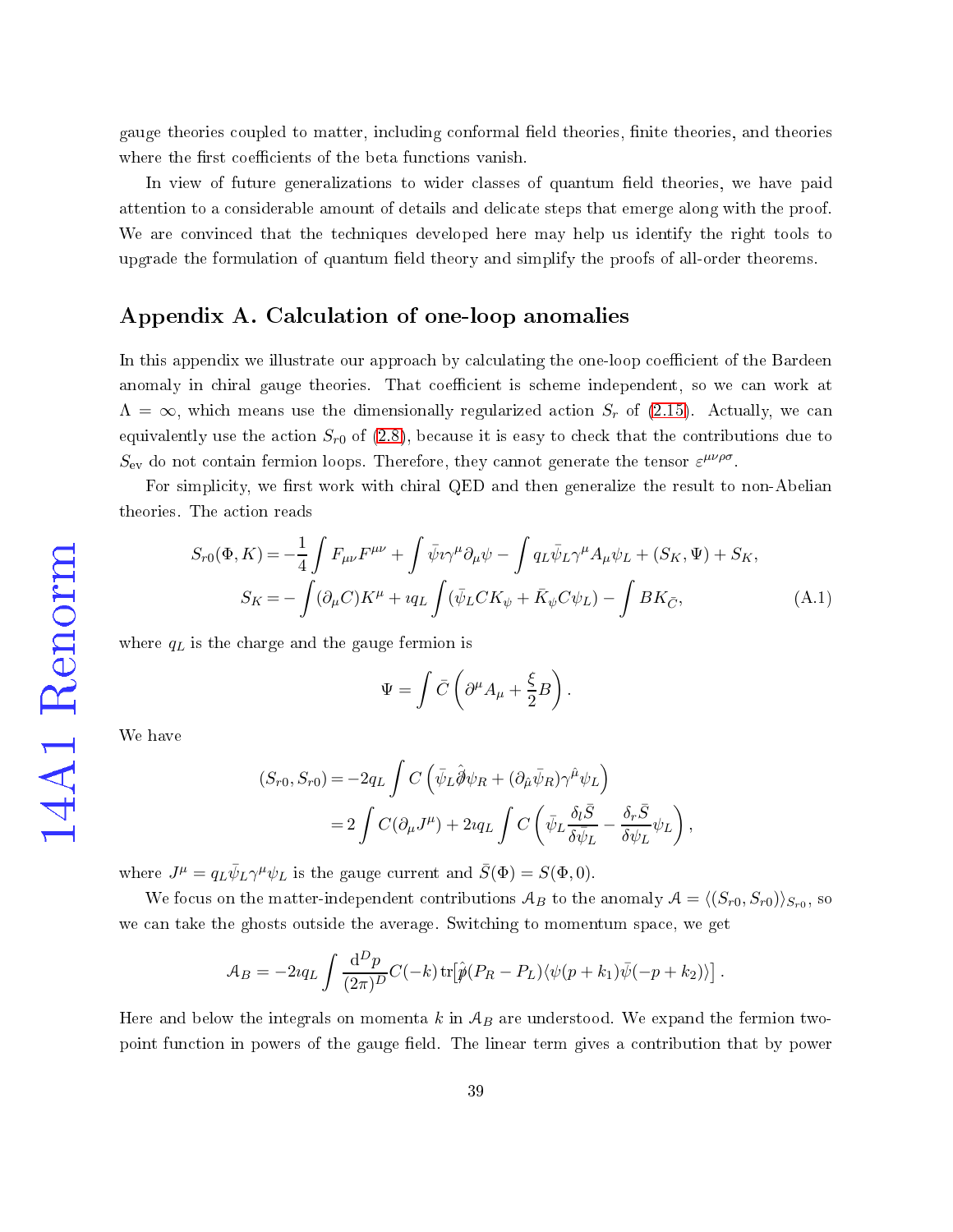gauge theories coupled to matter, including conformal field theories, finite theories, and theories where the first coefficients of the beta functions vanish.

In view of future generalizations to wider classes of quantum field theories, we have paid attention to a considerable amount of details and delicate steps that emerge along with the proof. We are convinced that the techniques developed here may help us identify the right tools to upgrade the formulation of quantum field theory and simplify the proofs of all-order theorems.

### Appendix A. Calculation of one-loop anomalies

In this appendix we illustrate our approach by calculating the one-loop coefficient of the Bardeen anomaly in chiral gauge theories. That coefficient is scheme independent, so we can work at  $\Lambda = \infty$ , which means use the dimensionally regularized action  $S_r$  of [\(2.15\)](#page-10-0). Actually, we can equivalently use the action  $S_{r0}$  of [\(2.8\)](#page-6-0), because it is easy to check that the contributions due to S<sub>ev</sub> do not contain fermion loops. Therefore, they cannot generate the tensor  $\varepsilon^{\mu\nu\rho\sigma}$ .

For simplicity, we first work with chiral QED and then generalize the result to non-Abelian theories. The action reads

$$
S_{r0}(\Phi, K) = -\frac{1}{4} \int F_{\mu\nu} F^{\mu\nu} + \int \bar{\psi} i \gamma^{\mu} \partial_{\mu} \psi - \int q_L \bar{\psi}_L \gamma^{\mu} A_{\mu} \psi_L + (S_K, \Psi) + S_K,
$$
  

$$
S_K = -\int (\partial_{\mu} C) K^{\mu} + i q_L \int (\bar{\psi}_L C K_{\psi} + \bar{K}_{\psi} C \psi_L) - \int B K_{\bar{C}},
$$
(A.1)

where  $q_L$  is the charge and the gauge fermion is

$$
\Psi = \int \bar{C} \left( \partial^{\mu} A_{\mu} + \frac{\xi}{2} B \right).
$$

We have

$$
(S_{r0}, S_{r0}) = -2q_L \int C \left( \bar{\psi}_L \hat{\partial} \psi_R + (\partial_{\hat{\mu}} \bar{\psi}_R) \gamma^{\hat{\mu}} \psi_L \right)
$$
  
= 
$$
2 \int C (\partial_{\mu} J^{\mu}) + 2iq_L \int C \left( \bar{\psi}_L \frac{\delta_l \bar{S}}{\delta \bar{\psi}_L} - \frac{\delta_r \bar{S}}{\delta \psi_L} \psi_L \right),
$$

where  $J^{\mu} = q_L \bar{\psi}_L \gamma^{\mu} \psi_L$  is the gauge current and  $\bar{S}(\Phi) = S(\Phi, 0)$ .

We focus on the matter-independent contributions  $\mathcal{A}_B$  to the anomaly  $\mathcal{A} = \langle (S_{r0}, S_{r0}) \rangle_{S_{r0}}$ , so we can take the ghosts outside the average. Switching to momentum space, we get

$$
\mathcal{A}_B = -2iq_L \int \frac{\mathrm{d}^D p}{(2\pi)^D} C(-k) \,\mathrm{tr}[\hat{p}(P_R - P_L)\langle \psi(p+k_1)\bar{\psi}(-p+k_2)\rangle].
$$

Here and below the integrals on momenta k in  $A_B$  are understood. We expand the fermion twopoint function in powers of the gauge field. The linear term gives a contribution that by power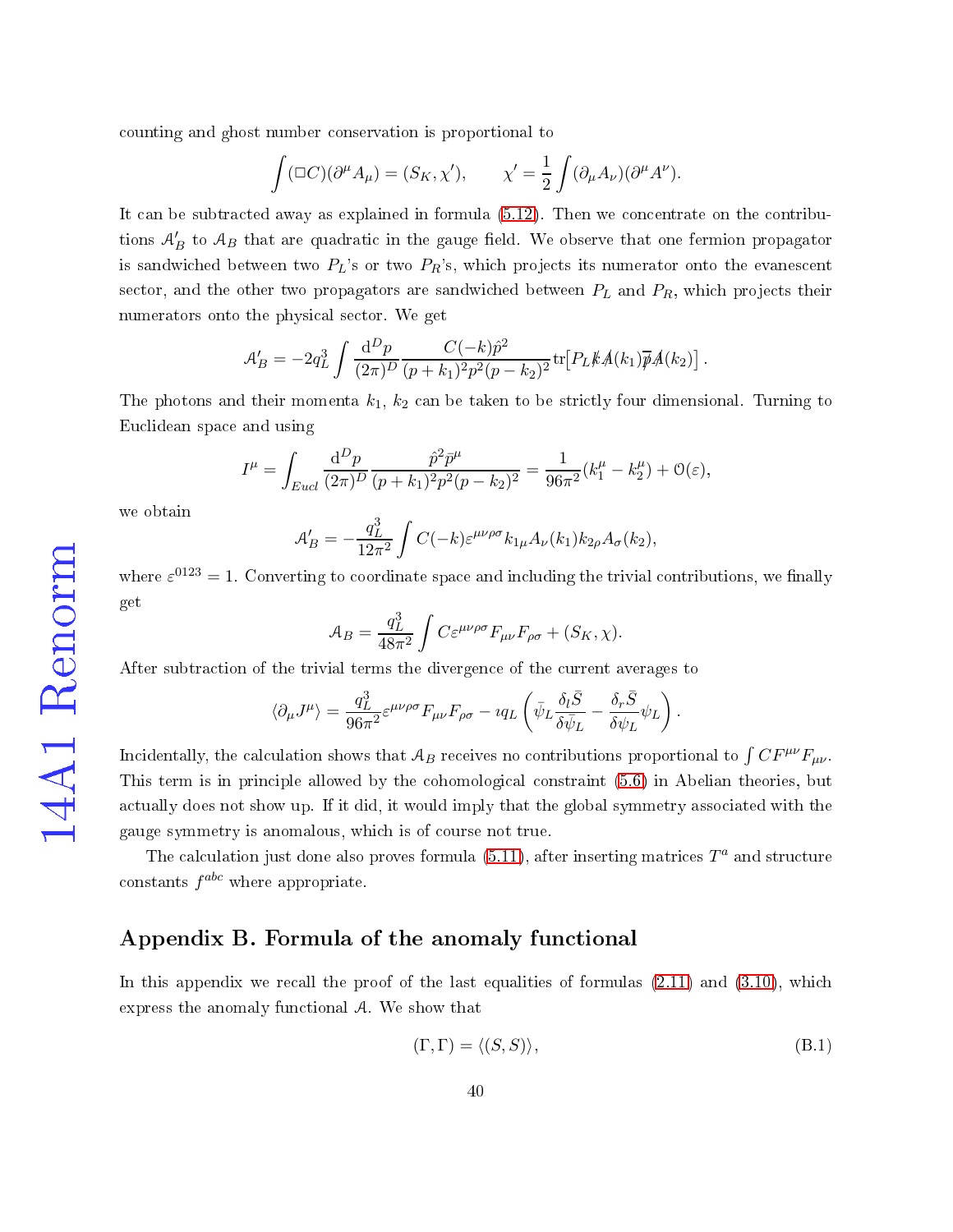counting and ghost number conservation is proportional to

$$
\int (\Box C)(\partial^{\mu} A_{\mu}) = (S_K, \chi'), \qquad \chi' = \frac{1}{2} \int (\partial_{\mu} A_{\nu})(\partial^{\mu} A^{\nu}).
$$

It can be subtracted away as explained in formula [\(5.12\)](#page-28-3). Then we concentrate on the contributions  $\mathcal{A}'_B$  to  $\mathcal{A}_B$  that are quadratic in the gauge field. We observe that one fermion propagator is sandwiched between two  $P_L$ 's or two  $P_R$ 's, which projects its numerator onto the evanescent sector, and the other two propagators are sandwiched between  $P_L$  and  $P_R$ , which projects their numerators onto the physical sector. We get

$$
\mathcal{A}'_B = -2q_L^3 \int \frac{\mathrm{d}^D p}{(2\pi)^D} \frac{C(-k)\hat{p}^2}{(p+k_1)^2 p^2 (p-k_2)^2} \text{tr}[P_L k \mathcal{A}(k_1) \overline{\mathcal{p}} \mathcal{A}(k_2)].
$$

The photons and their momenta  $k_1$ ,  $k_2$  can be taken to be strictly four dimensional. Turning to Euclidean space and using

$$
I^{\mu} = \int_{Eucl} \frac{\mathrm{d}^D p}{(2\pi)^D} \frac{\hat{p}^2 \bar{p}^{\mu}}{(p+k_1)^2 p^2 (p-k_2)^2} = \frac{1}{96\pi^2} (k_1^{\mu} - k_2^{\mu}) + \mathcal{O}(\varepsilon),
$$

we obtain

$$
\mathcal{A}'_B = -\frac{q_L^3}{12\pi^2} \int C(-k)\varepsilon^{\mu\nu\rho\sigma} k_{1\mu} A_\nu(k_1) k_{2\rho} A_\sigma(k_2),
$$

where  $\varepsilon^{0123} = 1$ . Converting to coordinate space and including the trivial contributions, we finally get

$$
\mathcal{A}_B = \frac{q_L^3}{48\pi^2} \int C \varepsilon^{\mu\nu\rho\sigma} F_{\mu\nu} F_{\rho\sigma} + (S_K, \chi).
$$

After subtraction of the trivial terms the divergence of the current averages to

$$
\langle \partial_{\mu} J^{\mu} \rangle = \frac{q_L^3}{96 \pi^2} \varepsilon^{\mu \nu \rho \sigma} F_{\mu \nu} F_{\rho \sigma} - i q_L \left( \bar{\psi}_L \frac{\delta_l \bar{S}}{\delta \bar{\psi}_L} - \frac{\delta_r \bar{S}}{\delta \psi_L} \psi_L \right).
$$

Incidentally, the calculation shows that  $\mathcal{A}_B$  receives no contributions proportional to  $\int CF^{\mu\nu}F_{\mu\nu}$ . This term is in principle allowed by the cohomological constraint [\(5.6\)](#page-25-1) in Abelian theories, but actually does not show up. If it did, it would imply that the global symmetry associated with the gauge symmetry is anomalous, which is of course not true.

The calculation just done also proves formula [\(5.11\)](#page-27-0), after inserting matrices  $T^a$  and structure constants  $f^{abc}$  where appropriate.

### Appendix B. Formula of the anomaly functional

In this appendix we recall the proof of the last equalities of formulas  $(2.11)$  and  $(3.10)$ , which express the anomaly functional A. We show that

<span id="page-39-0"></span>
$$
(\Gamma, \Gamma) = \langle (S, S) \rangle, \tag{B.1}
$$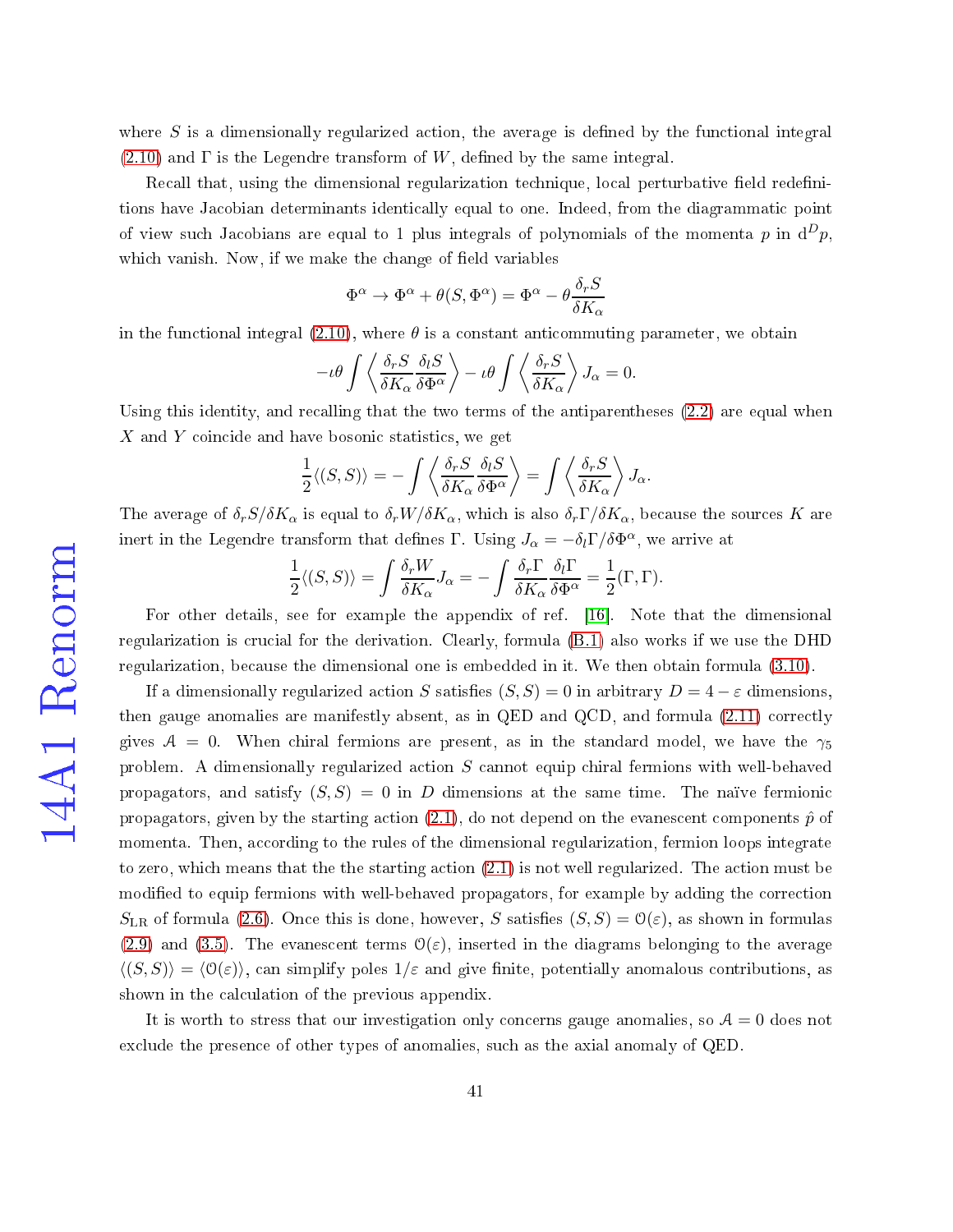where  $S$  is a dimensionally regularized action, the average is defined by the functional integral  $(2.10)$  and  $\Gamma$  is the Legendre transform of W, defined by the same integral.

Recall that, using the dimensional regularization technique, local perturbative field redefinitions have Jacobian determinants identically equal to one. Indeed, from the diagrammatic point of view such Jacobians are equal to 1 plus integrals of polynomials of the momenta  $p$  in  $d^Dp$ , which vanish. Now, if we make the change of field variables

$$
\Phi^{\alpha} \to \Phi^{\alpha} + \theta(S, \Phi^{\alpha}) = \Phi^{\alpha} - \theta \frac{\delta_r S}{\delta K_{\alpha}}
$$

in the functional integral [\(2.10\)](#page-7-1), where  $\theta$  is a constant anticommuting parameter, we obtain

$$
-\iota\theta \int \left\langle \frac{\delta_r S}{\delta K_\alpha} \frac{\delta_l S}{\delta \Phi^\alpha} \right\rangle - \iota\theta \int \left\langle \frac{\delta_r S}{\delta K_\alpha} \right\rangle J_\alpha = 0.
$$

Using this identity, and recalling that the two terms of the antiparentheses  $(2.2)$  are equal when  $X$  and  $Y$  coincide and have bosonic statistics, we get

$$
\frac{1}{2}\langle (S,S)\rangle = -\int \left\langle \frac{\delta_r S}{\delta K_\alpha} \frac{\delta_l S}{\delta \Phi^\alpha} \right\rangle = \int \left\langle \frac{\delta_r S}{\delta K_\alpha} \right\rangle J_\alpha.
$$

The average of  $\delta_rS/\delta K_\alpha$  is equal to  $\delta_rW/\delta K_\alpha$ , which is also  $\delta_r\Gamma/\delta K_\alpha$ , because the sources K are inert in the Legendre transform that defines Γ. Using  $J_{\alpha} = -\delta_l \Gamma / \delta \Phi^{\alpha}$ , we arrive at

$$
\frac{1}{2}\langle (S, S)\rangle = \int \frac{\delta_r W}{\delta K_\alpha} J_\alpha = -\int \frac{\delta_r \Gamma}{\delta K_\alpha} \frac{\delta_l \Gamma}{\delta \Phi^\alpha} = \frac{1}{2} (\Gamma, \Gamma).
$$

For other details, see for example the appendix of ref. [\[16\]](#page-42-2). Note that the dimensional regularization is crucial for the derivation. Clearly, formula [\(B.1\)](#page-39-0) also works if we use the DHD regularization, because the dimensional one is embedded in it. We then obtain formula [\(3.10\)](#page-19-0).

If a dimensionally regularized action S satisfies  $(S, S) = 0$  in arbitrary  $D = 4 - \varepsilon$  dimensions, then gauge anomalies are manifestly absent, as in QED and QCD, and formula [\(2.11\)](#page-7-0) correctly gives  $A = 0$ . When chiral fermions are present, as in the standard model, we have the  $\gamma_5$ problem. A dimensionally regularized action S cannot equip chiral fermions with well-behaved propagators, and satisfy  $(S, S) = 0$  in D dimensions at the same time. The naïve fermionic propagators, given by the starting action [\(2.1\)](#page-4-0), do not depend on the evanescent components  $\hat{p}$  of momenta. Then, according to the rules of the dimensional regularization, fermion loops integrate to zero, which means that the the starting action [\(2.1\)](#page-4-0) is not well regularized. The action must be modified to equip fermions with well-behaved propagators, for example by adding the correction  $S_{LR}$  of formula [\(2.6\)](#page-6-3). Once this is done, however, S satisfies  $(S, S) = \mathcal{O}(\varepsilon)$ , as shown in formulas [\(2.9\)](#page-6-2) and [\(3.5\)](#page-17-3). The evanescent terms  $\mathcal{O}(\varepsilon)$ , inserted in the diagrams belonging to the average  $\langle (S, S) \rangle = \langle 0(\varepsilon) \rangle$ , can simplify poles  $1/\varepsilon$  and give finite, potentially anomalous contributions, as shown in the calculation of the previous appendix.

It is worth to stress that our investigation only concerns gauge anomalies, so  $A = 0$  does not exclude the presence of other types of anomalies, such as the axial anomaly of QED.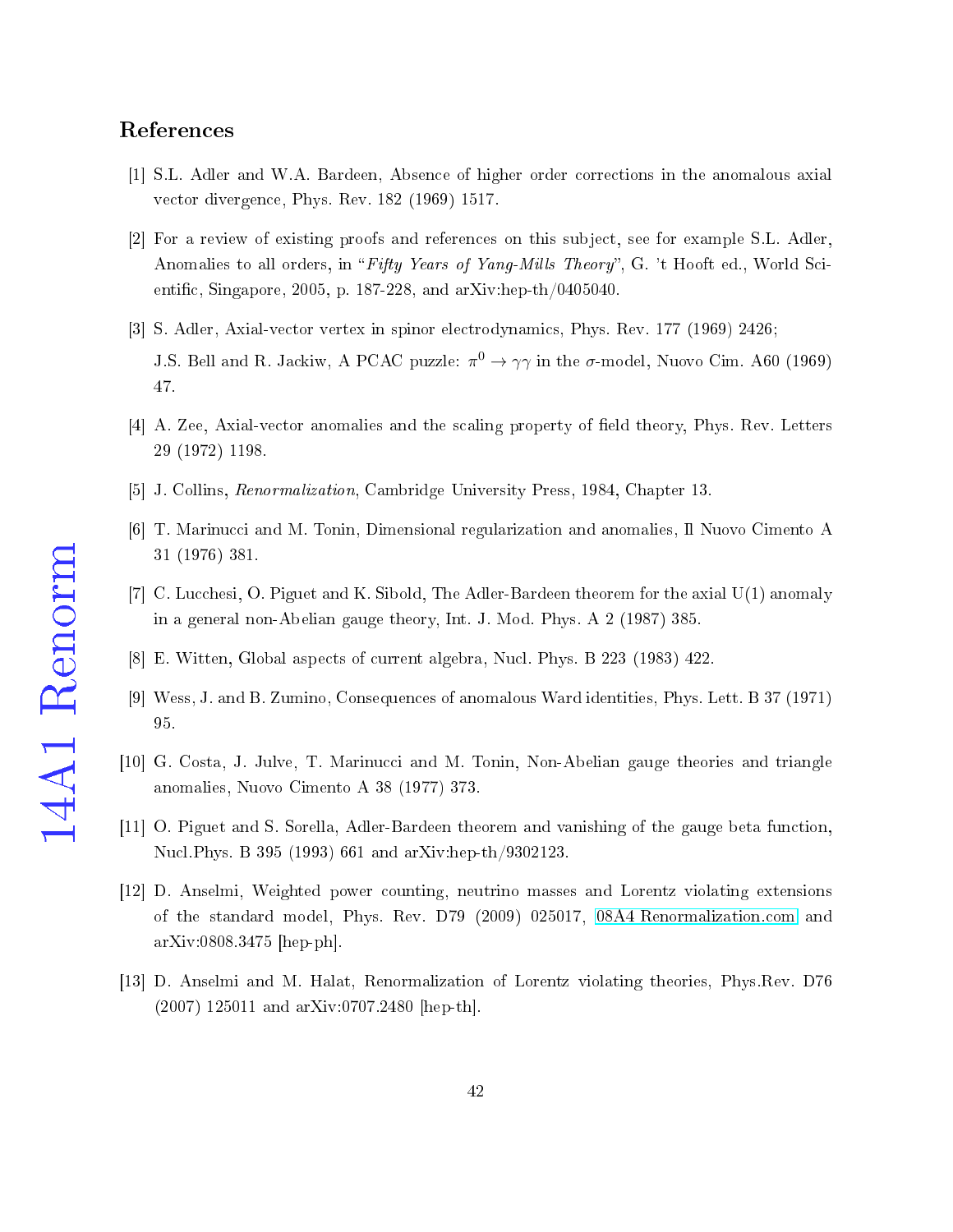### <span id="page-41-0"></span>References

- <span id="page-41-1"></span>[1] S.L. Adler and W.A. Bardeen, Absence of higher order corrections in the anomalous axial vector divergence, Phys. Rev. 182 (1969) 1517.
- [2] For a review of existing proofs and references on this sub ject, see for example S.L. Adler, Anomalies to all orders, in "Fifty Years of Yang-Mills Theory", G. 't Hooft ed., World Scientific, Singapore, 2005, p. 187-228, and arXiv:hep-th/0405040.
- <span id="page-41-2"></span>[3] S. Adler, Axial-vector vertex in spinor electrodynamics, Phys. Rev. 177 (1969) 2426; J.S. Bell and R. Jackiw, A PCAC puzzle:  $\pi^0 \to \gamma\gamma$  in the  $\sigma$ -model, Nuovo Cim. A60 (1969) 47.
- <span id="page-41-4"></span><span id="page-41-3"></span>[4] A. Zee, Axial-vector anomalies and the scaling property of eld theory, Phys. Rev. Letters 29 (1972) 1198.
- <span id="page-41-5"></span>[5] J. Collins, Renormalization, Cambridge University Press, 1984, Chapter 13.
- <span id="page-41-6"></span>[6] T. Marinucci and M. Tonin, Dimensional regularization and anomalies, Il Nuovo Cimento A 31 (1976) 381.
- <span id="page-41-7"></span>[7] C. Lucchesi, O. Piguet and K. Sibold, The Adler-Bardeen theorem for the axial U(1) anomaly in a general non-Abelian gauge theory, Int. J. Mod. Phys. A 2 (1987) 385.
- <span id="page-41-8"></span>[8] E. Witten, Global aspects of current algebra, Nucl. Phys. B 223 (1983) 422.
- <span id="page-41-9"></span>[9] Wess, J. and B. Zumino, Consequences of anomalous Ward identities, Phys. Lett. B 37 (1971) 95.
- <span id="page-41-10"></span>[10] G. Costa, J. Julve, T. Marinucci and M. Tonin, Non-Abelian gauge theories and triangle anomalies, Nuovo Cimento A 38 (1977) 373.
- <span id="page-41-11"></span>[11] O. Piguet and S. Sorella, Adler-Bardeen theorem and vanishing of the gauge beta function, Nucl.Phys. B 395 (1993) 661 and arXiv:hep-th/9302123.
- [12] D. Anselmi, Weighted power counting, neutrino masses and Lorentz violating extensions of the standard model, Phys. Rev. D79 (2009) 025017, 08A4 [Renormalization.com](http://renormalization.com/08a4/) and arXiv:0808.3475 [hep-ph].
- <span id="page-41-12"></span>[13] D. Anselmi and M. Halat, Renormalization of Lorentz violating theories, Phys.Rev. D76 (2007) 125011 and arXiv:0707.2480 [hep-th].